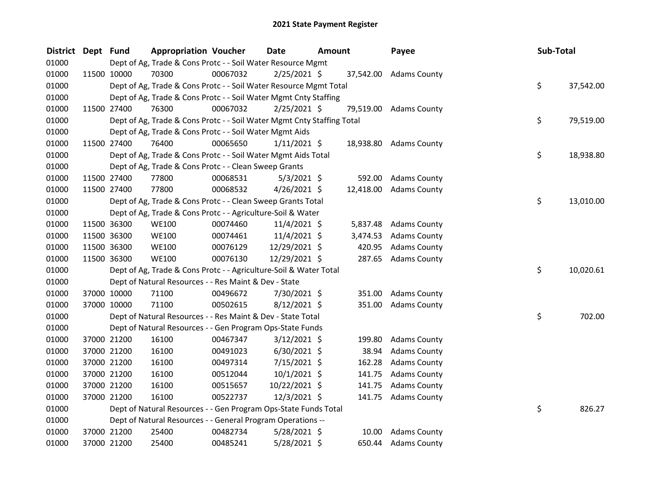| <b>District</b> | Dept Fund |             | <b>Appropriation Voucher</b>                                           |          | Date           | <b>Amount</b> |          | Payee                  | Sub-Total |           |
|-----------------|-----------|-------------|------------------------------------------------------------------------|----------|----------------|---------------|----------|------------------------|-----------|-----------|
| 01000           |           |             | Dept of Ag, Trade & Cons Protc - - Soil Water Resource Mgmt            |          |                |               |          |                        |           |           |
| 01000           |           | 11500 10000 | 70300                                                                  | 00067032 | $2/25/2021$ \$ |               |          | 37,542.00 Adams County |           |           |
| 01000           |           |             | Dept of Ag, Trade & Cons Protc - - Soil Water Resource Mgmt Total      |          |                |               |          |                        | \$        | 37,542.00 |
| 01000           |           |             | Dept of Ag, Trade & Cons Protc - - Soil Water Mgmt Cnty Staffing       |          |                |               |          |                        |           |           |
| 01000           |           | 11500 27400 | 76300                                                                  | 00067032 | $2/25/2021$ \$ |               |          | 79,519.00 Adams County |           |           |
| 01000           |           |             | Dept of Ag, Trade & Cons Protc - - Soil Water Mgmt Cnty Staffing Total |          |                |               |          |                        | \$        | 79,519.00 |
| 01000           |           |             | Dept of Ag, Trade & Cons Protc - - Soil Water Mgmt Aids                |          |                |               |          |                        |           |           |
| 01000           |           | 11500 27400 | 76400                                                                  | 00065650 | $1/11/2021$ \$ |               |          | 18,938.80 Adams County |           |           |
| 01000           |           |             | Dept of Ag, Trade & Cons Protc - - Soil Water Mgmt Aids Total          |          |                |               |          |                        | \$.       | 18,938.80 |
| 01000           |           |             | Dept of Ag, Trade & Cons Protc - - Clean Sweep Grants                  |          |                |               |          |                        |           |           |
| 01000           |           | 11500 27400 | 77800                                                                  | 00068531 | $5/3/2021$ \$  |               | 592.00   | <b>Adams County</b>    |           |           |
| 01000           |           | 11500 27400 | 77800                                                                  | 00068532 | $4/26/2021$ \$ |               |          | 12,418.00 Adams County |           |           |
| 01000           |           |             | Dept of Ag, Trade & Cons Protc - - Clean Sweep Grants Total            |          |                |               |          |                        | \$        | 13,010.00 |
| 01000           |           |             | Dept of Ag, Trade & Cons Protc - - Agriculture-Soil & Water            |          |                |               |          |                        |           |           |
| 01000           |           | 11500 36300 | <b>WE100</b>                                                           | 00074460 | $11/4/2021$ \$ |               | 5,837.48 | <b>Adams County</b>    |           |           |
| 01000           |           | 11500 36300 | <b>WE100</b>                                                           | 00074461 | 11/4/2021 \$   |               | 3,474.53 | <b>Adams County</b>    |           |           |
| 01000           |           | 11500 36300 | <b>WE100</b>                                                           | 00076129 | 12/29/2021 \$  |               | 420.95   | <b>Adams County</b>    |           |           |
| 01000           |           | 11500 36300 | <b>WE100</b>                                                           | 00076130 | 12/29/2021 \$  |               | 287.65   | <b>Adams County</b>    |           |           |
| 01000           |           |             | Dept of Ag, Trade & Cons Protc - - Agriculture-Soil & Water Total      |          |                |               |          |                        | \$        | 10,020.61 |
| 01000           |           |             | Dept of Natural Resources - - Res Maint & Dev - State                  |          |                |               |          |                        |           |           |
| 01000           |           | 37000 10000 | 71100                                                                  | 00496672 | 7/30/2021 \$   |               | 351.00   | <b>Adams County</b>    |           |           |
| 01000           |           | 37000 10000 | 71100                                                                  | 00502615 | $8/12/2021$ \$ |               | 351.00   | <b>Adams County</b>    |           |           |
| 01000           |           |             | Dept of Natural Resources - - Res Maint & Dev - State Total            |          |                |               |          |                        | \$        | 702.00    |
| 01000           |           |             | Dept of Natural Resources - - Gen Program Ops-State Funds              |          |                |               |          |                        |           |           |
| 01000           |           | 37000 21200 | 16100                                                                  | 00467347 | $3/12/2021$ \$ |               | 199.80   | <b>Adams County</b>    |           |           |
| 01000           |           | 37000 21200 | 16100                                                                  | 00491023 | $6/30/2021$ \$ |               | 38.94    | <b>Adams County</b>    |           |           |
| 01000           |           | 37000 21200 | 16100                                                                  | 00497314 | 7/15/2021 \$   |               | 162.28   | <b>Adams County</b>    |           |           |
| 01000           |           | 37000 21200 | 16100                                                                  | 00512044 | $10/1/2021$ \$ |               | 141.75   | <b>Adams County</b>    |           |           |
| 01000           |           | 37000 21200 | 16100                                                                  | 00515657 | 10/22/2021 \$  |               | 141.75   | <b>Adams County</b>    |           |           |
| 01000           |           | 37000 21200 | 16100                                                                  | 00522737 | 12/3/2021 \$   |               |          | 141.75 Adams County    |           |           |
| 01000           |           |             | Dept of Natural Resources - - Gen Program Ops-State Funds Total        |          |                |               |          |                        | \$        | 826.27    |
| 01000           |           |             | Dept of Natural Resources - - General Program Operations --            |          |                |               |          |                        |           |           |
| 01000           |           | 37000 21200 | 25400                                                                  | 00482734 | 5/28/2021 \$   |               | 10.00    | <b>Adams County</b>    |           |           |
| 01000           |           | 37000 21200 | 25400                                                                  | 00485241 | 5/28/2021 \$   |               | 650.44   | <b>Adams County</b>    |           |           |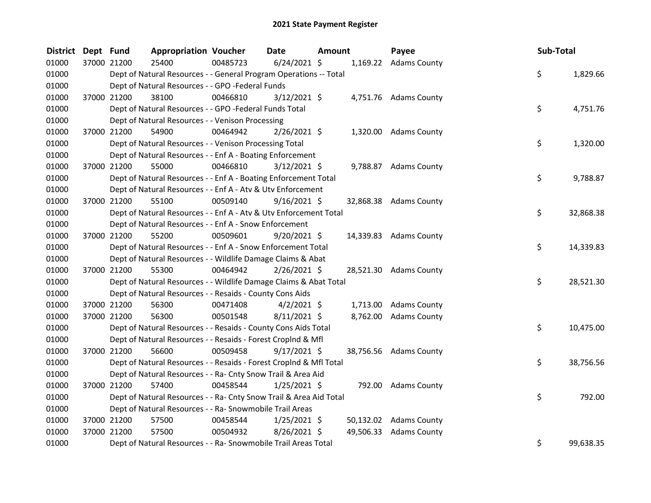| District | Dept Fund |             | <b>Appropriation Voucher</b>                                       |          | Date           | Amount | Payee                  | Sub-Total |           |
|----------|-----------|-------------|--------------------------------------------------------------------|----------|----------------|--------|------------------------|-----------|-----------|
| 01000    |           | 37000 21200 | 25400                                                              | 00485723 | $6/24/2021$ \$ |        | 1,169.22 Adams County  |           |           |
| 01000    |           |             | Dept of Natural Resources - - General Program Operations -- Total  |          |                |        |                        | \$        | 1,829.66  |
| 01000    |           |             | Dept of Natural Resources - - GPO -Federal Funds                   |          |                |        |                        |           |           |
| 01000    |           | 37000 21200 | 38100                                                              | 00466810 | $3/12/2021$ \$ |        | 4,751.76 Adams County  |           |           |
| 01000    |           |             | Dept of Natural Resources - - GPO -Federal Funds Total             |          |                |        |                        | \$        | 4,751.76  |
| 01000    |           |             | Dept of Natural Resources - - Venison Processing                   |          |                |        |                        |           |           |
| 01000    |           | 37000 21200 | 54900                                                              | 00464942 | $2/26/2021$ \$ |        | 1,320.00 Adams County  |           |           |
| 01000    |           |             | Dept of Natural Resources - - Venison Processing Total             |          |                |        |                        | \$        | 1,320.00  |
| 01000    |           |             | Dept of Natural Resources - - Enf A - Boating Enforcement          |          |                |        |                        |           |           |
| 01000    |           | 37000 21200 | 55000                                                              | 00466810 | $3/12/2021$ \$ |        | 9,788.87 Adams County  |           |           |
| 01000    |           |             | Dept of Natural Resources - - Enf A - Boating Enforcement Total    |          |                |        |                        | \$        | 9,788.87  |
| 01000    |           |             | Dept of Natural Resources - - Enf A - Atv & Utv Enforcement        |          |                |        |                        |           |           |
| 01000    |           | 37000 21200 | 55100                                                              | 00509140 | $9/16/2021$ \$ |        | 32,868.38 Adams County |           |           |
| 01000    |           |             | Dept of Natural Resources - - Enf A - Atv & Utv Enforcement Total  |          |                |        |                        | \$        | 32,868.38 |
| 01000    |           |             | Dept of Natural Resources - - Enf A - Snow Enforcement             |          |                |        |                        |           |           |
| 01000    |           | 37000 21200 | 55200                                                              | 00509601 | $9/20/2021$ \$ |        | 14,339.83 Adams County |           |           |
| 01000    |           |             | Dept of Natural Resources - - Enf A - Snow Enforcement Total       |          |                |        |                        | \$        | 14,339.83 |
| 01000    |           |             | Dept of Natural Resources - - Wildlife Damage Claims & Abat        |          |                |        |                        |           |           |
| 01000    |           | 37000 21200 | 55300                                                              | 00464942 | $2/26/2021$ \$ |        | 28,521.30 Adams County |           |           |
| 01000    |           |             | Dept of Natural Resources - - Wildlife Damage Claims & Abat Total  |          |                |        |                        | \$        | 28,521.30 |
| 01000    |           |             | Dept of Natural Resources - - Resaids - County Cons Aids           |          |                |        |                        |           |           |
| 01000    |           | 37000 21200 | 56300                                                              | 00471408 | $4/2/2021$ \$  |        | 1,713.00 Adams County  |           |           |
| 01000    |           | 37000 21200 | 56300                                                              | 00501548 | $8/11/2021$ \$ |        | 8,762.00 Adams County  |           |           |
| 01000    |           |             | Dept of Natural Resources - - Resaids - County Cons Aids Total     |          |                |        |                        | \$        | 10,475.00 |
| 01000    |           |             | Dept of Natural Resources - - Resaids - Forest CropInd & Mfl       |          |                |        |                        |           |           |
| 01000    |           | 37000 21200 | 56600                                                              | 00509458 | $9/17/2021$ \$ |        | 38,756.56 Adams County |           |           |
| 01000    |           |             | Dept of Natural Resources - - Resaids - Forest CropInd & Mfl Total |          |                |        |                        | \$        | 38,756.56 |
| 01000    |           |             | Dept of Natural Resources - - Ra- Cnty Snow Trail & Area Aid       |          |                |        |                        |           |           |
| 01000    |           | 37000 21200 | 57400                                                              | 00458544 | $1/25/2021$ \$ |        | 792.00 Adams County    |           |           |
| 01000    |           |             | Dept of Natural Resources - - Ra- Cnty Snow Trail & Area Aid Total |          |                |        |                        | \$        | 792.00    |
| 01000    |           |             | Dept of Natural Resources - - Ra- Snowmobile Trail Areas           |          |                |        |                        |           |           |
| 01000    |           | 37000 21200 | 57500                                                              | 00458544 | $1/25/2021$ \$ |        | 50,132.02 Adams County |           |           |
| 01000    |           | 37000 21200 | 57500                                                              | 00504932 | $8/26/2021$ \$ |        | 49,506.33 Adams County |           |           |
| 01000    |           |             | Dept of Natural Resources - - Ra- Snowmobile Trail Areas Total     |          |                |        |                        | \$        | 99,638.35 |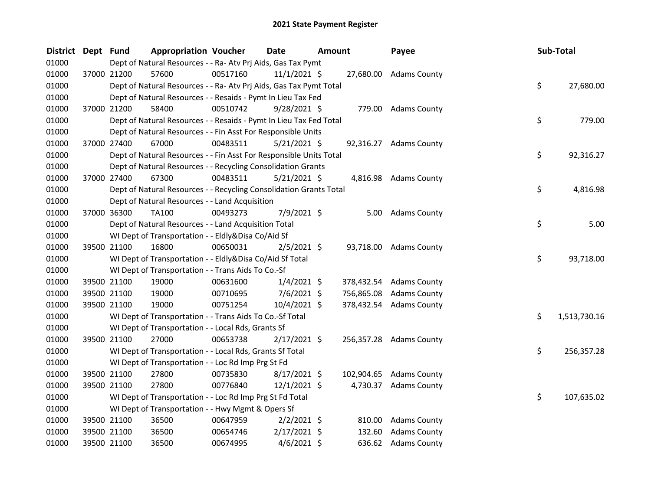| <b>District</b> | Dept Fund |             | <b>Appropriation Voucher</b>                                       |          | <b>Date</b>    | <b>Amount</b> |            | Payee                   | Sub-Total |              |
|-----------------|-----------|-------------|--------------------------------------------------------------------|----------|----------------|---------------|------------|-------------------------|-----------|--------------|
| 01000           |           |             | Dept of Natural Resources - - Ra- Atv Prj Aids, Gas Tax Pymt       |          |                |               |            |                         |           |              |
| 01000           |           | 37000 21200 | 57600                                                              | 00517160 | $11/1/2021$ \$ |               |            | 27,680.00 Adams County  |           |              |
| 01000           |           |             | Dept of Natural Resources - - Ra- Atv Prj Aids, Gas Tax Pymt Total |          |                |               |            |                         | \$        | 27,680.00    |
| 01000           |           |             | Dept of Natural Resources - - Resaids - Pymt In Lieu Tax Fed       |          |                |               |            |                         |           |              |
| 01000           |           | 37000 21200 | 58400                                                              | 00510742 | 9/28/2021 \$   |               |            | 779.00 Adams County     |           |              |
| 01000           |           |             | Dept of Natural Resources - - Resaids - Pymt In Lieu Tax Fed Total |          |                |               |            |                         | \$        | 779.00       |
| 01000           |           |             | Dept of Natural Resources - - Fin Asst For Responsible Units       |          |                |               |            |                         |           |              |
| 01000           |           | 37000 27400 | 67000                                                              | 00483511 | $5/21/2021$ \$ |               |            | 92,316.27 Adams County  |           |              |
| 01000           |           |             | Dept of Natural Resources - - Fin Asst For Responsible Units Total |          |                |               |            |                         | \$        | 92,316.27    |
| 01000           |           |             | Dept of Natural Resources - - Recycling Consolidation Grants       |          |                |               |            |                         |           |              |
| 01000           |           | 37000 27400 | 67300                                                              | 00483511 | $5/21/2021$ \$ |               |            | 4,816.98 Adams County   |           |              |
| 01000           |           |             | Dept of Natural Resources - - Recycling Consolidation Grants Total |          |                |               |            |                         | \$        | 4,816.98     |
| 01000           |           |             | Dept of Natural Resources - - Land Acquisition                     |          |                |               |            |                         |           |              |
| 01000           |           | 37000 36300 | TA100                                                              | 00493273 | 7/9/2021 \$    |               |            | 5.00 Adams County       |           |              |
| 01000           |           |             | Dept of Natural Resources - - Land Acquisition Total               |          |                |               |            |                         | \$        | 5.00         |
| 01000           |           |             | WI Dept of Transportation - - Eldly&Disa Co/Aid Sf                 |          |                |               |            |                         |           |              |
| 01000           |           | 39500 21100 | 16800                                                              | 00650031 | $2/5/2021$ \$  |               |            | 93,718.00 Adams County  |           |              |
| 01000           |           |             | WI Dept of Transportation - - Eldly&Disa Co/Aid Sf Total           |          |                |               |            |                         | \$        | 93,718.00    |
| 01000           |           |             | WI Dept of Transportation - - Trans Aids To Co.-Sf                 |          |                |               |            |                         |           |              |
| 01000           |           | 39500 21100 | 19000                                                              | 00631600 | $1/4/2021$ \$  |               |            | 378,432.54 Adams County |           |              |
| 01000           |           | 39500 21100 | 19000                                                              | 00710695 | $7/6/2021$ \$  |               | 756,865.08 | <b>Adams County</b>     |           |              |
| 01000           |           | 39500 21100 | 19000                                                              | 00751254 | $10/4/2021$ \$ |               |            | 378,432.54 Adams County |           |              |
| 01000           |           |             | WI Dept of Transportation - - Trans Aids To Co.-Sf Total           |          |                |               |            |                         | \$        | 1,513,730.16 |
| 01000           |           |             | WI Dept of Transportation - - Local Rds, Grants Sf                 |          |                |               |            |                         |           |              |
| 01000           |           | 39500 21100 | 27000                                                              | 00653738 | $2/17/2021$ \$ |               |            | 256,357.28 Adams County |           |              |
| 01000           |           |             | WI Dept of Transportation - - Local Rds, Grants Sf Total           |          |                |               |            |                         | \$        | 256,357.28   |
| 01000           |           |             | WI Dept of Transportation - - Loc Rd Imp Prg St Fd                 |          |                |               |            |                         |           |              |
| 01000           |           | 39500 21100 | 27800                                                              | 00735830 | $8/17/2021$ \$ |               |            | 102,904.65 Adams County |           |              |
| 01000           |           | 39500 21100 | 27800                                                              | 00776840 | $12/1/2021$ \$ |               |            | 4,730.37 Adams County   |           |              |
| 01000           |           |             | WI Dept of Transportation - - Loc Rd Imp Prg St Fd Total           |          |                |               |            |                         | \$        | 107,635.02   |
| 01000           |           |             | WI Dept of Transportation - - Hwy Mgmt & Opers Sf                  |          |                |               |            |                         |           |              |
| 01000           |           | 39500 21100 | 36500                                                              | 00647959 | $2/2/2021$ \$  |               | 810.00     | <b>Adams County</b>     |           |              |
| 01000           |           | 39500 21100 | 36500                                                              | 00654746 | $2/17/2021$ \$ |               | 132.60     | <b>Adams County</b>     |           |              |
| 01000           |           | 39500 21100 | 36500                                                              | 00674995 | $4/6/2021$ \$  |               |            | 636.62 Adams County     |           |              |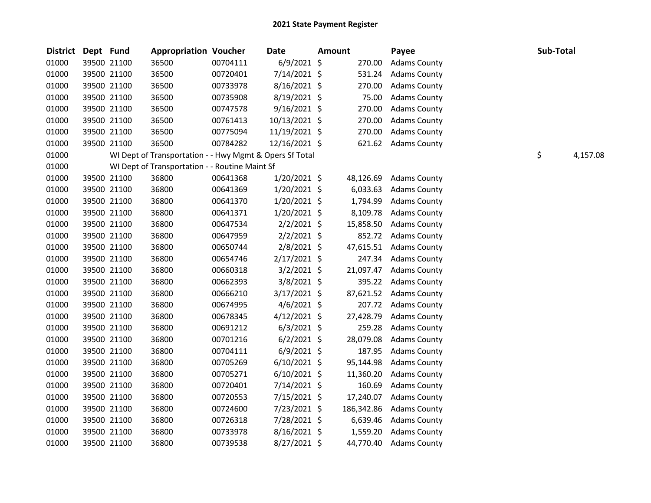| <b>District</b> | Dept Fund |             | <b>Appropriation Voucher</b>                            |          | Date           | <b>Amount</b> | Payee               | Sub-Total |          |
|-----------------|-----------|-------------|---------------------------------------------------------|----------|----------------|---------------|---------------------|-----------|----------|
| 01000           |           | 39500 21100 | 36500                                                   | 00704111 | $6/9/2021$ \$  | 270.00        | <b>Adams County</b> |           |          |
| 01000           |           | 39500 21100 | 36500                                                   | 00720401 | 7/14/2021 \$   | 531.24        | <b>Adams County</b> |           |          |
| 01000           |           | 39500 21100 | 36500                                                   | 00733978 | 8/16/2021 \$   | 270.00        | <b>Adams County</b> |           |          |
| 01000           |           | 39500 21100 | 36500                                                   | 00735908 | 8/19/2021 \$   | 75.00         | <b>Adams County</b> |           |          |
| 01000           |           | 39500 21100 | 36500                                                   | 00747578 | $9/16/2021$ \$ | 270.00        | <b>Adams County</b> |           |          |
| 01000           |           | 39500 21100 | 36500                                                   | 00761413 | 10/13/2021 \$  | 270.00        | <b>Adams County</b> |           |          |
| 01000           |           | 39500 21100 | 36500                                                   | 00775094 | 11/19/2021 \$  | 270.00        | <b>Adams County</b> |           |          |
| 01000           |           | 39500 21100 | 36500                                                   | 00784282 | 12/16/2021 \$  | 621.62        | <b>Adams County</b> |           |          |
| 01000           |           |             | WI Dept of Transportation - - Hwy Mgmt & Opers Sf Total |          |                |               |                     | \$        | 4,157.08 |
| 01000           |           |             | WI Dept of Transportation - - Routine Maint Sf          |          |                |               |                     |           |          |
| 01000           |           | 39500 21100 | 36800                                                   | 00641368 | $1/20/2021$ \$ | 48,126.69     | <b>Adams County</b> |           |          |
| 01000           |           | 39500 21100 | 36800                                                   | 00641369 | 1/20/2021 \$   | 6,033.63      | <b>Adams County</b> |           |          |
| 01000           |           | 39500 21100 | 36800                                                   | 00641370 | $1/20/2021$ \$ | 1,794.99      | <b>Adams County</b> |           |          |
| 01000           |           | 39500 21100 | 36800                                                   | 00641371 | $1/20/2021$ \$ | 8,109.78      | <b>Adams County</b> |           |          |
| 01000           |           | 39500 21100 | 36800                                                   | 00647534 | $2/2/2021$ \$  | 15,858.50     | <b>Adams County</b> |           |          |
| 01000           |           | 39500 21100 | 36800                                                   | 00647959 | $2/2/2021$ \$  | 852.72        | <b>Adams County</b> |           |          |
| 01000           |           | 39500 21100 | 36800                                                   | 00650744 | $2/8/2021$ \$  | 47,615.51     | <b>Adams County</b> |           |          |
| 01000           |           | 39500 21100 | 36800                                                   | 00654746 | $2/17/2021$ \$ | 247.34        | <b>Adams County</b> |           |          |
| 01000           |           | 39500 21100 | 36800                                                   | 00660318 | $3/2/2021$ \$  | 21,097.47     | <b>Adams County</b> |           |          |
| 01000           |           | 39500 21100 | 36800                                                   | 00662393 | $3/8/2021$ \$  | 395.22        | <b>Adams County</b> |           |          |
| 01000           |           | 39500 21100 | 36800                                                   | 00666210 | $3/17/2021$ \$ | 87,621.52     | <b>Adams County</b> |           |          |
| 01000           |           | 39500 21100 | 36800                                                   | 00674995 | $4/6/2021$ \$  | 207.72        | <b>Adams County</b> |           |          |
| 01000           |           | 39500 21100 | 36800                                                   | 00678345 | $4/12/2021$ \$ | 27,428.79     | <b>Adams County</b> |           |          |
| 01000           |           | 39500 21100 | 36800                                                   | 00691212 | $6/3/2021$ \$  | 259.28        | <b>Adams County</b> |           |          |
| 01000           |           | 39500 21100 | 36800                                                   | 00701216 | $6/2/2021$ \$  | 28,079.08     | <b>Adams County</b> |           |          |
| 01000           |           | 39500 21100 | 36800                                                   | 00704111 | $6/9/2021$ \$  | 187.95        | <b>Adams County</b> |           |          |
| 01000           |           | 39500 21100 | 36800                                                   | 00705269 | $6/10/2021$ \$ | 95,144.98     | <b>Adams County</b> |           |          |
| 01000           |           | 39500 21100 | 36800                                                   | 00705271 | $6/10/2021$ \$ | 11,360.20     | <b>Adams County</b> |           |          |
| 01000           |           | 39500 21100 | 36800                                                   | 00720401 | 7/14/2021 \$   | 160.69        | <b>Adams County</b> |           |          |
| 01000           |           | 39500 21100 | 36800                                                   | 00720553 | 7/15/2021 \$   | 17,240.07     | <b>Adams County</b> |           |          |
| 01000           |           | 39500 21100 | 36800                                                   | 00724600 | 7/23/2021 \$   | 186,342.86    | <b>Adams County</b> |           |          |
| 01000           |           | 39500 21100 | 36800                                                   | 00726318 | 7/28/2021 \$   | 6,639.46      | <b>Adams County</b> |           |          |
| 01000           |           | 39500 21100 | 36800                                                   | 00733978 | $8/16/2021$ \$ | 1,559.20      | <b>Adams County</b> |           |          |
| 01000           |           | 39500 21100 | 36800                                                   | 00739538 | 8/27/2021 \$   | 44,770.40     | <b>Adams County</b> |           |          |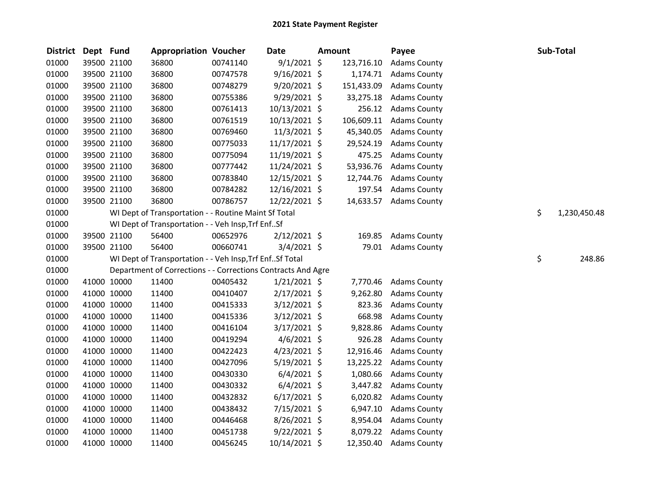| <b>District</b> | Dept Fund |             | <b>Appropriation Voucher</b>                                 |          | <b>Date</b>    | <b>Amount</b> |            | Payee               | Sub-Total          |
|-----------------|-----------|-------------|--------------------------------------------------------------|----------|----------------|---------------|------------|---------------------|--------------------|
| 01000           |           | 39500 21100 | 36800                                                        | 00741140 | $9/1/2021$ \$  |               | 123,716.10 | <b>Adams County</b> |                    |
| 01000           |           | 39500 21100 | 36800                                                        | 00747578 | $9/16/2021$ \$ |               | 1,174.71   | <b>Adams County</b> |                    |
| 01000           |           | 39500 21100 | 36800                                                        | 00748279 | $9/20/2021$ \$ |               | 151,433.09 | <b>Adams County</b> |                    |
| 01000           |           | 39500 21100 | 36800                                                        | 00755386 | 9/29/2021 \$   |               | 33,275.18  | <b>Adams County</b> |                    |
| 01000           |           | 39500 21100 | 36800                                                        | 00761413 | 10/13/2021 \$  |               | 256.12     | <b>Adams County</b> |                    |
| 01000           |           | 39500 21100 | 36800                                                        | 00761519 | 10/13/2021 \$  |               | 106,609.11 | <b>Adams County</b> |                    |
| 01000           |           | 39500 21100 | 36800                                                        | 00769460 | $11/3/2021$ \$ |               | 45,340.05  | <b>Adams County</b> |                    |
| 01000           |           | 39500 21100 | 36800                                                        | 00775033 | 11/17/2021 \$  |               | 29,524.19  | <b>Adams County</b> |                    |
| 01000           |           | 39500 21100 | 36800                                                        | 00775094 | 11/19/2021 \$  |               | 475.25     | <b>Adams County</b> |                    |
| 01000           |           | 39500 21100 | 36800                                                        | 00777442 | 11/24/2021 \$  |               | 53,936.76  | <b>Adams County</b> |                    |
| 01000           |           | 39500 21100 | 36800                                                        | 00783840 | 12/15/2021 \$  |               | 12,744.76  | <b>Adams County</b> |                    |
| 01000           |           | 39500 21100 | 36800                                                        | 00784282 | 12/16/2021 \$  |               | 197.54     | <b>Adams County</b> |                    |
| 01000           |           | 39500 21100 | 36800                                                        | 00786757 | 12/22/2021 \$  |               | 14,633.57  | <b>Adams County</b> |                    |
| 01000           |           |             | WI Dept of Transportation - - Routine Maint Sf Total         |          |                |               |            |                     | \$<br>1,230,450.48 |
| 01000           |           |             | WI Dept of Transportation - - Veh Insp, Trf EnfSf            |          |                |               |            |                     |                    |
| 01000           |           | 39500 21100 | 56400                                                        | 00652976 | 2/12/2021 \$   |               | 169.85     | <b>Adams County</b> |                    |
| 01000           |           | 39500 21100 | 56400                                                        | 00660741 | $3/4/2021$ \$  |               | 79.01      | <b>Adams County</b> |                    |
| 01000           |           |             | WI Dept of Transportation - - Veh Insp, Trf EnfSf Total      |          |                |               |            |                     | \$<br>248.86       |
| 01000           |           |             | Department of Corrections - - Corrections Contracts And Agre |          |                |               |            |                     |                    |
| 01000           |           | 41000 10000 | 11400                                                        | 00405432 | $1/21/2021$ \$ |               | 7,770.46   | <b>Adams County</b> |                    |
| 01000           |           | 41000 10000 | 11400                                                        | 00410407 | $2/17/2021$ \$ |               | 9,262.80   | <b>Adams County</b> |                    |
| 01000           |           | 41000 10000 | 11400                                                        | 00415333 | 3/12/2021 \$   |               | 823.36     | <b>Adams County</b> |                    |
| 01000           |           | 41000 10000 | 11400                                                        | 00415336 | $3/12/2021$ \$ |               | 668.98     | <b>Adams County</b> |                    |
| 01000           |           | 41000 10000 | 11400                                                        | 00416104 | $3/17/2021$ \$ |               | 9,828.86   | <b>Adams County</b> |                    |
| 01000           |           | 41000 10000 | 11400                                                        | 00419294 | $4/6/2021$ \$  |               | 926.28     | <b>Adams County</b> |                    |
| 01000           |           | 41000 10000 | 11400                                                        | 00422423 | $4/23/2021$ \$ |               | 12,916.46  | <b>Adams County</b> |                    |
| 01000           |           | 41000 10000 | 11400                                                        | 00427096 | 5/19/2021 \$   |               | 13,225.22  | <b>Adams County</b> |                    |
| 01000           |           | 41000 10000 | 11400                                                        | 00430330 | $6/4/2021$ \$  |               | 1,080.66   | <b>Adams County</b> |                    |
| 01000           |           | 41000 10000 | 11400                                                        | 00430332 | $6/4/2021$ \$  |               | 3,447.82   | <b>Adams County</b> |                    |
| 01000           |           | 41000 10000 | 11400                                                        | 00432832 | $6/17/2021$ \$ |               | 6,020.82   | <b>Adams County</b> |                    |
| 01000           |           | 41000 10000 | 11400                                                        | 00438432 | 7/15/2021 \$   |               | 6,947.10   | <b>Adams County</b> |                    |
| 01000           |           | 41000 10000 | 11400                                                        | 00446468 | $8/26/2021$ \$ |               | 8,954.04   | <b>Adams County</b> |                    |
| 01000           |           | 41000 10000 | 11400                                                        | 00451738 | $9/22/2021$ \$ |               | 8,079.22   | <b>Adams County</b> |                    |
| 01000           |           | 41000 10000 | 11400                                                        | 00456245 | 10/14/2021 \$  |               | 12,350.40  | <b>Adams County</b> |                    |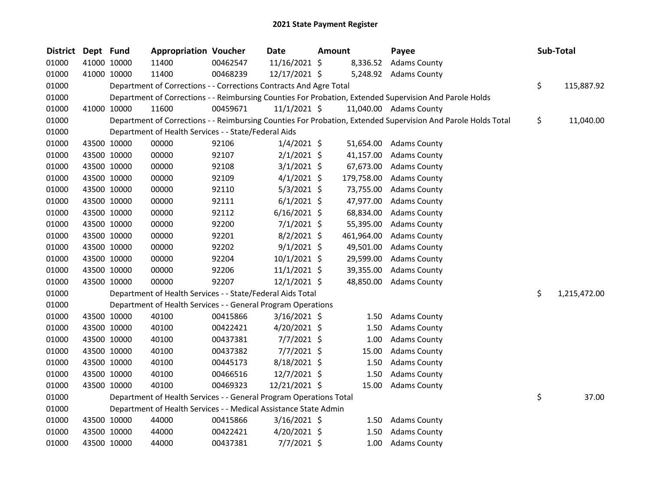| District | Dept Fund |             | <b>Appropriation Voucher</b>                                       |          | Date           | Amount     | Payee                                                                                                         | <b>Sub-Total</b>   |
|----------|-----------|-------------|--------------------------------------------------------------------|----------|----------------|------------|---------------------------------------------------------------------------------------------------------------|--------------------|
| 01000    |           | 41000 10000 | 11400                                                              | 00462547 | 11/16/2021 \$  | 8,336.52   | <b>Adams County</b>                                                                                           |                    |
| 01000    |           | 41000 10000 | 11400                                                              | 00468239 | 12/17/2021 \$  |            | 5,248.92 Adams County                                                                                         |                    |
| 01000    |           |             | Department of Corrections - - Corrections Contracts And Agre Total |          |                |            |                                                                                                               | \$<br>115,887.92   |
| 01000    |           |             |                                                                    |          |                |            | Department of Corrections - - Reimbursing Counties For Probation, Extended Supervision And Parole Holds       |                    |
| 01000    |           | 41000 10000 | 11600                                                              | 00459671 | $11/1/2021$ \$ |            | 11,040.00 Adams County                                                                                        |                    |
| 01000    |           |             |                                                                    |          |                |            | Department of Corrections - - Reimbursing Counties For Probation, Extended Supervision And Parole Holds Total | \$<br>11,040.00    |
| 01000    |           |             | Department of Health Services - - State/Federal Aids               |          |                |            |                                                                                                               |                    |
| 01000    |           | 43500 10000 | 00000                                                              | 92106    | $1/4/2021$ \$  | 51,654.00  | <b>Adams County</b>                                                                                           |                    |
| 01000    |           | 43500 10000 | 00000                                                              | 92107    | $2/1/2021$ \$  | 41,157.00  | <b>Adams County</b>                                                                                           |                    |
| 01000    |           | 43500 10000 | 00000                                                              | 92108    | $3/1/2021$ \$  | 67,673.00  | <b>Adams County</b>                                                                                           |                    |
| 01000    |           | 43500 10000 | 00000                                                              | 92109    | $4/1/2021$ \$  | 179,758.00 | <b>Adams County</b>                                                                                           |                    |
| 01000    |           | 43500 10000 | 00000                                                              | 92110    | $5/3/2021$ \$  | 73,755.00  | <b>Adams County</b>                                                                                           |                    |
| 01000    |           | 43500 10000 | 00000                                                              | 92111    | $6/1/2021$ \$  | 47,977.00  | <b>Adams County</b>                                                                                           |                    |
| 01000    |           | 43500 10000 | 00000                                                              | 92112    | $6/16/2021$ \$ | 68,834.00  | <b>Adams County</b>                                                                                           |                    |
| 01000    |           | 43500 10000 | 00000                                                              | 92200    | $7/1/2021$ \$  | 55,395.00  | <b>Adams County</b>                                                                                           |                    |
| 01000    |           | 43500 10000 | 00000                                                              | 92201    | $8/2/2021$ \$  | 461,964.00 | <b>Adams County</b>                                                                                           |                    |
| 01000    |           | 43500 10000 | 00000                                                              | 92202    | $9/1/2021$ \$  | 49,501.00  | <b>Adams County</b>                                                                                           |                    |
| 01000    |           | 43500 10000 | 00000                                                              | 92204    | $10/1/2021$ \$ | 29,599.00  | <b>Adams County</b>                                                                                           |                    |
| 01000    |           | 43500 10000 | 00000                                                              | 92206    | $11/1/2021$ \$ | 39,355.00  | <b>Adams County</b>                                                                                           |                    |
| 01000    |           | 43500 10000 | 00000                                                              | 92207    | $12/1/2021$ \$ | 48,850.00  | <b>Adams County</b>                                                                                           |                    |
| 01000    |           |             | Department of Health Services - - State/Federal Aids Total         |          |                |            |                                                                                                               | \$<br>1,215,472.00 |
| 01000    |           |             | Department of Health Services - - General Program Operations       |          |                |            |                                                                                                               |                    |
| 01000    |           | 43500 10000 | 40100                                                              | 00415866 | $3/16/2021$ \$ | 1.50       | <b>Adams County</b>                                                                                           |                    |
| 01000    |           | 43500 10000 | 40100                                                              | 00422421 | $4/20/2021$ \$ | 1.50       | <b>Adams County</b>                                                                                           |                    |
| 01000    |           | 43500 10000 | 40100                                                              | 00437381 | $7/7/2021$ \$  | 1.00       | <b>Adams County</b>                                                                                           |                    |
| 01000    |           | 43500 10000 | 40100                                                              | 00437382 | $7/7/2021$ \$  | 15.00      | <b>Adams County</b>                                                                                           |                    |
| 01000    |           | 43500 10000 | 40100                                                              | 00445173 | 8/18/2021 \$   | 1.50       | <b>Adams County</b>                                                                                           |                    |
| 01000    |           | 43500 10000 | 40100                                                              | 00466516 | 12/7/2021 \$   | 1.50       | <b>Adams County</b>                                                                                           |                    |
| 01000    |           | 43500 10000 | 40100                                                              | 00469323 | 12/21/2021 \$  | 15.00      | <b>Adams County</b>                                                                                           |                    |
| 01000    |           |             | Department of Health Services - - General Program Operations Total |          |                |            |                                                                                                               | \$<br>37.00        |
| 01000    |           |             | Department of Health Services - - Medical Assistance State Admin   |          |                |            |                                                                                                               |                    |
| 01000    |           | 43500 10000 | 44000                                                              | 00415866 | $3/16/2021$ \$ | 1.50       | <b>Adams County</b>                                                                                           |                    |
| 01000    |           | 43500 10000 | 44000                                                              | 00422421 | 4/20/2021 \$   | 1.50       | <b>Adams County</b>                                                                                           |                    |
| 01000    |           | 43500 10000 | 44000                                                              | 00437381 | $7/7/2021$ \$  | 1.00       | <b>Adams County</b>                                                                                           |                    |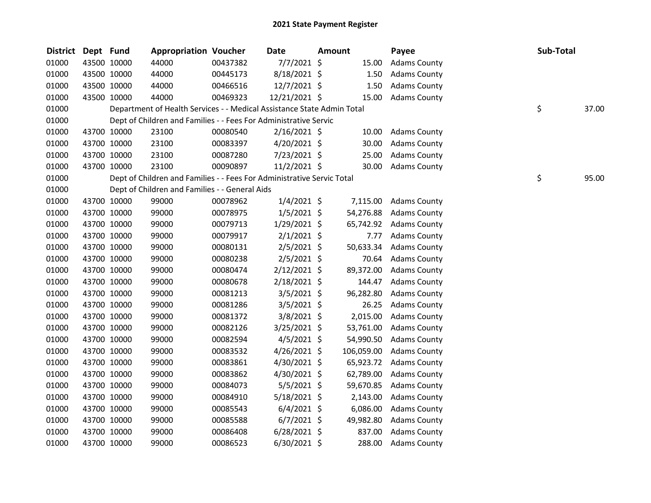| <b>District</b> | Dept Fund |             | <b>Appropriation Voucher</b>                                           |          | <b>Date</b>    | <b>Amount</b> |            | Payee               | Sub-Total |       |
|-----------------|-----------|-------------|------------------------------------------------------------------------|----------|----------------|---------------|------------|---------------------|-----------|-------|
| 01000           |           | 43500 10000 | 44000                                                                  | 00437382 | $7/7/2021$ \$  |               | 15.00      | <b>Adams County</b> |           |       |
| 01000           |           | 43500 10000 | 44000                                                                  | 00445173 | 8/18/2021 \$   |               | 1.50       | <b>Adams County</b> |           |       |
| 01000           |           | 43500 10000 | 44000                                                                  | 00466516 | 12/7/2021 \$   |               | 1.50       | <b>Adams County</b> |           |       |
| 01000           |           | 43500 10000 | 44000                                                                  | 00469323 | 12/21/2021 \$  |               | 15.00      | <b>Adams County</b> |           |       |
| 01000           |           |             | Department of Health Services - - Medical Assistance State Admin Total |          |                |               |            |                     | \$        | 37.00 |
| 01000           |           |             | Dept of Children and Families - - Fees For Administrative Servic       |          |                |               |            |                     |           |       |
| 01000           |           | 43700 10000 | 23100                                                                  | 00080540 | $2/16/2021$ \$ |               | 10.00      | <b>Adams County</b> |           |       |
| 01000           |           | 43700 10000 | 23100                                                                  | 00083397 | $4/20/2021$ \$ |               | 30.00      | <b>Adams County</b> |           |       |
| 01000           |           | 43700 10000 | 23100                                                                  | 00087280 | 7/23/2021 \$   |               | 25.00      | <b>Adams County</b> |           |       |
| 01000           |           | 43700 10000 | 23100                                                                  | 00090897 | 11/2/2021 \$   |               | 30.00      | <b>Adams County</b> |           |       |
| 01000           |           |             | Dept of Children and Families - - Fees For Administrative Servic Total |          |                |               |            |                     | \$        | 95.00 |
| 01000           |           |             | Dept of Children and Families - - General Aids                         |          |                |               |            |                     |           |       |
| 01000           |           | 43700 10000 | 99000                                                                  | 00078962 | $1/4/2021$ \$  |               | 7,115.00   | <b>Adams County</b> |           |       |
| 01000           |           | 43700 10000 | 99000                                                                  | 00078975 | $1/5/2021$ \$  |               | 54,276.88  | <b>Adams County</b> |           |       |
| 01000           |           | 43700 10000 | 99000                                                                  | 00079713 | $1/29/2021$ \$ |               | 65,742.92  | <b>Adams County</b> |           |       |
| 01000           |           | 43700 10000 | 99000                                                                  | 00079917 | $2/1/2021$ \$  |               | 7.77       | <b>Adams County</b> |           |       |
| 01000           |           | 43700 10000 | 99000                                                                  | 00080131 | 2/5/2021 \$    |               | 50,633.34  | <b>Adams County</b> |           |       |
| 01000           |           | 43700 10000 | 99000                                                                  | 00080238 | $2/5/2021$ \$  |               | 70.64      | <b>Adams County</b> |           |       |
| 01000           |           | 43700 10000 | 99000                                                                  | 00080474 | $2/12/2021$ \$ |               | 89,372.00  | <b>Adams County</b> |           |       |
| 01000           |           | 43700 10000 | 99000                                                                  | 00080678 | $2/18/2021$ \$ |               | 144.47     | <b>Adams County</b> |           |       |
| 01000           |           | 43700 10000 | 99000                                                                  | 00081213 | $3/5/2021$ \$  |               | 96,282.80  | <b>Adams County</b> |           |       |
| 01000           |           | 43700 10000 | 99000                                                                  | 00081286 | $3/5/2021$ \$  |               | 26.25      | <b>Adams County</b> |           |       |
| 01000           |           | 43700 10000 | 99000                                                                  | 00081372 | 3/8/2021 \$    |               | 2,015.00   | <b>Adams County</b> |           |       |
| 01000           |           | 43700 10000 | 99000                                                                  | 00082126 | 3/25/2021 \$   |               | 53,761.00  | <b>Adams County</b> |           |       |
| 01000           |           | 43700 10000 | 99000                                                                  | 00082594 | $4/5/2021$ \$  |               | 54,990.50  | <b>Adams County</b> |           |       |
| 01000           |           | 43700 10000 | 99000                                                                  | 00083532 | 4/26/2021 \$   |               | 106,059.00 | <b>Adams County</b> |           |       |
| 01000           |           | 43700 10000 | 99000                                                                  | 00083861 | 4/30/2021 \$   |               | 65,923.72  | <b>Adams County</b> |           |       |
| 01000           |           | 43700 10000 | 99000                                                                  | 00083862 | 4/30/2021 \$   |               | 62,789.00  | <b>Adams County</b> |           |       |
| 01000           |           | 43700 10000 | 99000                                                                  | 00084073 | $5/5/2021$ \$  |               | 59,670.85  | <b>Adams County</b> |           |       |
| 01000           |           | 43700 10000 | 99000                                                                  | 00084910 | 5/18/2021 \$   |               | 2,143.00   | <b>Adams County</b> |           |       |
| 01000           |           | 43700 10000 | 99000                                                                  | 00085543 | $6/4/2021$ \$  |               | 6,086.00   | <b>Adams County</b> |           |       |
| 01000           |           | 43700 10000 | 99000                                                                  | 00085588 | $6/7/2021$ \$  |               | 49,982.80  | <b>Adams County</b> |           |       |
| 01000           |           | 43700 10000 | 99000                                                                  | 00086408 | $6/28/2021$ \$ |               | 837.00     | <b>Adams County</b> |           |       |
| 01000           |           | 43700 10000 | 99000                                                                  | 00086523 | 6/30/2021 \$   |               | 288.00     | <b>Adams County</b> |           |       |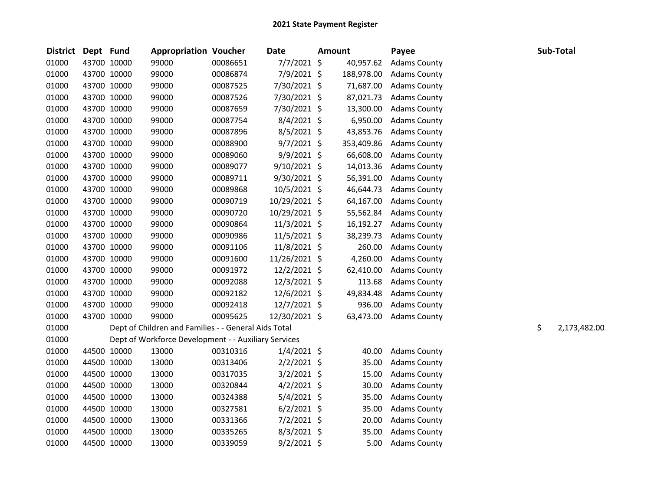| District Dept Fund |             | <b>Appropriation Voucher</b>                         |          | <b>Date</b>    | <b>Amount</b> |            | Payee               |    | Sub-Total    |
|--------------------|-------------|------------------------------------------------------|----------|----------------|---------------|------------|---------------------|----|--------------|
| 01000              | 43700 10000 | 99000                                                | 00086651 | 7/7/2021 \$    |               | 40,957.62  | <b>Adams County</b> |    |              |
| 01000              | 43700 10000 | 99000                                                | 00086874 | 7/9/2021 \$    |               | 188,978.00 | <b>Adams County</b> |    |              |
| 01000              | 43700 10000 | 99000                                                | 00087525 | 7/30/2021 \$   |               | 71,687.00  | <b>Adams County</b> |    |              |
| 01000              | 43700 10000 | 99000                                                | 00087526 | 7/30/2021 \$   |               | 87,021.73  | <b>Adams County</b> |    |              |
| 01000              | 43700 10000 | 99000                                                | 00087659 | 7/30/2021 \$   |               | 13,300.00  | <b>Adams County</b> |    |              |
| 01000              | 43700 10000 | 99000                                                | 00087754 | $8/4/2021$ \$  |               | 6,950.00   | <b>Adams County</b> |    |              |
| 01000              | 43700 10000 | 99000                                                | 00087896 | $8/5/2021$ \$  |               | 43,853.76  | <b>Adams County</b> |    |              |
| 01000              | 43700 10000 | 99000                                                | 00088900 | $9/7/2021$ \$  |               | 353,409.86 | <b>Adams County</b> |    |              |
| 01000              | 43700 10000 | 99000                                                | 00089060 | $9/9/2021$ \$  |               | 66,608.00  | <b>Adams County</b> |    |              |
| 01000              | 43700 10000 | 99000                                                | 00089077 | 9/10/2021 \$   |               | 14,013.36  | <b>Adams County</b> |    |              |
| 01000              | 43700 10000 | 99000                                                | 00089711 | 9/30/2021 \$   |               | 56,391.00  | <b>Adams County</b> |    |              |
| 01000              | 43700 10000 | 99000                                                | 00089868 | 10/5/2021 \$   |               | 46,644.73  | <b>Adams County</b> |    |              |
| 01000              | 43700 10000 | 99000                                                | 00090719 | 10/29/2021 \$  |               | 64,167.00  | <b>Adams County</b> |    |              |
| 01000              | 43700 10000 | 99000                                                | 00090720 | 10/29/2021 \$  |               | 55,562.84  | <b>Adams County</b> |    |              |
| 01000              | 43700 10000 | 99000                                                | 00090864 | 11/3/2021 \$   |               | 16,192.27  | <b>Adams County</b> |    |              |
| 01000              | 43700 10000 | 99000                                                | 00090986 | $11/5/2021$ \$ |               | 38,239.73  | <b>Adams County</b> |    |              |
| 01000              | 43700 10000 | 99000                                                | 00091106 | 11/8/2021 \$   |               | 260.00     | <b>Adams County</b> |    |              |
| 01000              | 43700 10000 | 99000                                                | 00091600 | 11/26/2021 \$  |               | 4,260.00   | <b>Adams County</b> |    |              |
| 01000              | 43700 10000 | 99000                                                | 00091972 | 12/2/2021 \$   |               | 62,410.00  | <b>Adams County</b> |    |              |
| 01000              | 43700 10000 | 99000                                                | 00092088 | 12/3/2021 \$   |               | 113.68     | <b>Adams County</b> |    |              |
| 01000              | 43700 10000 | 99000                                                | 00092182 | 12/6/2021 \$   |               | 49,834.48  | <b>Adams County</b> |    |              |
| 01000              | 43700 10000 | 99000                                                | 00092418 | 12/7/2021 \$   |               | 936.00     | <b>Adams County</b> |    |              |
| 01000              | 43700 10000 | 99000                                                | 00095625 | 12/30/2021 \$  |               | 63,473.00  | <b>Adams County</b> |    |              |
| 01000              |             | Dept of Children and Families - - General Aids Total |          |                |               |            |                     | \$ | 2,173,482.00 |
| 01000              |             | Dept of Workforce Development - - Auxiliary Services |          |                |               |            |                     |    |              |
| 01000              | 44500 10000 | 13000                                                | 00310316 | $1/4/2021$ \$  |               | 40.00      | <b>Adams County</b> |    |              |
| 01000              | 44500 10000 | 13000                                                | 00313406 | $2/2/2021$ \$  |               | 35.00      | <b>Adams County</b> |    |              |
| 01000              | 44500 10000 | 13000                                                | 00317035 | $3/2/2021$ \$  |               | 15.00      | <b>Adams County</b> |    |              |
| 01000              | 44500 10000 | 13000                                                | 00320844 | $4/2/2021$ \$  |               | 30.00      | <b>Adams County</b> |    |              |
| 01000              | 44500 10000 | 13000                                                | 00324388 | 5/4/2021 \$    |               | 35.00      | <b>Adams County</b> |    |              |
| 01000              | 44500 10000 | 13000                                                | 00327581 | $6/2/2021$ \$  |               | 35.00      | <b>Adams County</b> |    |              |
| 01000              | 44500 10000 | 13000                                                | 00331366 | 7/2/2021 \$    |               | 20.00      | <b>Adams County</b> |    |              |
| 01000              | 44500 10000 | 13000                                                | 00335265 | $8/3/2021$ \$  |               | 35.00      | <b>Adams County</b> |    |              |
| 01000              | 44500 10000 | 13000                                                | 00339059 | $9/2/2021$ \$  |               | 5.00       | <b>Adams County</b> |    |              |
|                    |             |                                                      |          |                |               |            |                     |    |              |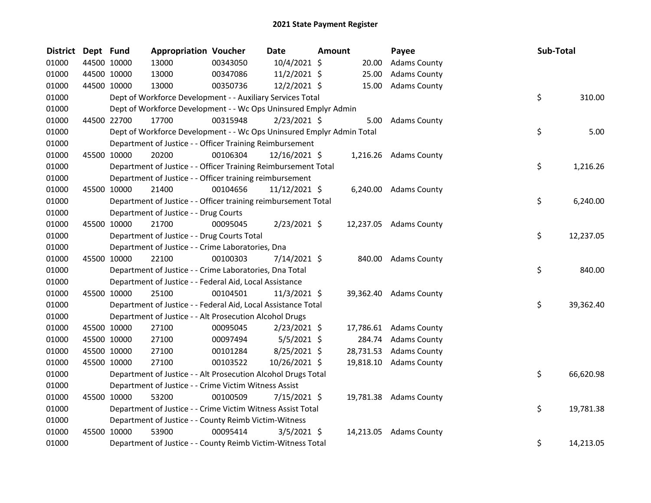| <b>District</b> | Dept Fund |             | <b>Appropriation Voucher</b>                                          |          | <b>Date</b>    | Amount |           | Payee                  |     | Sub-Total |
|-----------------|-----------|-------------|-----------------------------------------------------------------------|----------|----------------|--------|-----------|------------------------|-----|-----------|
| 01000           |           | 44500 10000 | 13000                                                                 | 00343050 | 10/4/2021 \$   |        | 20.00     | <b>Adams County</b>    |     |           |
| 01000           |           | 44500 10000 | 13000                                                                 | 00347086 | 11/2/2021 \$   |        | 25.00     | <b>Adams County</b>    |     |           |
| 01000           |           | 44500 10000 | 13000                                                                 | 00350736 | 12/2/2021 \$   |        | 15.00     | <b>Adams County</b>    |     |           |
| 01000           |           |             | Dept of Workforce Development - - Auxiliary Services Total            |          |                |        |           |                        | \$. | 310.00    |
| 01000           |           |             | Dept of Workforce Development - - Wc Ops Uninsured Emplyr Admin       |          |                |        |           |                        |     |           |
| 01000           |           | 44500 22700 | 17700                                                                 | 00315948 | $2/23/2021$ \$ |        | 5.00      | <b>Adams County</b>    |     |           |
| 01000           |           |             | Dept of Workforce Development - - Wc Ops Uninsured Emplyr Admin Total |          |                |        |           |                        | \$  | 5.00      |
| 01000           |           |             | Department of Justice - - Officer Training Reimbursement              |          |                |        |           |                        |     |           |
| 01000           |           | 45500 10000 | 20200                                                                 | 00106304 | 12/16/2021 \$  |        |           | 1,216.26 Adams County  |     |           |
| 01000           |           |             | Department of Justice - - Officer Training Reimbursement Total        |          |                |        |           |                        | \$  | 1,216.26  |
| 01000           |           |             | Department of Justice - - Officer training reimbursement              |          |                |        |           |                        |     |           |
| 01000           |           | 45500 10000 | 21400                                                                 | 00104656 | 11/12/2021 \$  |        |           | 6,240.00 Adams County  |     |           |
| 01000           |           |             | Department of Justice - - Officer training reimbursement Total        |          |                |        |           |                        | \$  | 6,240.00  |
| 01000           |           |             | Department of Justice - - Drug Courts                                 |          |                |        |           |                        |     |           |
| 01000           |           | 45500 10000 | 21700                                                                 | 00095045 | $2/23/2021$ \$ |        |           | 12,237.05 Adams County |     |           |
| 01000           |           |             | Department of Justice - - Drug Courts Total                           |          |                |        |           |                        | \$. | 12,237.05 |
| 01000           |           |             | Department of Justice - - Crime Laboratories, Dna                     |          |                |        |           |                        |     |           |
| 01000           |           | 45500 10000 | 22100                                                                 | 00100303 | 7/14/2021 \$   |        |           | 840.00 Adams County    |     |           |
| 01000           |           |             | Department of Justice - - Crime Laboratories, Dna Total               |          |                |        |           |                        | \$  | 840.00    |
| 01000           |           |             | Department of Justice - - Federal Aid, Local Assistance               |          |                |        |           |                        |     |           |
| 01000           |           | 45500 10000 | 25100                                                                 | 00104501 | $11/3/2021$ \$ |        |           | 39,362.40 Adams County |     |           |
| 01000           |           |             | Department of Justice - - Federal Aid, Local Assistance Total         |          |                |        |           |                        | \$  | 39,362.40 |
| 01000           |           |             | Department of Justice - - Alt Prosecution Alcohol Drugs               |          |                |        |           |                        |     |           |
| 01000           |           | 45500 10000 | 27100                                                                 | 00095045 | $2/23/2021$ \$ |        |           | 17,786.61 Adams County |     |           |
| 01000           |           | 45500 10000 | 27100                                                                 | 00097494 | $5/5/2021$ \$  |        | 284.74    | <b>Adams County</b>    |     |           |
| 01000           |           | 45500 10000 | 27100                                                                 | 00101284 | 8/25/2021 \$   |        | 28,731.53 | <b>Adams County</b>    |     |           |
| 01000           |           | 45500 10000 | 27100                                                                 | 00103522 | 10/26/2021 \$  |        |           | 19,818.10 Adams County |     |           |
| 01000           |           |             | Department of Justice - - Alt Prosecution Alcohol Drugs Total         |          |                |        |           |                        | \$  | 66,620.98 |
| 01000           |           |             | Department of Justice - - Crime Victim Witness Assist                 |          |                |        |           |                        |     |           |
| 01000           |           | 45500 10000 | 53200                                                                 | 00100509 | 7/15/2021 \$   |        |           | 19,781.38 Adams County |     |           |
| 01000           |           |             | Department of Justice - - Crime Victim Witness Assist Total           |          |                |        |           |                        | \$  | 19,781.38 |
| 01000           |           |             | Department of Justice - - County Reimb Victim-Witness                 |          |                |        |           |                        |     |           |
| 01000           |           | 45500 10000 | 53900                                                                 | 00095414 | $3/5/2021$ \$  |        | 14,213.05 | <b>Adams County</b>    |     |           |
| 01000           |           |             | Department of Justice - - County Reimb Victim-Witness Total           |          |                |        |           |                        | \$  | 14,213.05 |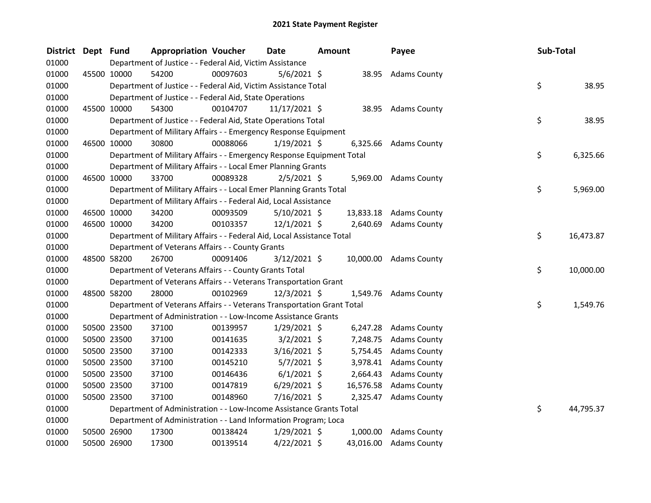| <b>District</b> | Dept Fund |             | <b>Appropriation Voucher</b>                                           |          | Date            | Amount |           | Payee                  | Sub-Total |           |
|-----------------|-----------|-------------|------------------------------------------------------------------------|----------|-----------------|--------|-----------|------------------------|-----------|-----------|
| 01000           |           |             | Department of Justice - - Federal Aid, Victim Assistance               |          |                 |        |           |                        |           |           |
| 01000           |           | 45500 10000 | 54200                                                                  | 00097603 | $5/6/2021$ \$   |        |           | 38.95 Adams County     |           |           |
| 01000           |           |             | Department of Justice - - Federal Aid, Victim Assistance Total         |          |                 |        |           |                        | \$        | 38.95     |
| 01000           |           |             | Department of Justice - - Federal Aid, State Operations                |          |                 |        |           |                        |           |           |
| 01000           |           | 45500 10000 | 54300                                                                  | 00104707 | $11/17/2021$ \$ |        | 38.95     | <b>Adams County</b>    |           |           |
| 01000           |           |             | Department of Justice - - Federal Aid, State Operations Total          |          |                 |        |           |                        | \$        | 38.95     |
| 01000           |           |             | Department of Military Affairs - - Emergency Response Equipment        |          |                 |        |           |                        |           |           |
| 01000           |           | 46500 10000 | 30800                                                                  | 00088066 | $1/19/2021$ \$  |        | 6,325.66  | <b>Adams County</b>    |           |           |
| 01000           |           |             | Department of Military Affairs - - Emergency Response Equipment Total  |          |                 |        |           |                        | \$        | 6,325.66  |
| 01000           |           |             | Department of Military Affairs - - Local Emer Planning Grants          |          |                 |        |           |                        |           |           |
| 01000           | 46500     | 10000       | 33700                                                                  | 00089328 | $2/5/2021$ \$   |        | 5,969.00  | <b>Adams County</b>    |           |           |
| 01000           |           |             | Department of Military Affairs - - Local Emer Planning Grants Total    |          |                 |        |           |                        | \$        | 5,969.00  |
| 01000           |           |             | Department of Military Affairs - - Federal Aid, Local Assistance       |          |                 |        |           |                        |           |           |
| 01000           |           | 46500 10000 | 34200                                                                  | 00093509 | $5/10/2021$ \$  |        | 13,833.18 | <b>Adams County</b>    |           |           |
| 01000           |           | 46500 10000 | 34200                                                                  | 00103357 | $12/1/2021$ \$  |        | 2,640.69  | <b>Adams County</b>    |           |           |
| 01000           |           |             | Department of Military Affairs - - Federal Aid, Local Assistance Total |          |                 |        |           |                        | \$        | 16,473.87 |
| 01000           |           |             | Department of Veterans Affairs - - County Grants                       |          |                 |        |           |                        |           |           |
| 01000           |           | 48500 58200 | 26700                                                                  | 00091406 | $3/12/2021$ \$  |        |           | 10,000.00 Adams County |           |           |
| 01000           |           |             | Department of Veterans Affairs - - County Grants Total                 |          |                 |        |           |                        | \$        | 10,000.00 |
| 01000           |           |             | Department of Veterans Affairs - - Veterans Transportation Grant       |          |                 |        |           |                        |           |           |
| 01000           |           | 48500 58200 | 28000                                                                  | 00102969 | 12/3/2021 \$    |        | 1,549.76  | <b>Adams County</b>    |           |           |
| 01000           |           |             | Department of Veterans Affairs - - Veterans Transportation Grant Total |          |                 |        |           |                        | \$        | 1,549.76  |
| 01000           |           |             | Department of Administration - - Low-Income Assistance Grants          |          |                 |        |           |                        |           |           |
| 01000           |           | 50500 23500 | 37100                                                                  | 00139957 | $1/29/2021$ \$  |        | 6,247.28  | <b>Adams County</b>    |           |           |
| 01000           |           | 50500 23500 | 37100                                                                  | 00141635 | $3/2/2021$ \$   |        | 7,248.75  | <b>Adams County</b>    |           |           |
| 01000           |           | 50500 23500 | 37100                                                                  | 00142333 | $3/16/2021$ \$  |        | 5,754.45  | <b>Adams County</b>    |           |           |
| 01000           |           | 50500 23500 | 37100                                                                  | 00145210 | $5/7/2021$ \$   |        | 3,978.41  | <b>Adams County</b>    |           |           |
| 01000           |           | 50500 23500 | 37100                                                                  | 00146436 | $6/1/2021$ \$   |        | 2,664.43  | <b>Adams County</b>    |           |           |
| 01000           |           | 50500 23500 | 37100                                                                  | 00147819 | $6/29/2021$ \$  |        | 16,576.58 | <b>Adams County</b>    |           |           |
| 01000           |           | 50500 23500 | 37100                                                                  | 00148960 | 7/16/2021 \$    |        | 2,325.47  | <b>Adams County</b>    |           |           |
| 01000           |           |             | Department of Administration - - Low-Income Assistance Grants Total    |          |                 |        |           |                        | \$        | 44,795.37 |
| 01000           |           |             | Department of Administration - - Land Information Program; Loca        |          |                 |        |           |                        |           |           |
| 01000           |           | 50500 26900 | 17300                                                                  | 00138424 | $1/29/2021$ \$  |        | 1,000.00  | <b>Adams County</b>    |           |           |
| 01000           |           | 50500 26900 | 17300                                                                  | 00139514 | $4/22/2021$ \$  |        | 43,016.00 | <b>Adams County</b>    |           |           |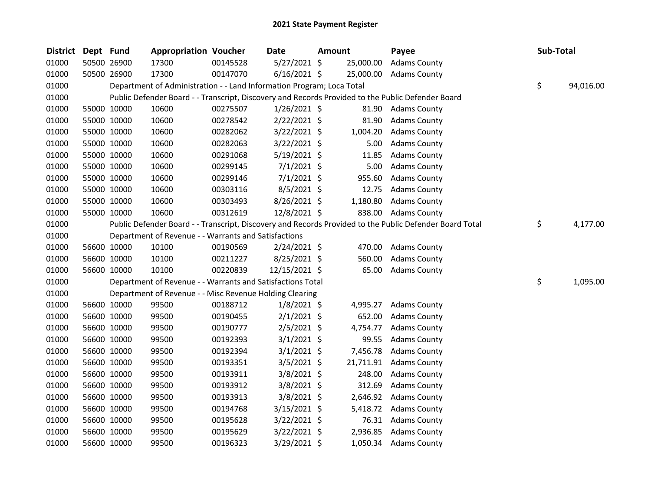| <b>District</b> | Dept Fund |             | <b>Appropriation Voucher</b>                                          |          | Date           | Amount |           | Payee                                                                                                   | Sub-Total |           |
|-----------------|-----------|-------------|-----------------------------------------------------------------------|----------|----------------|--------|-----------|---------------------------------------------------------------------------------------------------------|-----------|-----------|
| 01000           |           | 50500 26900 | 17300                                                                 | 00145528 | 5/27/2021 \$   |        | 25,000.00 | <b>Adams County</b>                                                                                     |           |           |
| 01000           |           | 50500 26900 | 17300                                                                 | 00147070 | $6/16/2021$ \$ |        | 25,000.00 | <b>Adams County</b>                                                                                     |           |           |
| 01000           |           |             | Department of Administration - - Land Information Program; Loca Total |          |                |        |           |                                                                                                         | \$        | 94,016.00 |
| 01000           |           |             |                                                                       |          |                |        |           | Public Defender Board - - Transcript, Discovery and Records Provided to the Public Defender Board       |           |           |
| 01000           |           | 55000 10000 | 10600                                                                 | 00275507 | $1/26/2021$ \$ |        | 81.90     | <b>Adams County</b>                                                                                     |           |           |
| 01000           |           | 55000 10000 | 10600                                                                 | 00278542 | $2/22/2021$ \$ |        | 81.90     | <b>Adams County</b>                                                                                     |           |           |
| 01000           |           | 55000 10000 | 10600                                                                 | 00282062 | 3/22/2021 \$   |        | 1,004.20  | <b>Adams County</b>                                                                                     |           |           |
| 01000           |           | 55000 10000 | 10600                                                                 | 00282063 | 3/22/2021 \$   |        | 5.00      | <b>Adams County</b>                                                                                     |           |           |
| 01000           |           | 55000 10000 | 10600                                                                 | 00291068 | 5/19/2021 \$   |        | 11.85     | <b>Adams County</b>                                                                                     |           |           |
| 01000           |           | 55000 10000 | 10600                                                                 | 00299145 | $7/1/2021$ \$  |        | 5.00      | <b>Adams County</b>                                                                                     |           |           |
| 01000           |           | 55000 10000 | 10600                                                                 | 00299146 | $7/1/2021$ \$  |        | 955.60    | <b>Adams County</b>                                                                                     |           |           |
| 01000           |           | 55000 10000 | 10600                                                                 | 00303116 | $8/5/2021$ \$  |        | 12.75     | <b>Adams County</b>                                                                                     |           |           |
| 01000           |           | 55000 10000 | 10600                                                                 | 00303493 | 8/26/2021 \$   |        | 1,180.80  | <b>Adams County</b>                                                                                     |           |           |
| 01000           |           | 55000 10000 | 10600                                                                 | 00312619 | 12/8/2021 \$   |        |           | 838.00 Adams County                                                                                     |           |           |
| 01000           |           |             |                                                                       |          |                |        |           | Public Defender Board - - Transcript, Discovery and Records Provided to the Public Defender Board Total | \$        | 4,177.00  |
| 01000           |           |             | Department of Revenue - - Warrants and Satisfactions                  |          |                |        |           |                                                                                                         |           |           |
| 01000           |           | 56600 10000 | 10100                                                                 | 00190569 | $2/24/2021$ \$ |        | 470.00    | <b>Adams County</b>                                                                                     |           |           |
| 01000           |           | 56600 10000 | 10100                                                                 | 00211227 | $8/25/2021$ \$ |        | 560.00    | <b>Adams County</b>                                                                                     |           |           |
| 01000           |           | 56600 10000 | 10100                                                                 | 00220839 | 12/15/2021 \$  |        | 65.00     | <b>Adams County</b>                                                                                     |           |           |
| 01000           |           |             | Department of Revenue - - Warrants and Satisfactions Total            |          |                |        |           |                                                                                                         | \$        | 1,095.00  |
| 01000           |           |             | Department of Revenue - - Misc Revenue Holding Clearing               |          |                |        |           |                                                                                                         |           |           |
| 01000           |           | 56600 10000 | 99500                                                                 | 00188712 | $1/8/2021$ \$  |        | 4,995.27  | <b>Adams County</b>                                                                                     |           |           |
| 01000           |           | 56600 10000 | 99500                                                                 | 00190455 | $2/1/2021$ \$  |        | 652.00    | <b>Adams County</b>                                                                                     |           |           |
| 01000           |           | 56600 10000 | 99500                                                                 | 00190777 | $2/5/2021$ \$  |        | 4,754.77  | <b>Adams County</b>                                                                                     |           |           |
| 01000           |           | 56600 10000 | 99500                                                                 | 00192393 | $3/1/2021$ \$  |        | 99.55     | <b>Adams County</b>                                                                                     |           |           |
| 01000           |           | 56600 10000 | 99500                                                                 | 00192394 | $3/1/2021$ \$  |        | 7,456.78  | <b>Adams County</b>                                                                                     |           |           |
| 01000           |           | 56600 10000 | 99500                                                                 | 00193351 | $3/5/2021$ \$  |        | 21,711.91 | <b>Adams County</b>                                                                                     |           |           |
| 01000           |           | 56600 10000 | 99500                                                                 | 00193911 | $3/8/2021$ \$  |        | 248.00    | <b>Adams County</b>                                                                                     |           |           |
| 01000           |           | 56600 10000 | 99500                                                                 | 00193912 | $3/8/2021$ \$  |        | 312.69    | <b>Adams County</b>                                                                                     |           |           |
| 01000           |           | 56600 10000 | 99500                                                                 | 00193913 | $3/8/2021$ \$  |        | 2,646.92  | <b>Adams County</b>                                                                                     |           |           |
| 01000           |           | 56600 10000 | 99500                                                                 | 00194768 | $3/15/2021$ \$ |        |           | 5,418.72 Adams County                                                                                   |           |           |
| 01000           |           | 56600 10000 | 99500                                                                 | 00195628 | 3/22/2021 \$   |        | 76.31     | <b>Adams County</b>                                                                                     |           |           |
| 01000           |           | 56600 10000 | 99500                                                                 | 00195629 | $3/22/2021$ \$ |        | 2,936.85  | <b>Adams County</b>                                                                                     |           |           |
| 01000           |           | 56600 10000 | 99500                                                                 | 00196323 | 3/29/2021 \$   |        |           | 1,050.34 Adams County                                                                                   |           |           |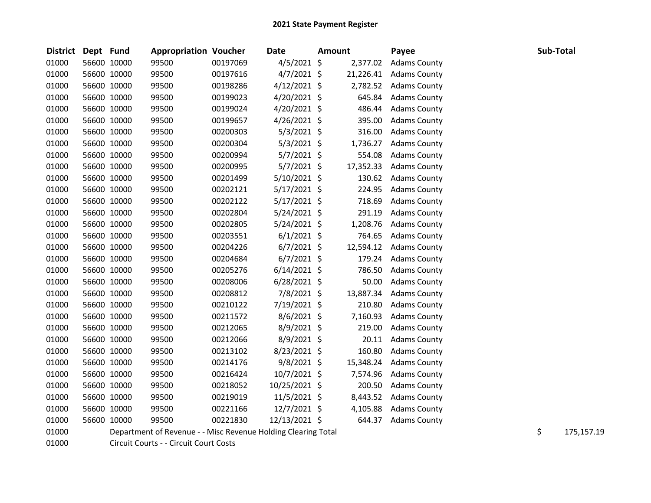| <b>District</b> | Dept Fund |             | <b>Appropriation Voucher</b>                                  |          | <b>Date</b>    | <b>Amount</b> |           | Payee               | Sub-Total |            |
|-----------------|-----------|-------------|---------------------------------------------------------------|----------|----------------|---------------|-----------|---------------------|-----------|------------|
| 01000           |           | 56600 10000 | 99500                                                         | 00197069 | $4/5/2021$ \$  |               | 2,377.02  | <b>Adams County</b> |           |            |
| 01000           |           | 56600 10000 | 99500                                                         | 00197616 | $4/7/2021$ \$  |               | 21,226.41 | <b>Adams County</b> |           |            |
| 01000           |           | 56600 10000 | 99500                                                         | 00198286 | $4/12/2021$ \$ |               | 2,782.52  | <b>Adams County</b> |           |            |
| 01000           |           | 56600 10000 | 99500                                                         | 00199023 | 4/20/2021 \$   |               | 645.84    | <b>Adams County</b> |           |            |
| 01000           |           | 56600 10000 | 99500                                                         | 00199024 | 4/20/2021 \$   |               | 486.44    | <b>Adams County</b> |           |            |
| 01000           |           | 56600 10000 | 99500                                                         | 00199657 | $4/26/2021$ \$ |               | 395.00    | <b>Adams County</b> |           |            |
| 01000           |           | 56600 10000 | 99500                                                         | 00200303 | $5/3/2021$ \$  |               | 316.00    | <b>Adams County</b> |           |            |
| 01000           |           | 56600 10000 | 99500                                                         | 00200304 | $5/3/2021$ \$  |               | 1,736.27  | <b>Adams County</b> |           |            |
| 01000           |           | 56600 10000 | 99500                                                         | 00200994 | $5/7/2021$ \$  |               | 554.08    | <b>Adams County</b> |           |            |
| 01000           |           | 56600 10000 | 99500                                                         | 00200995 | $5/7/2021$ \$  |               | 17,352.33 | <b>Adams County</b> |           |            |
| 01000           |           | 56600 10000 | 99500                                                         | 00201499 | 5/10/2021 \$   |               | 130.62    | <b>Adams County</b> |           |            |
| 01000           |           | 56600 10000 | 99500                                                         | 00202121 | 5/17/2021 \$   |               | 224.95    | <b>Adams County</b> |           |            |
| 01000           |           | 56600 10000 | 99500                                                         | 00202122 | 5/17/2021 \$   |               | 718.69    | <b>Adams County</b> |           |            |
| 01000           |           | 56600 10000 | 99500                                                         | 00202804 | 5/24/2021 \$   |               | 291.19    | <b>Adams County</b> |           |            |
| 01000           |           | 56600 10000 | 99500                                                         | 00202805 | 5/24/2021 \$   |               | 1,208.76  | <b>Adams County</b> |           |            |
| 01000           |           | 56600 10000 | 99500                                                         | 00203551 | $6/1/2021$ \$  |               | 764.65    | <b>Adams County</b> |           |            |
| 01000           |           | 56600 10000 | 99500                                                         | 00204226 | $6/7/2021$ \$  |               | 12,594.12 | <b>Adams County</b> |           |            |
| 01000           |           | 56600 10000 | 99500                                                         | 00204684 | $6/7/2021$ \$  |               | 179.24    | <b>Adams County</b> |           |            |
| 01000           |           | 56600 10000 | 99500                                                         | 00205276 | $6/14/2021$ \$ |               | 786.50    | <b>Adams County</b> |           |            |
| 01000           |           | 56600 10000 | 99500                                                         | 00208006 | $6/28/2021$ \$ |               | 50.00     | <b>Adams County</b> |           |            |
| 01000           |           | 56600 10000 | 99500                                                         | 00208812 | 7/8/2021 \$    |               | 13,887.34 | <b>Adams County</b> |           |            |
| 01000           |           | 56600 10000 | 99500                                                         | 00210122 | 7/19/2021 \$   |               | 210.80    | <b>Adams County</b> |           |            |
| 01000           |           | 56600 10000 | 99500                                                         | 00211572 | $8/6/2021$ \$  |               | 7,160.93  | <b>Adams County</b> |           |            |
| 01000           |           | 56600 10000 | 99500                                                         | 00212065 | $8/9/2021$ \$  |               | 219.00    | <b>Adams County</b> |           |            |
| 01000           |           | 56600 10000 | 99500                                                         | 00212066 | 8/9/2021 \$    |               | 20.11     | <b>Adams County</b> |           |            |
| 01000           |           | 56600 10000 | 99500                                                         | 00213102 | 8/23/2021 \$   |               | 160.80    | <b>Adams County</b> |           |            |
| 01000           |           | 56600 10000 | 99500                                                         | 00214176 | 9/8/2021 \$    |               | 15,348.24 | <b>Adams County</b> |           |            |
| 01000           |           | 56600 10000 | 99500                                                         | 00216424 | 10/7/2021 \$   |               | 7,574.96  | <b>Adams County</b> |           |            |
| 01000           |           | 56600 10000 | 99500                                                         | 00218052 | 10/25/2021 \$  |               | 200.50    | <b>Adams County</b> |           |            |
| 01000           |           | 56600 10000 | 99500                                                         | 00219019 | $11/5/2021$ \$ |               | 8,443.52  | <b>Adams County</b> |           |            |
| 01000           |           | 56600 10000 | 99500                                                         | 00221166 | 12/7/2021 \$   |               | 4,105.88  | <b>Adams County</b> |           |            |
| 01000           |           | 56600 10000 | 99500                                                         | 00221830 | 12/13/2021 \$  |               | 644.37    | <b>Adams County</b> |           |            |
| 01000           |           |             | Department of Revenue - - Misc Revenue Holding Clearing Total |          |                |               |           |                     | \$        | 175,157.19 |



Circuit Courts - - Circuit Court Costs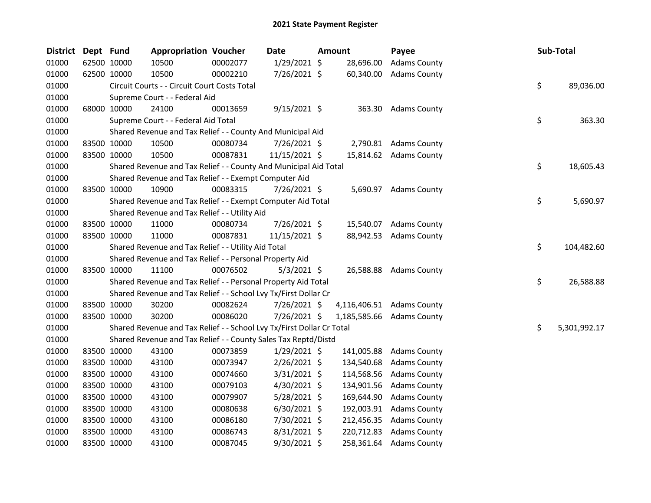| District | Dept Fund |             | <b>Appropriation Voucher</b>                                          |          | Date           | <b>Amount</b> | Payee                     |    | Sub-Total    |
|----------|-----------|-------------|-----------------------------------------------------------------------|----------|----------------|---------------|---------------------------|----|--------------|
| 01000    |           | 62500 10000 | 10500                                                                 | 00002077 | $1/29/2021$ \$ | 28,696.00     | <b>Adams County</b>       |    |              |
| 01000    |           | 62500 10000 | 10500                                                                 | 00002210 | 7/26/2021 \$   | 60,340.00     | <b>Adams County</b>       |    |              |
| 01000    |           |             | Circuit Courts - - Circuit Court Costs Total                          |          |                |               |                           | \$ | 89,036.00    |
| 01000    |           |             | Supreme Court - - Federal Aid                                         |          |                |               |                           |    |              |
| 01000    |           | 68000 10000 | 24100                                                                 | 00013659 | $9/15/2021$ \$ |               | 363.30 Adams County       |    |              |
| 01000    |           |             | Supreme Court - - Federal Aid Total                                   |          |                |               |                           | \$ | 363.30       |
| 01000    |           |             | Shared Revenue and Tax Relief - - County And Municipal Aid            |          |                |               |                           |    |              |
| 01000    |           | 83500 10000 | 10500                                                                 | 00080734 | 7/26/2021 \$   |               | 2,790.81 Adams County     |    |              |
| 01000    |           | 83500 10000 | 10500                                                                 | 00087831 | 11/15/2021 \$  |               | 15,814.62 Adams County    |    |              |
| 01000    |           |             | Shared Revenue and Tax Relief - - County And Municipal Aid Total      |          |                |               |                           | \$ | 18,605.43    |
| 01000    |           |             | Shared Revenue and Tax Relief - - Exempt Computer Aid                 |          |                |               |                           |    |              |
| 01000    |           | 83500 10000 | 10900                                                                 | 00083315 | 7/26/2021 \$   |               | 5,690.97 Adams County     |    |              |
| 01000    |           |             | Shared Revenue and Tax Relief - - Exempt Computer Aid Total           |          |                |               |                           | \$ | 5,690.97     |
| 01000    |           |             | Shared Revenue and Tax Relief - - Utility Aid                         |          |                |               |                           |    |              |
| 01000    |           | 83500 10000 | 11000                                                                 | 00080734 | 7/26/2021 \$   |               | 15,540.07 Adams County    |    |              |
| 01000    |           | 83500 10000 | 11000                                                                 | 00087831 | 11/15/2021 \$  |               | 88,942.53 Adams County    |    |              |
| 01000    |           |             | Shared Revenue and Tax Relief - - Utility Aid Total                   |          |                |               |                           | \$ | 104,482.60   |
| 01000    |           |             | Shared Revenue and Tax Relief - - Personal Property Aid               |          |                |               |                           |    |              |
| 01000    |           | 83500 10000 | 11100                                                                 | 00076502 | $5/3/2021$ \$  |               | 26,588.88 Adams County    |    |              |
| 01000    |           |             | Shared Revenue and Tax Relief - - Personal Property Aid Total         |          |                |               |                           | \$ | 26,588.88    |
| 01000    |           |             | Shared Revenue and Tax Relief - - School Lvy Tx/First Dollar Cr       |          |                |               |                           |    |              |
| 01000    |           | 83500 10000 | 30200                                                                 | 00082624 | 7/26/2021 \$   |               | 4,116,406.51 Adams County |    |              |
| 01000    |           | 83500 10000 | 30200                                                                 | 00086020 | 7/26/2021 \$   |               | 1,185,585.66 Adams County |    |              |
| 01000    |           |             | Shared Revenue and Tax Relief - - School Lvy Tx/First Dollar Cr Total |          |                |               |                           | \$ | 5,301,992.17 |
| 01000    |           |             | Shared Revenue and Tax Relief - - County Sales Tax Reptd/Distd        |          |                |               |                           |    |              |
| 01000    |           | 83500 10000 | 43100                                                                 | 00073859 | $1/29/2021$ \$ | 141,005.88    | <b>Adams County</b>       |    |              |
| 01000    |           | 83500 10000 | 43100                                                                 | 00073947 | 2/26/2021 \$   | 134,540.68    | <b>Adams County</b>       |    |              |
| 01000    |           | 83500 10000 | 43100                                                                 | 00074660 | 3/31/2021 \$   | 114,568.56    | <b>Adams County</b>       |    |              |
| 01000    |           | 83500 10000 | 43100                                                                 | 00079103 | 4/30/2021 \$   | 134,901.56    | <b>Adams County</b>       |    |              |
| 01000    |           | 83500 10000 | 43100                                                                 | 00079907 | 5/28/2021 \$   | 169,644.90    | <b>Adams County</b>       |    |              |
| 01000    |           | 83500 10000 | 43100                                                                 | 00080638 | $6/30/2021$ \$ | 192,003.91    | <b>Adams County</b>       |    |              |
| 01000    |           | 83500 10000 | 43100                                                                 | 00086180 | 7/30/2021 \$   | 212,456.35    | <b>Adams County</b>       |    |              |
| 01000    |           | 83500 10000 | 43100                                                                 | 00086743 | 8/31/2021 \$   | 220,712.83    | <b>Adams County</b>       |    |              |
| 01000    |           | 83500 10000 | 43100                                                                 | 00087045 | 9/30/2021 \$   | 258,361.64    | <b>Adams County</b>       |    |              |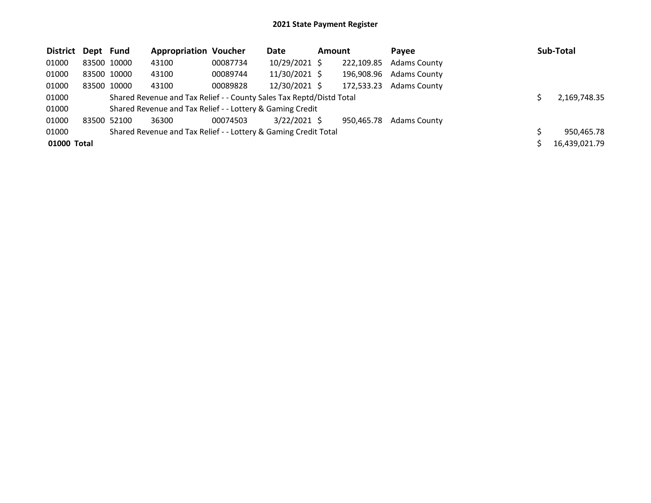| District Dept Fund |             | <b>Appropriation Voucher</b>                                         |          | Date           | Amount |            | Pavee               | Sub-Total     |
|--------------------|-------------|----------------------------------------------------------------------|----------|----------------|--------|------------|---------------------|---------------|
| 01000              | 83500 10000 | 43100                                                                | 00087734 | 10/29/2021 \$  |        | 222,109.85 | <b>Adams County</b> |               |
| 01000              | 83500 10000 | 43100                                                                | 00089744 | 11/30/2021 \$  |        | 196.908.96 | <b>Adams County</b> |               |
| 01000              | 83500 10000 | 43100                                                                | 00089828 | 12/30/2021 \$  |        | 172,533.23 | <b>Adams County</b> |               |
| 01000              |             | Shared Revenue and Tax Relief - - County Sales Tax Reptd/Distd Total |          |                |        |            |                     | 2,169,748.35  |
| 01000              |             | Shared Revenue and Tax Relief - - Lottery & Gaming Credit            |          |                |        |            |                     |               |
| 01000              | 83500 52100 | 36300                                                                | 00074503 | $3/22/2021$ \$ |        | 950.465.78 | <b>Adams County</b> |               |
| 01000              |             | Shared Revenue and Tax Relief - - Lottery & Gaming Credit Total      |          |                |        |            |                     | 950,465.78    |
| 01000 Total        |             |                                                                      |          |                |        |            |                     | 16,439,021.79 |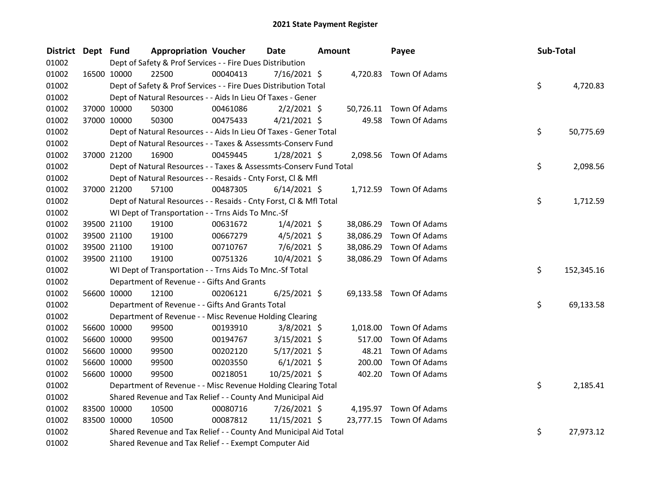| <b>District</b> | Dept Fund |             | <b>Appropriation Voucher</b>                                       |          | <b>Date</b>    | <b>Amount</b> |           | Payee                   | Sub-Total |            |
|-----------------|-----------|-------------|--------------------------------------------------------------------|----------|----------------|---------------|-----------|-------------------------|-----------|------------|
| 01002           |           |             | Dept of Safety & Prof Services - - Fire Dues Distribution          |          |                |               |           |                         |           |            |
| 01002           |           | 16500 10000 | 22500                                                              | 00040413 | $7/16/2021$ \$ |               |           | 4,720.83 Town Of Adams  |           |            |
| 01002           |           |             | Dept of Safety & Prof Services - - Fire Dues Distribution Total    |          |                |               |           |                         | \$        | 4,720.83   |
| 01002           |           |             | Dept of Natural Resources - - Aids In Lieu Of Taxes - Gener        |          |                |               |           |                         |           |            |
| 01002           |           | 37000 10000 | 50300                                                              | 00461086 | $2/2/2021$ \$  |               |           | 50,726.11 Town Of Adams |           |            |
| 01002           |           | 37000 10000 | 50300                                                              | 00475433 | $4/21/2021$ \$ |               | 49.58     | Town Of Adams           |           |            |
| 01002           |           |             | Dept of Natural Resources - - Aids In Lieu Of Taxes - Gener Total  |          |                |               |           |                         | \$        | 50,775.69  |
| 01002           |           |             | Dept of Natural Resources - - Taxes & Assessmts-Conserv Fund       |          |                |               |           |                         |           |            |
| 01002           |           | 37000 21200 | 16900                                                              | 00459445 | $1/28/2021$ \$ |               |           | 2,098.56 Town Of Adams  |           |            |
| 01002           |           |             | Dept of Natural Resources - - Taxes & Assessmts-Conserv Fund Total |          |                |               |           |                         | \$        | 2,098.56   |
| 01002           |           |             | Dept of Natural Resources - - Resaids - Cnty Forst, Cl & Mfl       |          |                |               |           |                         |           |            |
| 01002           |           | 37000 21200 | 57100                                                              | 00487305 | $6/14/2021$ \$ |               |           | 1,712.59 Town Of Adams  |           |            |
| 01002           |           |             | Dept of Natural Resources - - Resaids - Cnty Forst, Cl & Mfl Total |          |                |               |           |                         | \$        | 1,712.59   |
| 01002           |           |             | WI Dept of Transportation - - Trns Aids To Mnc.-Sf                 |          |                |               |           |                         |           |            |
| 01002           |           | 39500 21100 | 19100                                                              | 00631672 | $1/4/2021$ \$  |               | 38,086.29 | Town Of Adams           |           |            |
| 01002           |           | 39500 21100 | 19100                                                              | 00667279 | $4/5/2021$ \$  |               | 38,086.29 | Town Of Adams           |           |            |
| 01002           |           | 39500 21100 | 19100                                                              | 00710767 | $7/6/2021$ \$  |               | 38,086.29 | Town Of Adams           |           |            |
| 01002           |           | 39500 21100 | 19100                                                              | 00751326 | 10/4/2021 \$   |               | 38,086.29 | Town Of Adams           |           |            |
| 01002           |           |             | WI Dept of Transportation - - Trns Aids To Mnc.-Sf Total           |          |                |               |           |                         | \$        | 152,345.16 |
| 01002           |           |             | Department of Revenue - - Gifts And Grants                         |          |                |               |           |                         |           |            |
| 01002           |           | 56600 10000 | 12100                                                              | 00206121 | $6/25/2021$ \$ |               |           | 69,133.58 Town Of Adams |           |            |
| 01002           |           |             | Department of Revenue - - Gifts And Grants Total                   |          |                |               |           |                         | \$        | 69,133.58  |
| 01002           |           |             | Department of Revenue - - Misc Revenue Holding Clearing            |          |                |               |           |                         |           |            |
| 01002           |           | 56600 10000 | 99500                                                              | 00193910 | $3/8/2021$ \$  |               | 1,018.00  | Town Of Adams           |           |            |
| 01002           |           | 56600 10000 | 99500                                                              | 00194767 | $3/15/2021$ \$ |               | 517.00    | Town Of Adams           |           |            |
| 01002           |           | 56600 10000 | 99500                                                              | 00202120 | $5/17/2021$ \$ |               | 48.21     | Town Of Adams           |           |            |
| 01002           |           | 56600 10000 | 99500                                                              | 00203550 | $6/1/2021$ \$  |               | 200.00    | Town Of Adams           |           |            |
| 01002           |           | 56600 10000 | 99500                                                              | 00218051 | 10/25/2021 \$  |               | 402.20    | Town Of Adams           |           |            |
| 01002           |           |             | Department of Revenue - - Misc Revenue Holding Clearing Total      |          |                |               |           |                         | \$        | 2,185.41   |
| 01002           |           |             | Shared Revenue and Tax Relief - - County And Municipal Aid         |          |                |               |           |                         |           |            |
| 01002           |           | 83500 10000 | 10500                                                              | 00080716 | 7/26/2021 \$   |               |           | 4,195.97 Town Of Adams  |           |            |
| 01002           |           | 83500 10000 | 10500                                                              | 00087812 | 11/15/2021 \$  |               |           | 23,777.15 Town Of Adams |           |            |
| 01002           |           |             | Shared Revenue and Tax Relief - - County And Municipal Aid Total   |          |                |               |           |                         | \$        | 27,973.12  |
| 01002           |           |             | Shared Revenue and Tax Relief - - Exempt Computer Aid              |          |                |               |           |                         |           |            |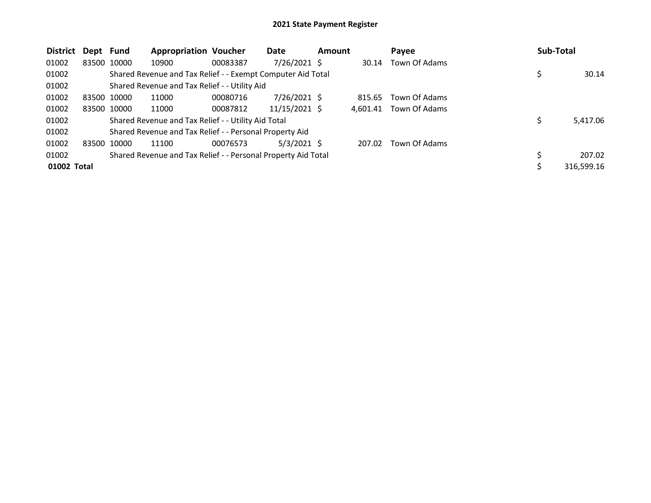| <b>District</b> | Dept Fund   |             | <b>Appropriation Voucher</b>                                  |          | Date           | <b>Amount</b> |          | Payee         | <b>Sub-Total</b> |            |
|-----------------|-------------|-------------|---------------------------------------------------------------|----------|----------------|---------------|----------|---------------|------------------|------------|
| 01002           |             | 83500 10000 | 10900                                                         | 00083387 | $7/26/2021$ \$ |               | 30.14    | Town Of Adams |                  |            |
| 01002           |             |             | Shared Revenue and Tax Relief - - Exempt Computer Aid Total   |          |                |               |          |               |                  | 30.14      |
| 01002           |             |             | Shared Revenue and Tax Relief - - Utility Aid                 |          |                |               |          |               |                  |            |
| 01002           | 83500 10000 |             | 11000                                                         | 00080716 | $7/26/2021$ \$ |               | 815.65   | Town Of Adams |                  |            |
| 01002           |             | 83500 10000 | 11000                                                         | 00087812 | 11/15/2021 \$  |               | 4.601.41 | Town Of Adams |                  |            |
| 01002           |             |             | Shared Revenue and Tax Relief - - Utility Aid Total           |          |                |               |          |               |                  | 5,417.06   |
| 01002           |             |             | Shared Revenue and Tax Relief - - Personal Property Aid       |          |                |               |          |               |                  |            |
| 01002           | 83500 10000 |             | 11100                                                         | 00076573 | $5/3/2021$ \$  |               | 207.02   | Town Of Adams |                  |            |
| 01002           |             |             | Shared Revenue and Tax Relief - - Personal Property Aid Total |          |                |               |          |               |                  | 207.02     |
| 01002 Total     |             |             |                                                               |          |                |               |          |               |                  | 316,599.16 |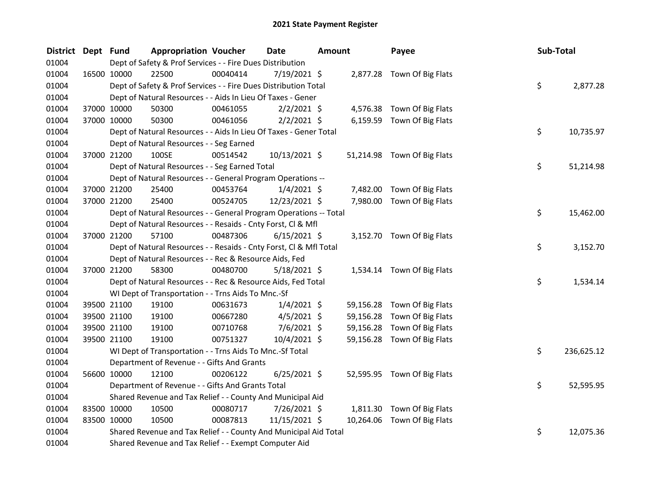| <b>District</b> | Dept Fund   |             | <b>Appropriation Voucher</b>                                       |          | <b>Date</b>    | <b>Amount</b> |           | Payee                       | Sub-Total |            |
|-----------------|-------------|-------------|--------------------------------------------------------------------|----------|----------------|---------------|-----------|-----------------------------|-----------|------------|
| 01004           |             |             | Dept of Safety & Prof Services - - Fire Dues Distribution          |          |                |               |           |                             |           |            |
| 01004           | 16500 10000 |             | 22500                                                              | 00040414 | 7/19/2021 \$   |               |           | 2,877.28 Town Of Big Flats  |           |            |
| 01004           |             |             | Dept of Safety & Prof Services - - Fire Dues Distribution Total    |          |                |               |           |                             | \$        | 2,877.28   |
| 01004           |             |             | Dept of Natural Resources - - Aids In Lieu Of Taxes - Gener        |          |                |               |           |                             |           |            |
| 01004           | 37000 10000 |             | 50300                                                              | 00461055 | $2/2/2021$ \$  |               |           | 4,576.38 Town Of Big Flats  |           |            |
| 01004           |             | 37000 10000 | 50300                                                              | 00461056 | $2/2/2021$ \$  |               |           | 6,159.59 Town Of Big Flats  |           |            |
| 01004           |             |             | Dept of Natural Resources - - Aids In Lieu Of Taxes - Gener Total  |          |                |               |           |                             | \$        | 10,735.97  |
| 01004           |             |             | Dept of Natural Resources - - Seg Earned                           |          |                |               |           |                             |           |            |
| 01004           |             | 37000 21200 | 100SE                                                              | 00514542 | 10/13/2021 \$  |               |           | 51,214.98 Town Of Big Flats |           |            |
| 01004           |             |             | Dept of Natural Resources - - Seg Earned Total                     |          |                |               |           |                             | \$        | 51,214.98  |
| 01004           |             |             | Dept of Natural Resources - - General Program Operations --        |          |                |               |           |                             |           |            |
| 01004           |             | 37000 21200 | 25400                                                              | 00453764 | $1/4/2021$ \$  |               |           | 7,482.00 Town Of Big Flats  |           |            |
| 01004           |             | 37000 21200 | 25400                                                              | 00524705 | 12/23/2021 \$  |               |           | 7,980.00 Town Of Big Flats  |           |            |
| 01004           |             |             | Dept of Natural Resources - - General Program Operations -- Total  |          |                |               |           |                             | \$        | 15,462.00  |
| 01004           |             |             | Dept of Natural Resources - - Resaids - Cnty Forst, Cl & Mfl       |          |                |               |           |                             |           |            |
| 01004           |             | 37000 21200 | 57100                                                              | 00487306 | $6/15/2021$ \$ |               |           | 3,152.70 Town Of Big Flats  |           |            |
| 01004           |             |             | Dept of Natural Resources - - Resaids - Cnty Forst, CI & Mfl Total |          |                |               |           |                             | \$        | 3,152.70   |
| 01004           |             |             | Dept of Natural Resources - - Rec & Resource Aids, Fed             |          |                |               |           |                             |           |            |
| 01004           |             | 37000 21200 | 58300                                                              | 00480700 | $5/18/2021$ \$ |               |           | 1,534.14 Town Of Big Flats  |           |            |
| 01004           |             |             | Dept of Natural Resources - - Rec & Resource Aids, Fed Total       |          |                |               |           |                             | \$        | 1,534.14   |
| 01004           |             |             | WI Dept of Transportation - - Trns Aids To Mnc.-Sf                 |          |                |               |           |                             |           |            |
| 01004           |             | 39500 21100 | 19100                                                              | 00631673 | $1/4/2021$ \$  |               |           | 59,156.28 Town Of Big Flats |           |            |
| 01004           |             | 39500 21100 | 19100                                                              | 00667280 | $4/5/2021$ \$  |               | 59,156.28 | Town Of Big Flats           |           |            |
| 01004           | 39500 21100 |             | 19100                                                              | 00710768 | $7/6/2021$ \$  |               | 59,156.28 | Town Of Big Flats           |           |            |
| 01004           | 39500 21100 |             | 19100                                                              | 00751327 | 10/4/2021 \$   |               |           | 59,156.28 Town Of Big Flats |           |            |
| 01004           |             |             | WI Dept of Transportation - - Trns Aids To Mnc.-Sf Total           |          |                |               |           |                             | \$        | 236,625.12 |
| 01004           |             |             | Department of Revenue - - Gifts And Grants                         |          |                |               |           |                             |           |            |
| 01004           | 56600 10000 |             | 12100                                                              | 00206122 | $6/25/2021$ \$ |               |           | 52,595.95 Town Of Big Flats |           |            |
| 01004           |             |             | Department of Revenue - - Gifts And Grants Total                   |          |                |               |           |                             | \$        | 52,595.95  |
| 01004           |             |             | Shared Revenue and Tax Relief - - County And Municipal Aid         |          |                |               |           |                             |           |            |
| 01004           | 83500 10000 |             | 10500                                                              | 00080717 | 7/26/2021 \$   |               |           | 1,811.30 Town Of Big Flats  |           |            |
| 01004           | 83500 10000 |             | 10500                                                              | 00087813 | 11/15/2021 \$  |               |           | 10,264.06 Town Of Big Flats |           |            |
| 01004           |             |             | Shared Revenue and Tax Relief - - County And Municipal Aid Total   |          |                |               |           |                             | \$        | 12,075.36  |
| 01004           |             |             | Shared Revenue and Tax Relief - - Exempt Computer Aid              |          |                |               |           |                             |           |            |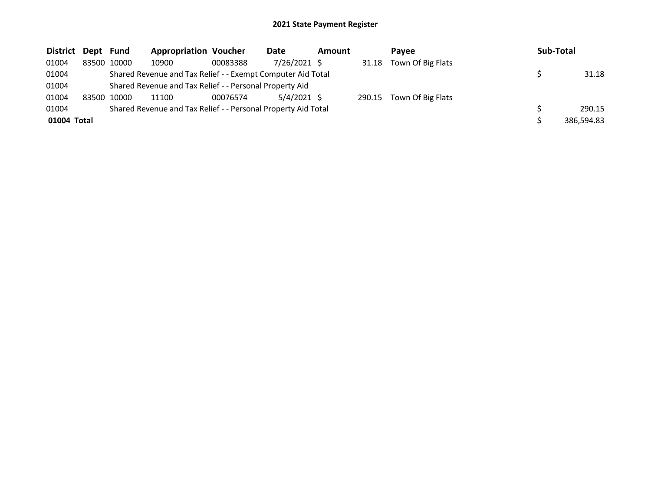| District Dept Fund |             | <b>Appropriation Voucher</b>                                  |          | Date          | <b>Amount</b> |        | Pavee             | Sub-Total  |
|--------------------|-------------|---------------------------------------------------------------|----------|---------------|---------------|--------|-------------------|------------|
| 01004              | 83500 10000 | 10900                                                         | 00083388 | 7/26/2021 \$  |               | 31.18  | Town Of Big Flats |            |
| 01004              |             | Shared Revenue and Tax Relief - - Exempt Computer Aid Total   |          |               |               |        |                   | 31.18      |
| 01004              |             | Shared Revenue and Tax Relief - - Personal Property Aid       |          |               |               |        |                   |            |
| 01004              | 83500 10000 | 11100                                                         | 00076574 | $5/4/2021$ \$ |               | 290.15 | Town Of Big Flats |            |
| 01004              |             | Shared Revenue and Tax Relief - - Personal Property Aid Total |          |               |               |        |                   | 290.15     |
| 01004 Total        |             |                                                               |          |               |               |        |                   | 386,594.83 |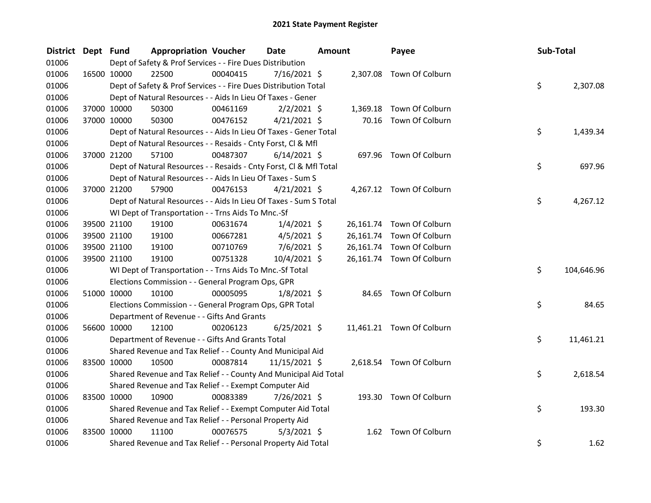| District Dept Fund |             | <b>Appropriation Voucher</b>                                       |          | <b>Date</b>    | <b>Amount</b> |           | Payee                     | Sub-Total |            |
|--------------------|-------------|--------------------------------------------------------------------|----------|----------------|---------------|-----------|---------------------------|-----------|------------|
| 01006              |             | Dept of Safety & Prof Services - - Fire Dues Distribution          |          |                |               |           |                           |           |            |
| 01006              | 16500 10000 | 22500                                                              | 00040415 | $7/16/2021$ \$ |               |           | 2,307.08 Town Of Colburn  |           |            |
| 01006              |             | Dept of Safety & Prof Services - - Fire Dues Distribution Total    |          |                |               |           |                           | \$        | 2,307.08   |
| 01006              |             | Dept of Natural Resources - - Aids In Lieu Of Taxes - Gener        |          |                |               |           |                           |           |            |
| 01006              | 37000 10000 | 50300                                                              | 00461169 | $2/2/2021$ \$  |               | 1,369.18  | Town Of Colburn           |           |            |
| 01006              | 37000 10000 | 50300                                                              | 00476152 | $4/21/2021$ \$ |               |           | 70.16 Town Of Colburn     |           |            |
| 01006              |             | Dept of Natural Resources - - Aids In Lieu Of Taxes - Gener Total  |          |                |               |           |                           | \$        | 1,439.34   |
| 01006              |             | Dept of Natural Resources - - Resaids - Cnty Forst, Cl & Mfl       |          |                |               |           |                           |           |            |
| 01006              | 37000 21200 | 57100                                                              | 00487307 | $6/14/2021$ \$ |               |           | 697.96 Town Of Colburn    |           |            |
| 01006              |             | Dept of Natural Resources - - Resaids - Cnty Forst, Cl & Mfl Total |          |                |               |           |                           | \$        | 697.96     |
| 01006              |             | Dept of Natural Resources - - Aids In Lieu Of Taxes - Sum S        |          |                |               |           |                           |           |            |
| 01006              | 37000 21200 | 57900                                                              | 00476153 | $4/21/2021$ \$ |               |           | 4,267.12 Town Of Colburn  |           |            |
| 01006              |             | Dept of Natural Resources - - Aids In Lieu Of Taxes - Sum S Total  |          |                |               |           |                           | \$        | 4,267.12   |
| 01006              |             | WI Dept of Transportation - - Trns Aids To Mnc.-Sf                 |          |                |               |           |                           |           |            |
| 01006              | 39500 21100 | 19100                                                              | 00631674 | $1/4/2021$ \$  |               |           | 26,161.74 Town Of Colburn |           |            |
| 01006              | 39500 21100 | 19100                                                              | 00667281 | $4/5/2021$ \$  |               |           | 26,161.74 Town Of Colburn |           |            |
| 01006              | 39500 21100 | 19100                                                              | 00710769 | $7/6/2021$ \$  |               | 26,161.74 | Town Of Colburn           |           |            |
| 01006              | 39500 21100 | 19100                                                              | 00751328 | 10/4/2021 \$   |               |           | 26,161.74 Town Of Colburn |           |            |
| 01006              |             | WI Dept of Transportation - - Trns Aids To Mnc.-Sf Total           |          |                |               |           |                           | \$        | 104,646.96 |
| 01006              |             | Elections Commission - - General Program Ops, GPR                  |          |                |               |           |                           |           |            |
| 01006              | 51000 10000 | 10100                                                              | 00005095 | $1/8/2021$ \$  |               |           | 84.65 Town Of Colburn     |           |            |
| 01006              |             | Elections Commission - - General Program Ops, GPR Total            |          |                |               |           |                           | \$        | 84.65      |
| 01006              |             | Department of Revenue - - Gifts And Grants                         |          |                |               |           |                           |           |            |
| 01006              | 56600 10000 | 12100                                                              | 00206123 | $6/25/2021$ \$ |               |           | 11,461.21 Town Of Colburn |           |            |
| 01006              |             | Department of Revenue - - Gifts And Grants Total                   |          |                |               |           |                           | \$        | 11,461.21  |
| 01006              |             | Shared Revenue and Tax Relief - - County And Municipal Aid         |          |                |               |           |                           |           |            |
| 01006              | 83500 10000 | 10500                                                              | 00087814 | 11/15/2021 \$  |               |           | 2,618.54 Town Of Colburn  |           |            |
| 01006              |             | Shared Revenue and Tax Relief - - County And Municipal Aid Total   |          |                |               |           |                           | \$        | 2,618.54   |
| 01006              |             | Shared Revenue and Tax Relief - - Exempt Computer Aid              |          |                |               |           |                           |           |            |
| 01006              | 83500 10000 | 10900                                                              | 00083389 | 7/26/2021 \$   |               |           | 193.30 Town Of Colburn    |           |            |
| 01006              |             | Shared Revenue and Tax Relief - - Exempt Computer Aid Total        |          |                |               |           |                           | \$        | 193.30     |
| 01006              |             | Shared Revenue and Tax Relief - - Personal Property Aid            |          |                |               |           |                           |           |            |
| 01006              | 83500 10000 | 11100                                                              | 00076575 | $5/3/2021$ \$  |               | 1.62      | Town Of Colburn           |           |            |
| 01006              |             | Shared Revenue and Tax Relief - - Personal Property Aid Total      |          |                |               |           |                           | \$        | 1.62       |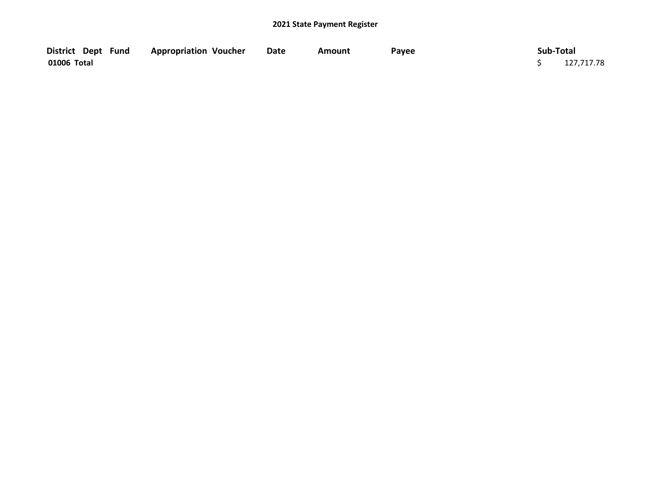| District Dept Fund | <b>Appropriation Voucher</b> | Date | Amount | Payee | Sub-Total  |
|--------------------|------------------------------|------|--------|-------|------------|
| 01006 Total        |                              |      |        |       | 127,717.78 |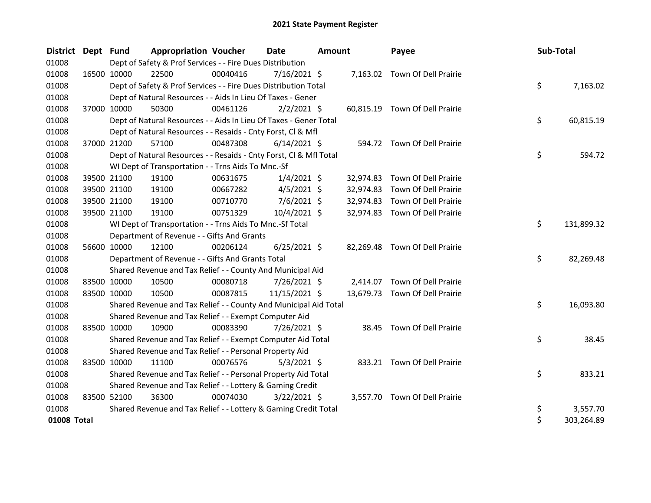| District Dept Fund |             | <b>Appropriation Voucher</b>                                       |          | <b>Date</b>    | <b>Amount</b> |           | Payee                          | Sub-Total |            |
|--------------------|-------------|--------------------------------------------------------------------|----------|----------------|---------------|-----------|--------------------------------|-----------|------------|
| 01008              |             | Dept of Safety & Prof Services - - Fire Dues Distribution          |          |                |               |           |                                |           |            |
| 01008              | 16500 10000 | 22500                                                              | 00040416 | $7/16/2021$ \$ |               |           | 7,163.02 Town Of Dell Prairie  |           |            |
| 01008              |             | Dept of Safety & Prof Services - - Fire Dues Distribution Total    |          |                |               |           |                                | \$        | 7,163.02   |
| 01008              |             | Dept of Natural Resources - - Aids In Lieu Of Taxes - Gener        |          |                |               |           |                                |           |            |
| 01008              | 37000 10000 | 50300                                                              | 00461126 | $2/2/2021$ \$  |               |           | 60,815.19 Town Of Dell Prairie |           |            |
| 01008              |             | Dept of Natural Resources - - Aids In Lieu Of Taxes - Gener Total  |          |                |               |           |                                | \$        | 60,815.19  |
| 01008              |             | Dept of Natural Resources - - Resaids - Cnty Forst, Cl & Mfl       |          |                |               |           |                                |           |            |
| 01008              | 37000 21200 | 57100                                                              | 00487308 | $6/14/2021$ \$ |               |           | 594.72 Town Of Dell Prairie    |           |            |
| 01008              |             | Dept of Natural Resources - - Resaids - Cnty Forst, Cl & Mfl Total |          |                |               |           |                                | \$        | 594.72     |
| 01008              |             | WI Dept of Transportation - - Trns Aids To Mnc.-Sf                 |          |                |               |           |                                |           |            |
| 01008              | 39500 21100 | 19100                                                              | 00631675 | $1/4/2021$ \$  |               | 32,974.83 | Town Of Dell Prairie           |           |            |
| 01008              | 39500 21100 | 19100                                                              | 00667282 | $4/5/2021$ \$  |               | 32,974.83 | Town Of Dell Prairie           |           |            |
| 01008              | 39500 21100 | 19100                                                              | 00710770 | $7/6/2021$ \$  |               | 32,974.83 | Town Of Dell Prairie           |           |            |
| 01008              | 39500 21100 | 19100                                                              | 00751329 | 10/4/2021 \$   |               | 32,974.83 | Town Of Dell Prairie           |           |            |
| 01008              |             | WI Dept of Transportation - - Trns Aids To Mnc.-Sf Total           |          |                |               |           |                                | \$        | 131,899.32 |
| 01008              |             | Department of Revenue - - Gifts And Grants                         |          |                |               |           |                                |           |            |
| 01008              | 56600 10000 | 12100                                                              | 00206124 | $6/25/2021$ \$ |               |           | 82,269.48 Town Of Dell Prairie |           |            |
| 01008              |             | Department of Revenue - - Gifts And Grants Total                   |          |                |               |           |                                | \$        | 82,269.48  |
| 01008              |             | Shared Revenue and Tax Relief - - County And Municipal Aid         |          |                |               |           |                                |           |            |
| 01008              | 83500 10000 | 10500                                                              | 00080718 | 7/26/2021 \$   |               |           | 2,414.07 Town Of Dell Prairie  |           |            |
| 01008              | 83500 10000 | 10500                                                              | 00087815 | 11/15/2021 \$  |               |           | 13,679.73 Town Of Dell Prairie |           |            |
| 01008              |             | Shared Revenue and Tax Relief - - County And Municipal Aid Total   |          |                |               |           |                                | \$        | 16,093.80  |
| 01008              |             | Shared Revenue and Tax Relief - - Exempt Computer Aid              |          |                |               |           |                                |           |            |
| 01008              | 83500 10000 | 10900                                                              | 00083390 | $7/26/2021$ \$ |               |           | 38.45 Town Of Dell Prairie     |           |            |
| 01008              |             | Shared Revenue and Tax Relief - - Exempt Computer Aid Total        |          |                |               |           |                                | \$        | 38.45      |
| 01008              |             | Shared Revenue and Tax Relief - - Personal Property Aid            |          |                |               |           |                                |           |            |
| 01008              | 83500 10000 | 11100                                                              | 00076576 | $5/3/2021$ \$  |               |           | 833.21 Town Of Dell Prairie    |           |            |
| 01008              |             | Shared Revenue and Tax Relief - - Personal Property Aid Total      |          |                |               |           |                                | \$        | 833.21     |
| 01008              |             | Shared Revenue and Tax Relief - - Lottery & Gaming Credit          |          |                |               |           |                                |           |            |
| 01008              | 83500 52100 | 36300                                                              | 00074030 | $3/22/2021$ \$ |               |           | 3,557.70 Town Of Dell Prairie  |           |            |
| 01008              |             | Shared Revenue and Tax Relief - - Lottery & Gaming Credit Total    |          |                |               |           |                                | \$        | 3,557.70   |
| 01008 Total        |             |                                                                    |          |                |               |           |                                | \$        | 303,264.89 |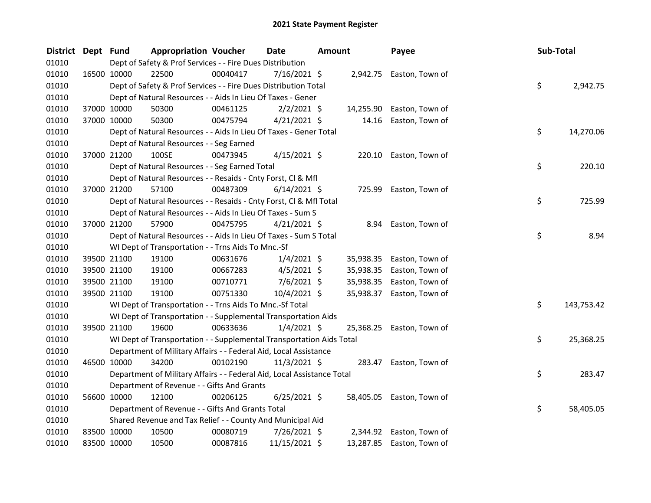| District Dept Fund |             | <b>Appropriation Voucher</b>                                           |          | <b>Date</b>    | Amount |           | Payee                     | Sub-Total |            |
|--------------------|-------------|------------------------------------------------------------------------|----------|----------------|--------|-----------|---------------------------|-----------|------------|
| 01010              |             | Dept of Safety & Prof Services - - Fire Dues Distribution              |          |                |        |           |                           |           |            |
| 01010              | 16500 10000 | 22500                                                                  | 00040417 | 7/16/2021 \$   |        |           | 2,942.75 Easton, Town of  |           |            |
| 01010              |             | Dept of Safety & Prof Services - - Fire Dues Distribution Total        |          |                |        |           |                           | \$        | 2,942.75   |
| 01010              |             | Dept of Natural Resources - - Aids In Lieu Of Taxes - Gener            |          |                |        |           |                           |           |            |
| 01010              | 37000 10000 | 50300                                                                  | 00461125 | $2/2/2021$ \$  |        | 14,255.90 | Easton, Town of           |           |            |
| 01010              | 37000 10000 | 50300                                                                  | 00475794 | $4/21/2021$ \$ |        | 14.16     | Easton, Town of           |           |            |
| 01010              |             | Dept of Natural Resources - - Aids In Lieu Of Taxes - Gener Total      |          |                |        |           |                           | \$        | 14,270.06  |
| 01010              |             | Dept of Natural Resources - - Seg Earned                               |          |                |        |           |                           |           |            |
| 01010              | 37000 21200 | 100SE                                                                  | 00473945 | $4/15/2021$ \$ |        | 220.10    | Easton, Town of           |           |            |
| 01010              |             | Dept of Natural Resources - - Seg Earned Total                         |          |                |        |           |                           | \$        | 220.10     |
| 01010              |             | Dept of Natural Resources - - Resaids - Cnty Forst, Cl & Mfl           |          |                |        |           |                           |           |            |
| 01010              | 37000 21200 | 57100                                                                  | 00487309 | $6/14/2021$ \$ |        | 725.99    | Easton, Town of           |           |            |
| 01010              |             | Dept of Natural Resources - - Resaids - Cnty Forst, Cl & Mfl Total     |          |                |        |           |                           | \$        | 725.99     |
| 01010              |             | Dept of Natural Resources - - Aids In Lieu Of Taxes - Sum S            |          |                |        |           |                           |           |            |
| 01010              | 37000 21200 | 57900                                                                  | 00475795 | $4/21/2021$ \$ |        |           | 8.94 Easton, Town of      |           |            |
| 01010              |             | Dept of Natural Resources - - Aids In Lieu Of Taxes - Sum S Total      |          |                |        |           |                           | \$        | 8.94       |
| 01010              |             | WI Dept of Transportation - - Trns Aids To Mnc.-Sf                     |          |                |        |           |                           |           |            |
| 01010              | 39500 21100 | 19100                                                                  | 00631676 | $1/4/2021$ \$  |        | 35,938.35 | Easton, Town of           |           |            |
| 01010              | 39500 21100 | 19100                                                                  | 00667283 | $4/5/2021$ \$  |        | 35,938.35 | Easton, Town of           |           |            |
| 01010              | 39500 21100 | 19100                                                                  | 00710771 | $7/6/2021$ \$  |        | 35,938.35 | Easton, Town of           |           |            |
| 01010              | 39500 21100 | 19100                                                                  | 00751330 | 10/4/2021 \$   |        | 35,938.37 | Easton, Town of           |           |            |
| 01010              |             | WI Dept of Transportation - - Trns Aids To Mnc.-Sf Total               |          |                |        |           |                           | \$        | 143,753.42 |
| 01010              |             | WI Dept of Transportation - - Supplemental Transportation Aids         |          |                |        |           |                           |           |            |
| 01010              | 39500 21100 | 19600                                                                  | 00633636 | $1/4/2021$ \$  |        |           | 25,368.25 Easton, Town of |           |            |
| 01010              |             | WI Dept of Transportation - - Supplemental Transportation Aids Total   |          |                |        |           |                           | \$        | 25,368.25  |
| 01010              |             | Department of Military Affairs - - Federal Aid, Local Assistance       |          |                |        |           |                           |           |            |
| 01010              | 46500 10000 | 34200                                                                  | 00102190 | $11/3/2021$ \$ |        |           | 283.47 Easton, Town of    |           |            |
| 01010              |             | Department of Military Affairs - - Federal Aid, Local Assistance Total |          |                |        |           |                           | \$        | 283.47     |
| 01010              |             | Department of Revenue - - Gifts And Grants                             |          |                |        |           |                           |           |            |
| 01010              | 56600 10000 | 12100                                                                  | 00206125 | $6/25/2021$ \$ |        | 58,405.05 | Easton, Town of           |           |            |
| 01010              |             | Department of Revenue - - Gifts And Grants Total                       |          |                |        |           |                           | \$        | 58,405.05  |
| 01010              |             | Shared Revenue and Tax Relief - - County And Municipal Aid             |          |                |        |           |                           |           |            |
| 01010              | 83500 10000 | 10500                                                                  | 00080719 | 7/26/2021 \$   |        |           | 2,344.92 Easton, Town of  |           |            |
| 01010              | 83500 10000 | 10500                                                                  | 00087816 | 11/15/2021 \$  |        |           | 13,287.85 Easton, Town of |           |            |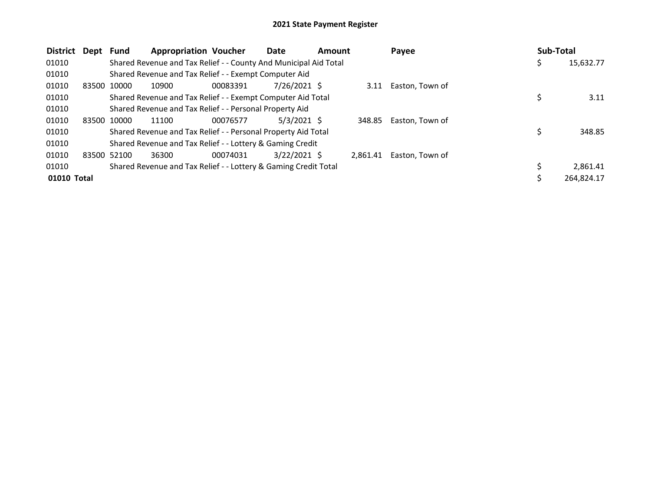| <b>District</b><br>Dept | <b>Fund</b>                                                      | <b>Appropriation Voucher</b> | Date           | <b>Amount</b> |          | Payee           |   | <b>Sub-Total</b> |
|-------------------------|------------------------------------------------------------------|------------------------------|----------------|---------------|----------|-----------------|---|------------------|
| 01010                   | Shared Revenue and Tax Relief - - County And Municipal Aid Total |                              |                |               |          |                 | Ş | 15,632.77        |
| 01010                   | Shared Revenue and Tax Relief - - Exempt Computer Aid            |                              |                |               |          |                 |   |                  |
| 01010                   | 83500 10000<br>10900                                             | 00083391                     | $7/26/2021$ \$ |               | 3.11     | Easton, Town of |   |                  |
| 01010                   | Shared Revenue and Tax Relief - - Exempt Computer Aid Total      |                              |                |               |          |                 |   | 3.11             |
| 01010                   | Shared Revenue and Tax Relief - - Personal Property Aid          |                              |                |               |          |                 |   |                  |
| 01010<br>83500          | 10000<br>11100                                                   | 00076577                     | $5/3/2021$ \$  |               | 348.85   | Easton, Town of |   |                  |
| 01010                   | Shared Revenue and Tax Relief - - Personal Property Aid Total    |                              |                |               |          |                 | Ś | 348.85           |
| 01010                   | Shared Revenue and Tax Relief - - Lottery & Gaming Credit        |                              |                |               |          |                 |   |                  |
| 01010                   | 83500 52100<br>36300                                             | 00074031                     | $3/22/2021$ \$ |               | 2.861.41 | Easton. Town of |   |                  |
| 01010                   | Shared Revenue and Tax Relief - - Lottery & Gaming Credit Total  |                              |                |               |          |                 |   | 2,861.41         |
| 01010 Total             |                                                                  |                              |                |               |          |                 |   | 264.824.17       |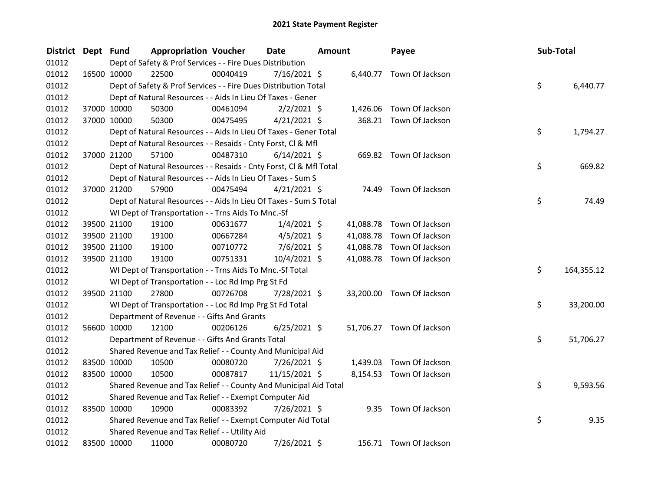| <b>District</b> | Dept Fund   |             | <b>Appropriation Voucher</b>                                       |          | <b>Date</b>    | <b>Amount</b> |           | Payee                     | Sub-Total |            |
|-----------------|-------------|-------------|--------------------------------------------------------------------|----------|----------------|---------------|-----------|---------------------------|-----------|------------|
| 01012           |             |             | Dept of Safety & Prof Services - - Fire Dues Distribution          |          |                |               |           |                           |           |            |
| 01012           |             | 16500 10000 | 22500                                                              | 00040419 | $7/16/2021$ \$ |               |           | 6,440.77 Town Of Jackson  |           |            |
| 01012           |             |             | Dept of Safety & Prof Services - - Fire Dues Distribution Total    |          |                |               |           |                           | \$        | 6,440.77   |
| 01012           |             |             | Dept of Natural Resources - - Aids In Lieu Of Taxes - Gener        |          |                |               |           |                           |           |            |
| 01012           |             | 37000 10000 | 50300                                                              | 00461094 | $2/2/2021$ \$  |               | 1,426.06  | Town Of Jackson           |           |            |
| 01012           |             | 37000 10000 | 50300                                                              | 00475495 | $4/21/2021$ \$ |               |           | 368.21 Town Of Jackson    |           |            |
| 01012           |             |             | Dept of Natural Resources - - Aids In Lieu Of Taxes - Gener Total  |          |                |               |           |                           | \$        | 1,794.27   |
| 01012           |             |             | Dept of Natural Resources - - Resaids - Cnty Forst, Cl & Mfl       |          |                |               |           |                           |           |            |
| 01012           |             | 37000 21200 | 57100                                                              | 00487310 | $6/14/2021$ \$ |               |           | 669.82 Town Of Jackson    |           |            |
| 01012           |             |             | Dept of Natural Resources - - Resaids - Cnty Forst, Cl & Mfl Total |          |                |               |           |                           | \$        | 669.82     |
| 01012           |             |             | Dept of Natural Resources - - Aids In Lieu Of Taxes - Sum S        |          |                |               |           |                           |           |            |
| 01012           |             | 37000 21200 | 57900                                                              | 00475494 | $4/21/2021$ \$ |               |           | 74.49 Town Of Jackson     |           |            |
| 01012           |             |             | Dept of Natural Resources - - Aids In Lieu Of Taxes - Sum S Total  |          |                |               |           |                           | \$        | 74.49      |
| 01012           |             |             | WI Dept of Transportation - - Trns Aids To Mnc.-Sf                 |          |                |               |           |                           |           |            |
| 01012           |             | 39500 21100 | 19100                                                              | 00631677 | $1/4/2021$ \$  |               |           | 41,088.78 Town Of Jackson |           |            |
| 01012           |             | 39500 21100 | 19100                                                              | 00667284 | $4/5/2021$ \$  |               | 41,088.78 | Town Of Jackson           |           |            |
| 01012           |             | 39500 21100 | 19100                                                              | 00710772 | $7/6/2021$ \$  |               | 41,088.78 | Town Of Jackson           |           |            |
| 01012           |             | 39500 21100 | 19100                                                              | 00751331 | 10/4/2021 \$   |               |           | 41,088.78 Town Of Jackson |           |            |
| 01012           |             |             | WI Dept of Transportation - - Trns Aids To Mnc.-Sf Total           |          |                |               |           |                           | \$        | 164,355.12 |
| 01012           |             |             | WI Dept of Transportation - - Loc Rd Imp Prg St Fd                 |          |                |               |           |                           |           |            |
| 01012           |             | 39500 21100 | 27800                                                              | 00726708 | 7/28/2021 \$   |               |           | 33,200.00 Town Of Jackson |           |            |
| 01012           |             |             | WI Dept of Transportation - - Loc Rd Imp Prg St Fd Total           |          |                |               |           |                           | \$        | 33,200.00  |
| 01012           |             |             | Department of Revenue - - Gifts And Grants                         |          |                |               |           |                           |           |            |
| 01012           |             | 56600 10000 | 12100                                                              | 00206126 | $6/25/2021$ \$ |               |           | 51,706.27 Town Of Jackson |           |            |
| 01012           |             |             | Department of Revenue - - Gifts And Grants Total                   |          |                |               |           |                           | \$.       | 51,706.27  |
| 01012           |             |             | Shared Revenue and Tax Relief - - County And Municipal Aid         |          |                |               |           |                           |           |            |
| 01012           |             | 83500 10000 | 10500                                                              | 00080720 | 7/26/2021 \$   |               | 1,439.03  | Town Of Jackson           |           |            |
| 01012           |             | 83500 10000 | 10500                                                              | 00087817 | 11/15/2021 \$  |               |           | 8,154.53 Town Of Jackson  |           |            |
| 01012           |             |             | Shared Revenue and Tax Relief - - County And Municipal Aid Total   |          |                |               |           |                           | \$        | 9,593.56   |
| 01012           |             |             | Shared Revenue and Tax Relief - - Exempt Computer Aid              |          |                |               |           |                           |           |            |
| 01012           | 83500 10000 |             | 10900                                                              | 00083392 | 7/26/2021 \$   |               |           | 9.35 Town Of Jackson      |           |            |
| 01012           |             |             | Shared Revenue and Tax Relief - - Exempt Computer Aid Total        |          |                |               |           |                           | \$        | 9.35       |
| 01012           |             |             | Shared Revenue and Tax Relief - - Utility Aid                      |          |                |               |           |                           |           |            |
| 01012           |             | 83500 10000 | 11000                                                              | 00080720 | 7/26/2021 \$   |               |           | 156.71 Town Of Jackson    |           |            |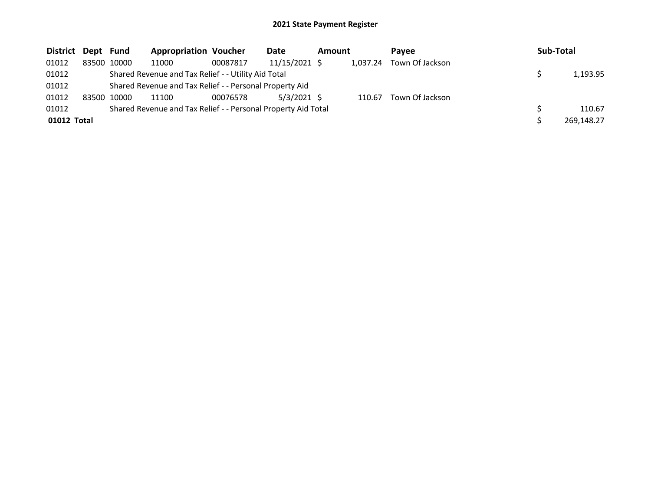| District Dept Fund |             | <b>Appropriation Voucher</b>                                  |          | Date          | Amount |          | <b>Pavee</b>    | Sub-Total  |
|--------------------|-------------|---------------------------------------------------------------|----------|---------------|--------|----------|-----------------|------------|
| 01012              | 83500 10000 | 11000                                                         | 00087817 | 11/15/2021 \$ |        | 1,037.24 | Town Of Jackson |            |
| 01012              |             | Shared Revenue and Tax Relief - - Utility Aid Total           |          |               |        |          |                 | 1,193.95   |
| 01012              |             | Shared Revenue and Tax Relief - - Personal Property Aid       |          |               |        |          |                 |            |
| 01012              | 83500 10000 | 11100                                                         | 00076578 | $5/3/2021$ \$ |        | 110.67   | Town Of Jackson |            |
| 01012              |             | Shared Revenue and Tax Relief - - Personal Property Aid Total |          |               |        |          |                 | 110.67     |
| 01012 Total        |             |                                                               |          |               |        |          |                 | 269,148.27 |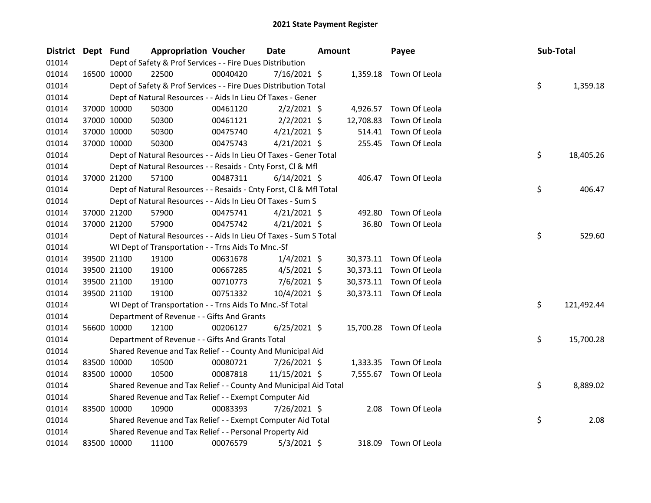| <b>District</b> | Dept Fund |             | <b>Appropriation Voucher</b>                                       |          | <b>Date</b>    | <b>Amount</b> |           | Payee                   |  | Sub-Total |            |  |
|-----------------|-----------|-------------|--------------------------------------------------------------------|----------|----------------|---------------|-----------|-------------------------|--|-----------|------------|--|
| 01014           |           |             | Dept of Safety & Prof Services - - Fire Dues Distribution          |          |                |               |           |                         |  |           |            |  |
| 01014           |           | 16500 10000 | 22500                                                              | 00040420 | 7/16/2021 \$   |               |           | 1,359.18 Town Of Leola  |  |           |            |  |
| 01014           |           |             | Dept of Safety & Prof Services - - Fire Dues Distribution Total    |          |                |               |           |                         |  | \$        | 1,359.18   |  |
| 01014           |           |             | Dept of Natural Resources - - Aids In Lieu Of Taxes - Gener        |          |                |               |           |                         |  |           |            |  |
| 01014           |           | 37000 10000 | 50300                                                              | 00461120 | $2/2/2021$ \$  |               | 4,926.57  | Town Of Leola           |  |           |            |  |
| 01014           |           | 37000 10000 | 50300                                                              | 00461121 | $2/2/2021$ \$  |               | 12,708.83 | Town Of Leola           |  |           |            |  |
| 01014           |           | 37000 10000 | 50300                                                              | 00475740 | $4/21/2021$ \$ |               | 514.41    | Town Of Leola           |  |           |            |  |
| 01014           |           | 37000 10000 | 50300                                                              | 00475743 | $4/21/2021$ \$ |               |           | 255.45 Town Of Leola    |  |           |            |  |
| 01014           |           |             | Dept of Natural Resources - - Aids In Lieu Of Taxes - Gener Total  |          |                |               |           |                         |  | \$        | 18,405.26  |  |
| 01014           |           |             | Dept of Natural Resources - - Resaids - Cnty Forst, Cl & Mfl       |          |                |               |           |                         |  |           |            |  |
| 01014           |           | 37000 21200 | 57100                                                              | 00487311 | $6/14/2021$ \$ |               |           | 406.47 Town Of Leola    |  |           |            |  |
| 01014           |           |             | Dept of Natural Resources - - Resaids - Cnty Forst, Cl & Mfl Total |          |                |               |           |                         |  | \$        | 406.47     |  |
| 01014           |           |             | Dept of Natural Resources - - Aids In Lieu Of Taxes - Sum S        |          |                |               |           |                         |  |           |            |  |
| 01014           |           | 37000 21200 | 57900                                                              | 00475741 | $4/21/2021$ \$ |               | 492.80    | Town Of Leola           |  |           |            |  |
| 01014           |           | 37000 21200 | 57900                                                              | 00475742 | $4/21/2021$ \$ |               |           | 36.80 Town Of Leola     |  |           |            |  |
| 01014           |           |             | Dept of Natural Resources - - Aids In Lieu Of Taxes - Sum S Total  |          |                |               |           |                         |  | \$        | 529.60     |  |
| 01014           |           |             | WI Dept of Transportation - - Trns Aids To Mnc.-Sf                 |          |                |               |           |                         |  |           |            |  |
| 01014           |           | 39500 21100 | 19100                                                              | 00631678 | $1/4/2021$ \$  |               |           | 30,373.11 Town Of Leola |  |           |            |  |
| 01014           |           | 39500 21100 | 19100                                                              | 00667285 | $4/5/2021$ \$  |               |           | 30,373.11 Town Of Leola |  |           |            |  |
| 01014           |           | 39500 21100 | 19100                                                              | 00710773 | $7/6/2021$ \$  |               |           | 30,373.11 Town Of Leola |  |           |            |  |
| 01014           |           | 39500 21100 | 19100                                                              | 00751332 | 10/4/2021 \$   |               |           | 30,373.11 Town Of Leola |  |           |            |  |
| 01014           |           |             | WI Dept of Transportation - - Trns Aids To Mnc.-Sf Total           |          |                |               |           |                         |  | \$        | 121,492.44 |  |
| 01014           |           |             | Department of Revenue - - Gifts And Grants                         |          |                |               |           |                         |  |           |            |  |
| 01014           |           | 56600 10000 | 12100                                                              | 00206127 | $6/25/2021$ \$ |               |           | 15,700.28 Town Of Leola |  |           |            |  |
| 01014           |           |             | Department of Revenue - - Gifts And Grants Total                   |          |                |               |           |                         |  | \$.       | 15,700.28  |  |
| 01014           |           |             | Shared Revenue and Tax Relief - - County And Municipal Aid         |          |                |               |           |                         |  |           |            |  |
| 01014           |           | 83500 10000 | 10500                                                              | 00080721 | 7/26/2021 \$   |               |           | 1,333.35 Town Of Leola  |  |           |            |  |
| 01014           |           | 83500 10000 | 10500                                                              | 00087818 | 11/15/2021 \$  |               |           | 7,555.67 Town Of Leola  |  |           |            |  |
| 01014           |           |             | Shared Revenue and Tax Relief - - County And Municipal Aid Total   |          |                |               |           |                         |  | \$        | 8,889.02   |  |
| 01014           |           |             | Shared Revenue and Tax Relief - - Exempt Computer Aid              |          |                |               |           |                         |  |           |            |  |
| 01014           |           | 83500 10000 | 10900                                                              | 00083393 | 7/26/2021 \$   |               | 2.08      | Town Of Leola           |  |           |            |  |
| 01014           |           |             | Shared Revenue and Tax Relief - - Exempt Computer Aid Total        |          |                |               |           |                         |  | \$        | 2.08       |  |
| 01014           |           |             | Shared Revenue and Tax Relief - - Personal Property Aid            |          |                |               |           |                         |  |           |            |  |
| 01014           |           | 83500 10000 | 11100                                                              | 00076579 | $5/3/2021$ \$  |               | 318.09    | Town Of Leola           |  |           |            |  |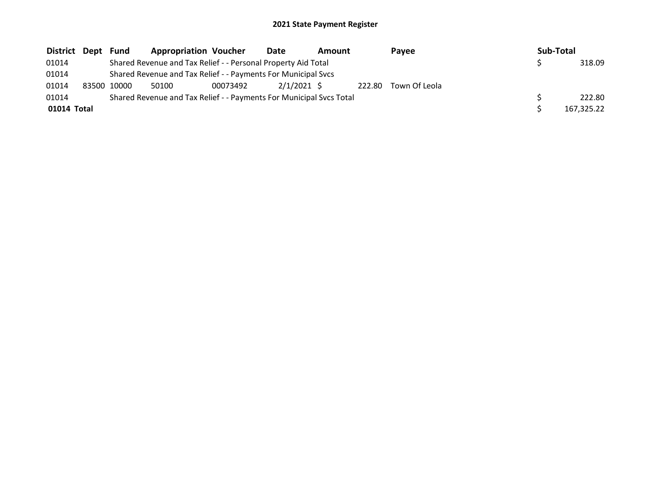| District Dept | Fund        | <b>Appropriation Voucher</b>                                        |          | Date        | Amount |        | Pavee         |  | Sub-Total |            |
|---------------|-------------|---------------------------------------------------------------------|----------|-------------|--------|--------|---------------|--|-----------|------------|
| 01014         |             | Shared Revenue and Tax Relief - - Personal Property Aid Total       |          |             |        |        |               |  |           | 318.09     |
| 01014         |             | Shared Revenue and Tax Relief - - Payments For Municipal Svcs       |          |             |        |        |               |  |           |            |
| 01014         | 83500 10000 | 50100                                                               | 00073492 | 2/1/2021 \$ |        | 222.80 | Town Of Leola |  |           |            |
| 01014         |             | Shared Revenue and Tax Relief - - Payments For Municipal Svcs Total |          |             |        |        |               |  |           | 222.80     |
| 01014 Total   |             |                                                                     |          |             |        |        |               |  |           | 167,325.22 |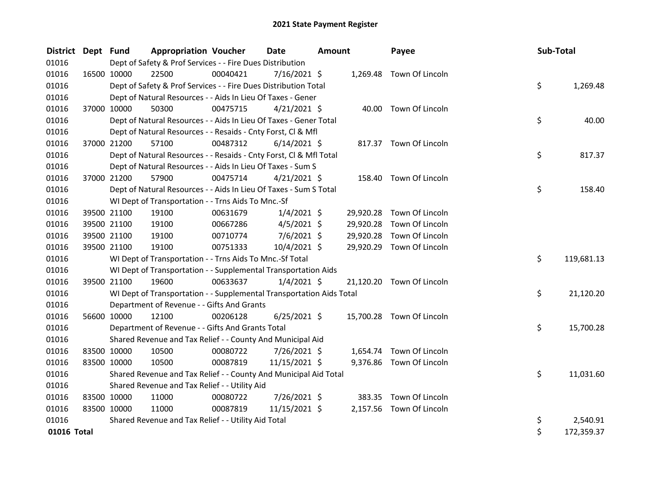| <b>District</b> | Dept Fund |             | <b>Appropriation Voucher</b>                                         |          | <b>Date</b>    | <b>Amount</b> |           | Payee                     | Sub-Total |            |
|-----------------|-----------|-------------|----------------------------------------------------------------------|----------|----------------|---------------|-----------|---------------------------|-----------|------------|
| 01016           |           |             | Dept of Safety & Prof Services - - Fire Dues Distribution            |          |                |               |           |                           |           |            |
| 01016           |           | 16500 10000 | 22500                                                                | 00040421 | $7/16/2021$ \$ |               |           | 1,269.48 Town Of Lincoln  |           |            |
| 01016           |           |             | Dept of Safety & Prof Services - - Fire Dues Distribution Total      |          |                |               |           |                           | \$        | 1,269.48   |
| 01016           |           |             | Dept of Natural Resources - - Aids In Lieu Of Taxes - Gener          |          |                |               |           |                           |           |            |
| 01016           |           | 37000 10000 | 50300                                                                | 00475715 | $4/21/2021$ \$ |               |           | 40.00 Town Of Lincoln     |           |            |
| 01016           |           |             | Dept of Natural Resources - - Aids In Lieu Of Taxes - Gener Total    |          |                |               |           |                           | \$        | 40.00      |
| 01016           |           |             | Dept of Natural Resources - - Resaids - Cnty Forst, Cl & Mfl         |          |                |               |           |                           |           |            |
| 01016           |           | 37000 21200 | 57100                                                                | 00487312 | $6/14/2021$ \$ |               |           | 817.37 Town Of Lincoln    |           |            |
| 01016           |           |             | Dept of Natural Resources - - Resaids - Cnty Forst, Cl & Mfl Total   |          |                |               |           |                           | \$        | 817.37     |
| 01016           |           |             | Dept of Natural Resources - - Aids In Lieu Of Taxes - Sum S          |          |                |               |           |                           |           |            |
| 01016           |           | 37000 21200 | 57900                                                                | 00475714 | $4/21/2021$ \$ |               |           | 158.40 Town Of Lincoln    |           |            |
| 01016           |           |             | Dept of Natural Resources - - Aids In Lieu Of Taxes - Sum S Total    |          |                |               |           |                           | \$        | 158.40     |
| 01016           |           |             | WI Dept of Transportation - - Trns Aids To Mnc.-Sf                   |          |                |               |           |                           |           |            |
| 01016           |           | 39500 21100 | 19100                                                                | 00631679 | $1/4/2021$ \$  |               | 29,920.28 | Town Of Lincoln           |           |            |
| 01016           |           | 39500 21100 | 19100                                                                | 00667286 | $4/5/2021$ \$  |               | 29,920.28 | Town Of Lincoln           |           |            |
| 01016           |           | 39500 21100 | 19100                                                                | 00710774 | $7/6/2021$ \$  |               | 29,920.28 | Town Of Lincoln           |           |            |
| 01016           |           | 39500 21100 | 19100                                                                | 00751333 | $10/4/2021$ \$ |               | 29,920.29 | Town Of Lincoln           |           |            |
| 01016           |           |             | WI Dept of Transportation - - Trns Aids To Mnc.-Sf Total             |          |                |               |           |                           | \$        | 119,681.13 |
| 01016           |           |             | WI Dept of Transportation - - Supplemental Transportation Aids       |          |                |               |           |                           |           |            |
| 01016           |           | 39500 21100 | 19600                                                                | 00633637 | $1/4/2021$ \$  |               |           | 21,120.20 Town Of Lincoln |           |            |
| 01016           |           |             | WI Dept of Transportation - - Supplemental Transportation Aids Total |          |                |               |           |                           | \$        | 21,120.20  |
| 01016           |           |             | Department of Revenue - - Gifts And Grants                           |          |                |               |           |                           |           |            |
| 01016           |           | 56600 10000 | 12100                                                                | 00206128 | $6/25/2021$ \$ |               |           | 15,700.28 Town Of Lincoln |           |            |
| 01016           |           |             | Department of Revenue - - Gifts And Grants Total                     |          |                |               |           |                           | \$        | 15,700.28  |
| 01016           |           |             | Shared Revenue and Tax Relief - - County And Municipal Aid           |          |                |               |           |                           |           |            |
| 01016           |           | 83500 10000 | 10500                                                                | 00080722 | 7/26/2021 \$   |               | 1,654.74  | Town Of Lincoln           |           |            |
| 01016           |           | 83500 10000 | 10500                                                                | 00087819 | 11/15/2021 \$  |               |           | 9,376.86 Town Of Lincoln  |           |            |
| 01016           |           |             | Shared Revenue and Tax Relief - - County And Municipal Aid Total     |          |                |               |           |                           | \$        | 11,031.60  |
| 01016           |           |             | Shared Revenue and Tax Relief - - Utility Aid                        |          |                |               |           |                           |           |            |
| 01016           |           | 83500 10000 | 11000                                                                | 00080722 | 7/26/2021 \$   |               | 383.35    | Town Of Lincoln           |           |            |
| 01016           |           | 83500 10000 | 11000                                                                | 00087819 | 11/15/2021 \$  |               |           | 2,157.56 Town Of Lincoln  |           |            |
| 01016           |           |             | Shared Revenue and Tax Relief - - Utility Aid Total                  |          |                |               |           |                           | \$        | 2,540.91   |
| 01016 Total     |           |             |                                                                      |          |                |               |           |                           | \$        | 172,359.37 |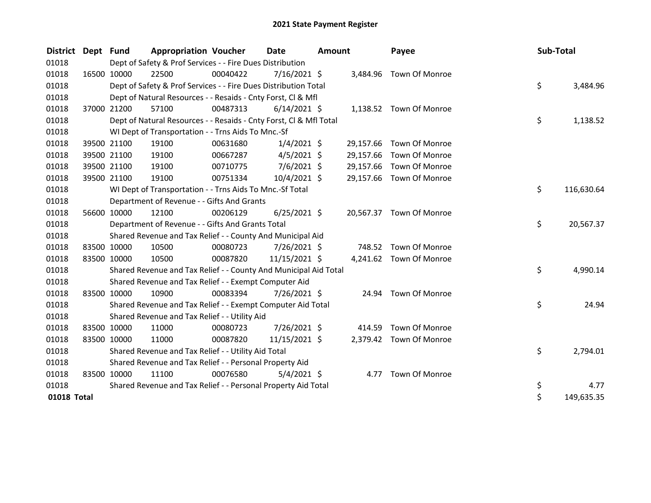| District Dept Fund |                                                           | <b>Appropriation Voucher</b>                                       |          | <b>Date</b><br>Amount |  | Payee     | <b>Sub-Total</b>         |    |            |
|--------------------|-----------------------------------------------------------|--------------------------------------------------------------------|----------|-----------------------|--|-----------|--------------------------|----|------------|
| 01018              | Dept of Safety & Prof Services - - Fire Dues Distribution |                                                                    |          |                       |  |           |                          |    |            |
| 01018              | 16500 10000                                               | 22500                                                              | 00040422 | 7/16/2021 \$          |  |           | 3,484.96 Town Of Monroe  |    |            |
| 01018              |                                                           | Dept of Safety & Prof Services - - Fire Dues Distribution Total    |          |                       |  |           |                          | \$ | 3,484.96   |
| 01018              |                                                           | Dept of Natural Resources - - Resaids - Cnty Forst, CI & Mfl       |          |                       |  |           |                          |    |            |
| 01018              | 37000 21200                                               | 57100                                                              | 00487313 | $6/14/2021$ \$        |  |           | 1,138.52 Town Of Monroe  |    |            |
| 01018              |                                                           | Dept of Natural Resources - - Resaids - Cnty Forst, CI & Mfl Total |          |                       |  |           |                          | \$ | 1,138.52   |
| 01018              |                                                           | WI Dept of Transportation - - Trns Aids To Mnc.-Sf                 |          |                       |  |           |                          |    |            |
| 01018              | 39500 21100                                               | 19100                                                              | 00631680 | $1/4/2021$ \$         |  | 29,157.66 | Town Of Monroe           |    |            |
| 01018              | 39500 21100                                               | 19100                                                              | 00667287 | $4/5/2021$ \$         |  | 29,157.66 | Town Of Monroe           |    |            |
| 01018              | 39500 21100                                               | 19100                                                              | 00710775 | $7/6/2021$ \$         |  | 29,157.66 | Town Of Monroe           |    |            |
| 01018              | 39500 21100                                               | 19100                                                              | 00751334 | 10/4/2021 \$          |  |           | 29,157.66 Town Of Monroe |    |            |
| 01018              |                                                           | WI Dept of Transportation - - Trns Aids To Mnc.-Sf Total           |          |                       |  |           |                          | \$ | 116,630.64 |
| 01018              |                                                           | Department of Revenue - - Gifts And Grants                         |          |                       |  |           |                          |    |            |
| 01018              | 56600 10000                                               | 12100                                                              | 00206129 | $6/25/2021$ \$        |  |           | 20,567.37 Town Of Monroe |    |            |
| 01018              |                                                           | Department of Revenue - - Gifts And Grants Total                   |          |                       |  |           |                          | \$ | 20,567.37  |
| 01018              |                                                           | Shared Revenue and Tax Relief - - County And Municipal Aid         |          |                       |  |           |                          |    |            |
| 01018              | 83500 10000                                               | 10500                                                              | 00080723 | 7/26/2021 \$          |  |           | 748.52 Town Of Monroe    |    |            |
| 01018              | 83500 10000                                               | 10500                                                              | 00087820 | 11/15/2021 \$         |  |           | 4,241.62 Town Of Monroe  |    |            |
| 01018              |                                                           | Shared Revenue and Tax Relief - - County And Municipal Aid Total   |          |                       |  |           |                          | \$ | 4,990.14   |
| 01018              |                                                           | Shared Revenue and Tax Relief - - Exempt Computer Aid              |          |                       |  |           |                          |    |            |
| 01018              | 83500 10000                                               | 10900                                                              | 00083394 | 7/26/2021 \$          |  |           | 24.94 Town Of Monroe     |    |            |
| 01018              |                                                           | Shared Revenue and Tax Relief - - Exempt Computer Aid Total        |          |                       |  |           |                          | \$ | 24.94      |
| 01018              |                                                           | Shared Revenue and Tax Relief - - Utility Aid                      |          |                       |  |           |                          |    |            |
| 01018              | 83500 10000                                               | 11000                                                              | 00080723 | 7/26/2021 \$          |  | 414.59    | Town Of Monroe           |    |            |
| 01018              | 83500 10000                                               | 11000                                                              | 00087820 | 11/15/2021 \$         |  |           | 2,379.42 Town Of Monroe  |    |            |
| 01018              |                                                           | Shared Revenue and Tax Relief - - Utility Aid Total                |          |                       |  |           |                          | \$ | 2,794.01   |
| 01018              |                                                           | Shared Revenue and Tax Relief - - Personal Property Aid            |          |                       |  |           |                          |    |            |
| 01018              | 83500 10000                                               | 11100                                                              | 00076580 | $5/4/2021$ \$         |  |           | 4.77 Town Of Monroe      |    |            |
| 01018              |                                                           | Shared Revenue and Tax Relief - - Personal Property Aid Total      |          |                       |  |           |                          | \$ | 4.77       |
| 01018 Total        |                                                           |                                                                    |          |                       |  |           |                          | \$ | 149,635.35 |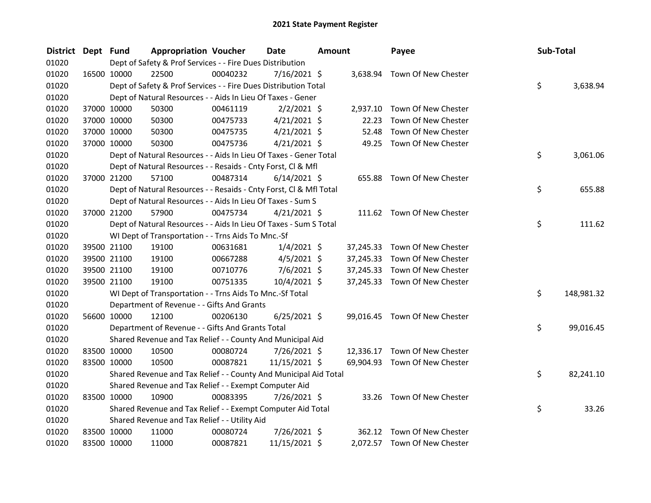| <b>District</b> | Dept Fund |             | <b>Appropriation Voucher</b>                                       |          | <b>Date</b>    | <b>Amount</b> |           | Payee                         | Sub-Total |            |
|-----------------|-----------|-------------|--------------------------------------------------------------------|----------|----------------|---------------|-----------|-------------------------------|-----------|------------|
| 01020           |           |             | Dept of Safety & Prof Services - - Fire Dues Distribution          |          |                |               |           |                               |           |            |
| 01020           |           | 16500 10000 | 22500                                                              | 00040232 | 7/16/2021 \$   |               | 3,638.94  | Town Of New Chester           |           |            |
| 01020           |           |             | Dept of Safety & Prof Services - - Fire Dues Distribution Total    |          |                |               |           |                               | \$        | 3,638.94   |
| 01020           |           |             | Dept of Natural Resources - - Aids In Lieu Of Taxes - Gener        |          |                |               |           |                               |           |            |
| 01020           |           | 37000 10000 | 50300                                                              | 00461119 | $2/2/2021$ \$  |               | 2,937.10  | Town Of New Chester           |           |            |
| 01020           |           | 37000 10000 | 50300                                                              | 00475733 | $4/21/2021$ \$ |               | 22.23     | Town Of New Chester           |           |            |
| 01020           |           | 37000 10000 | 50300                                                              | 00475735 | $4/21/2021$ \$ |               | 52.48     | Town Of New Chester           |           |            |
| 01020           |           | 37000 10000 | 50300                                                              | 00475736 | $4/21/2021$ \$ |               |           | 49.25 Town Of New Chester     |           |            |
| 01020           |           |             | Dept of Natural Resources - - Aids In Lieu Of Taxes - Gener Total  |          |                |               |           |                               | \$        | 3,061.06   |
| 01020           |           |             | Dept of Natural Resources - - Resaids - Cnty Forst, Cl & Mfl       |          |                |               |           |                               |           |            |
| 01020           |           | 37000 21200 | 57100                                                              | 00487314 | $6/14/2021$ \$ |               | 655.88    | Town Of New Chester           |           |            |
| 01020           |           |             | Dept of Natural Resources - - Resaids - Cnty Forst, Cl & Mfl Total |          |                |               |           |                               | \$        | 655.88     |
| 01020           |           |             | Dept of Natural Resources - - Aids In Lieu Of Taxes - Sum S        |          |                |               |           |                               |           |            |
| 01020           |           | 37000 21200 | 57900                                                              | 00475734 | $4/21/2021$ \$ |               |           | 111.62 Town Of New Chester    |           |            |
| 01020           |           |             | Dept of Natural Resources - - Aids In Lieu Of Taxes - Sum S Total  |          |                |               |           |                               | \$        | 111.62     |
| 01020           |           |             | WI Dept of Transportation - - Trns Aids To Mnc.-Sf                 |          |                |               |           |                               |           |            |
| 01020           |           | 39500 21100 | 19100                                                              | 00631681 | $1/4/2021$ \$  |               |           | 37,245.33 Town Of New Chester |           |            |
| 01020           |           | 39500 21100 | 19100                                                              | 00667288 | $4/5/2021$ \$  |               | 37,245.33 | Town Of New Chester           |           |            |
| 01020           |           | 39500 21100 | 19100                                                              | 00710776 | $7/6/2021$ \$  |               | 37,245.33 | Town Of New Chester           |           |            |
| 01020           |           | 39500 21100 | 19100                                                              | 00751335 | 10/4/2021 \$   |               |           | 37,245.33 Town Of New Chester |           |            |
| 01020           |           |             | WI Dept of Transportation - - Trns Aids To Mnc.-Sf Total           |          |                |               |           |                               | \$        | 148,981.32 |
| 01020           |           |             | Department of Revenue - - Gifts And Grants                         |          |                |               |           |                               |           |            |
| 01020           |           | 56600 10000 | 12100                                                              | 00206130 | $6/25/2021$ \$ |               |           | 99,016.45 Town Of New Chester |           |            |
| 01020           |           |             | Department of Revenue - - Gifts And Grants Total                   |          |                |               |           |                               | \$        | 99,016.45  |
| 01020           |           |             | Shared Revenue and Tax Relief - - County And Municipal Aid         |          |                |               |           |                               |           |            |
| 01020           |           | 83500 10000 | 10500                                                              | 00080724 | 7/26/2021 \$   |               | 12,336.17 | Town Of New Chester           |           |            |
| 01020           |           | 83500 10000 | 10500                                                              | 00087821 | 11/15/2021 \$  |               |           | 69,904.93 Town Of New Chester |           |            |
| 01020           |           |             | Shared Revenue and Tax Relief - - County And Municipal Aid Total   |          |                |               |           |                               | \$        | 82,241.10  |
| 01020           |           |             | Shared Revenue and Tax Relief - - Exempt Computer Aid              |          |                |               |           |                               |           |            |
| 01020           |           | 83500 10000 | 10900                                                              | 00083395 | 7/26/2021 \$   |               |           | 33.26 Town Of New Chester     |           |            |
| 01020           |           |             | Shared Revenue and Tax Relief - - Exempt Computer Aid Total        |          |                |               |           |                               | \$        | 33.26      |
| 01020           |           |             | Shared Revenue and Tax Relief - - Utility Aid                      |          |                |               |           |                               |           |            |
| 01020           |           | 83500 10000 | 11000                                                              | 00080724 | 7/26/2021 \$   |               | 362.12    | Town Of New Chester           |           |            |
| 01020           |           | 83500 10000 | 11000                                                              | 00087821 | 11/15/2021 \$  |               |           | 2,072.57 Town Of New Chester  |           |            |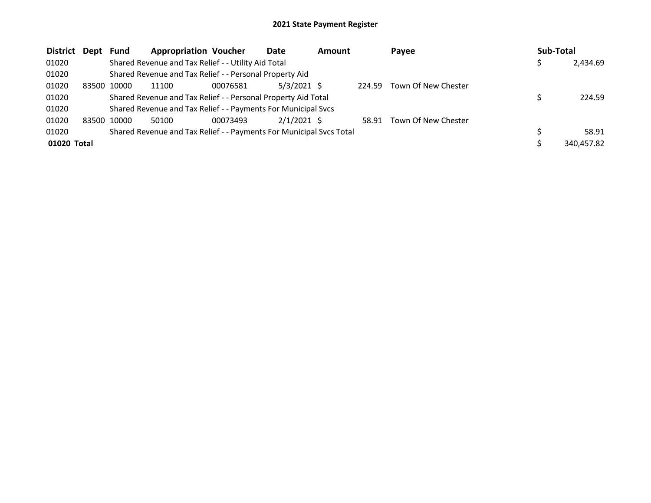| <b>District</b> | Dept  | Fund  | <b>Appropriation Voucher</b>                                        |          | Date          | <b>Amount</b> |        | Payee               | Sub-Total |            |
|-----------------|-------|-------|---------------------------------------------------------------------|----------|---------------|---------------|--------|---------------------|-----------|------------|
| 01020           |       |       | Shared Revenue and Tax Relief - - Utility Aid Total                 |          |               |               |        |                     |           | 2,434.69   |
| 01020           |       |       | Shared Revenue and Tax Relief - - Personal Property Aid             |          |               |               |        |                     |           |            |
| 01020           | 83500 | 10000 | 11100                                                               | 00076581 | $5/3/2021$ \$ |               | 224.59 | Town Of New Chester |           |            |
| 01020           |       |       | Shared Revenue and Tax Relief - - Personal Property Aid Total       |          |               |               |        |                     |           | 224.59     |
| 01020           |       |       | Shared Revenue and Tax Relief - - Payments For Municipal Svcs       |          |               |               |        |                     |           |            |
| 01020           | 83500 | 10000 | 50100                                                               | 00073493 | $2/1/2021$ \$ |               | 58.91  | Town Of New Chester |           |            |
| 01020           |       |       | Shared Revenue and Tax Relief - - Payments For Municipal Svcs Total |          |               |               |        |                     |           | 58.91      |
| 01020 Total     |       |       |                                                                     |          |               |               |        |                     |           | 340,457.82 |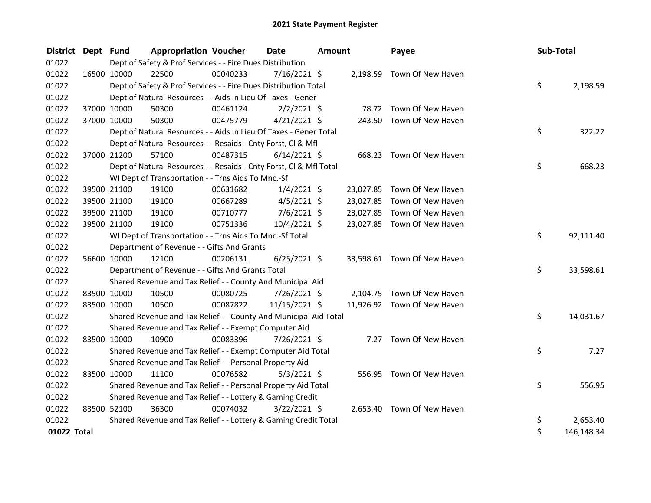| <b>District</b> | Dept Fund |             | <b>Appropriation Voucher</b>                                       |          | <b>Date</b>    | <b>Amount</b> |           | Payee                       | Sub-Total |            |
|-----------------|-----------|-------------|--------------------------------------------------------------------|----------|----------------|---------------|-----------|-----------------------------|-----------|------------|
| 01022           |           |             | Dept of Safety & Prof Services - - Fire Dues Distribution          |          |                |               |           |                             |           |            |
| 01022           |           | 16500 10000 | 22500                                                              | 00040233 | $7/16/2021$ \$ |               |           | 2,198.59 Town Of New Haven  |           |            |
| 01022           |           |             | Dept of Safety & Prof Services - - Fire Dues Distribution Total    |          |                |               |           |                             | \$        | 2,198.59   |
| 01022           |           |             | Dept of Natural Resources - - Aids In Lieu Of Taxes - Gener        |          |                |               |           |                             |           |            |
| 01022           |           | 37000 10000 | 50300                                                              | 00461124 | $2/2/2021$ \$  |               |           | 78.72 Town Of New Haven     |           |            |
| 01022           |           | 37000 10000 | 50300                                                              | 00475779 | $4/21/2021$ \$ |               |           | 243.50 Town Of New Haven    |           |            |
| 01022           |           |             | Dept of Natural Resources - - Aids In Lieu Of Taxes - Gener Total  |          |                |               |           |                             | \$        | 322.22     |
| 01022           |           |             | Dept of Natural Resources - - Resaids - Cnty Forst, Cl & Mfl       |          |                |               |           |                             |           |            |
| 01022           |           | 37000 21200 | 57100                                                              | 00487315 | $6/14/2021$ \$ |               |           | 668.23 Town Of New Haven    |           |            |
| 01022           |           |             | Dept of Natural Resources - - Resaids - Cnty Forst, Cl & Mfl Total |          |                |               |           |                             | \$        | 668.23     |
| 01022           |           |             | WI Dept of Transportation - - Trns Aids To Mnc.-Sf                 |          |                |               |           |                             |           |            |
| 01022           |           | 39500 21100 | 19100                                                              | 00631682 | $1/4/2021$ \$  |               |           | 23,027.85 Town Of New Haven |           |            |
| 01022           |           | 39500 21100 | 19100                                                              | 00667289 | $4/5/2021$ \$  |               | 23,027.85 | Town Of New Haven           |           |            |
| 01022           |           | 39500 21100 | 19100                                                              | 00710777 | $7/6/2021$ \$  |               |           | 23,027.85 Town Of New Haven |           |            |
| 01022           |           | 39500 21100 | 19100                                                              | 00751336 | 10/4/2021 \$   |               |           | 23,027.85 Town Of New Haven |           |            |
| 01022           |           |             | WI Dept of Transportation - - Trns Aids To Mnc.-Sf Total           |          |                |               |           |                             | \$        | 92,111.40  |
| 01022           |           |             | Department of Revenue - - Gifts And Grants                         |          |                |               |           |                             |           |            |
| 01022           |           | 56600 10000 | 12100                                                              | 00206131 | $6/25/2021$ \$ |               |           | 33,598.61 Town Of New Haven |           |            |
| 01022           |           |             | Department of Revenue - - Gifts And Grants Total                   |          |                |               |           |                             | \$        | 33,598.61  |
| 01022           |           |             | Shared Revenue and Tax Relief - - County And Municipal Aid         |          |                |               |           |                             |           |            |
| 01022           |           | 83500 10000 | 10500                                                              | 00080725 | 7/26/2021 \$   |               |           | 2,104.75 Town Of New Haven  |           |            |
| 01022           |           | 83500 10000 | 10500                                                              | 00087822 | 11/15/2021 \$  |               |           | 11,926.92 Town Of New Haven |           |            |
| 01022           |           |             | Shared Revenue and Tax Relief - - County And Municipal Aid Total   |          |                |               |           |                             | \$        | 14,031.67  |
| 01022           |           |             | Shared Revenue and Tax Relief - - Exempt Computer Aid              |          |                |               |           |                             |           |            |
| 01022           |           | 83500 10000 | 10900                                                              | 00083396 | 7/26/2021 \$   |               |           | 7.27 Town Of New Haven      |           |            |
| 01022           |           |             | Shared Revenue and Tax Relief - - Exempt Computer Aid Total        |          |                |               |           |                             | \$        | 7.27       |
| 01022           |           |             | Shared Revenue and Tax Relief - - Personal Property Aid            |          |                |               |           |                             |           |            |
| 01022           |           | 83500 10000 | 11100                                                              | 00076582 | $5/3/2021$ \$  |               |           | 556.95 Town Of New Haven    |           |            |
| 01022           |           |             | Shared Revenue and Tax Relief - - Personal Property Aid Total      |          |                |               |           |                             | \$        | 556.95     |
| 01022           |           |             | Shared Revenue and Tax Relief - - Lottery & Gaming Credit          |          |                |               |           |                             |           |            |
| 01022           |           | 83500 52100 | 36300                                                              | 00074032 | 3/22/2021 \$   |               |           | 2,653.40 Town Of New Haven  |           |            |
| 01022           |           |             | Shared Revenue and Tax Relief - - Lottery & Gaming Credit Total    |          |                |               |           |                             | \$        | 2,653.40   |
| 01022 Total     |           |             |                                                                    |          |                |               |           |                             | \$        | 146,148.34 |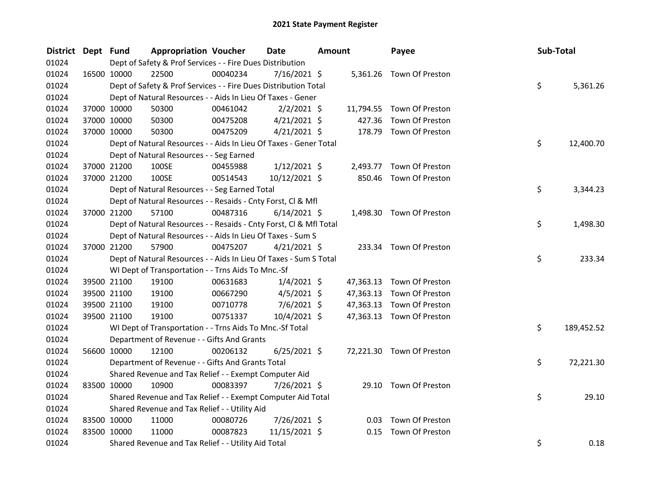| <b>District</b> | Dept Fund   |             | <b>Appropriation Voucher</b>                                       |          | Date           | <b>Amount</b> |           | Payee                     | Sub-Total |            |
|-----------------|-------------|-------------|--------------------------------------------------------------------|----------|----------------|---------------|-----------|---------------------------|-----------|------------|
| 01024           |             |             | Dept of Safety & Prof Services - - Fire Dues Distribution          |          |                |               |           |                           |           |            |
| 01024           |             | 16500 10000 | 22500                                                              | 00040234 | 7/16/2021 \$   |               |           | 5,361.26 Town Of Preston  |           |            |
| 01024           |             |             | Dept of Safety & Prof Services - - Fire Dues Distribution Total    |          |                |               |           |                           | \$        | 5,361.26   |
| 01024           |             |             | Dept of Natural Resources - - Aids In Lieu Of Taxes - Gener        |          |                |               |           |                           |           |            |
| 01024           | 37000 10000 |             | 50300                                                              | 00461042 | $2/2/2021$ \$  |               |           | 11,794.55 Town Of Preston |           |            |
| 01024           | 37000 10000 |             | 50300                                                              | 00475208 | $4/21/2021$ \$ |               | 427.36    | Town Of Preston           |           |            |
| 01024           | 37000 10000 |             | 50300                                                              | 00475209 | $4/21/2021$ \$ |               |           | 178.79 Town Of Preston    |           |            |
| 01024           |             |             | Dept of Natural Resources - - Aids In Lieu Of Taxes - Gener Total  |          |                |               |           |                           | \$.       | 12,400.70  |
| 01024           |             |             | Dept of Natural Resources - - Seg Earned                           |          |                |               |           |                           |           |            |
| 01024           | 37000 21200 |             | 100SE                                                              | 00455988 | $1/12/2021$ \$ |               |           | 2,493.77 Town Of Preston  |           |            |
| 01024           | 37000 21200 |             | 100SE                                                              | 00514543 | 10/12/2021 \$  |               |           | 850.46 Town Of Preston    |           |            |
| 01024           |             |             | Dept of Natural Resources - - Seg Earned Total                     |          |                |               |           |                           | \$        | 3,344.23   |
| 01024           |             |             | Dept of Natural Resources - - Resaids - Cnty Forst, Cl & Mfl       |          |                |               |           |                           |           |            |
| 01024           |             | 37000 21200 | 57100                                                              | 00487316 | $6/14/2021$ \$ |               |           | 1,498.30 Town Of Preston  |           |            |
| 01024           |             |             | Dept of Natural Resources - - Resaids - Cnty Forst, Cl & Mfl Total |          |                |               |           |                           | \$        | 1,498.30   |
| 01024           |             |             | Dept of Natural Resources - - Aids In Lieu Of Taxes - Sum S        |          |                |               |           |                           |           |            |
| 01024           | 37000 21200 |             | 57900                                                              | 00475207 | $4/21/2021$ \$ |               |           | 233.34 Town Of Preston    |           |            |
| 01024           |             |             | Dept of Natural Resources - - Aids In Lieu Of Taxes - Sum S Total  |          |                |               |           |                           | \$        | 233.34     |
| 01024           |             |             | WI Dept of Transportation - - Trns Aids To Mnc.-Sf                 |          |                |               |           |                           |           |            |
| 01024           |             | 39500 21100 | 19100                                                              | 00631683 | $1/4/2021$ \$  |               |           | 47,363.13 Town Of Preston |           |            |
| 01024           | 39500 21100 |             | 19100                                                              | 00667290 | $4/5/2021$ \$  |               | 47,363.13 | Town Of Preston           |           |            |
| 01024           | 39500 21100 |             | 19100                                                              | 00710778 | $7/6/2021$ \$  |               | 47,363.13 | Town Of Preston           |           |            |
| 01024           | 39500 21100 |             | 19100                                                              | 00751337 | 10/4/2021 \$   |               |           | 47,363.13 Town Of Preston |           |            |
| 01024           |             |             | WI Dept of Transportation - - Trns Aids To Mnc.-Sf Total           |          |                |               |           |                           | \$        | 189,452.52 |
| 01024           |             |             | Department of Revenue - - Gifts And Grants                         |          |                |               |           |                           |           |            |
| 01024           | 56600 10000 |             | 12100                                                              | 00206132 | $6/25/2021$ \$ |               |           | 72,221.30 Town Of Preston |           |            |
| 01024           |             |             | Department of Revenue - - Gifts And Grants Total                   |          |                |               |           |                           | \$        | 72,221.30  |
| 01024           |             |             | Shared Revenue and Tax Relief - - Exempt Computer Aid              |          |                |               |           |                           |           |            |
| 01024           | 83500 10000 |             | 10900                                                              | 00083397 | 7/26/2021 \$   |               |           | 29.10 Town Of Preston     |           |            |
| 01024           |             |             | Shared Revenue and Tax Relief - - Exempt Computer Aid Total        |          |                |               |           |                           | \$        | 29.10      |
| 01024           |             |             | Shared Revenue and Tax Relief - - Utility Aid                      |          |                |               |           |                           |           |            |
| 01024           | 83500 10000 |             | 11000                                                              | 00080726 | 7/26/2021 \$   |               | 0.03      | Town Of Preston           |           |            |
| 01024           | 83500 10000 |             | 11000                                                              | 00087823 | 11/15/2021 \$  |               | 0.15      | Town Of Preston           |           |            |
| 01024           |             |             | Shared Revenue and Tax Relief - - Utility Aid Total                |          |                |               |           |                           | \$        | 0.18       |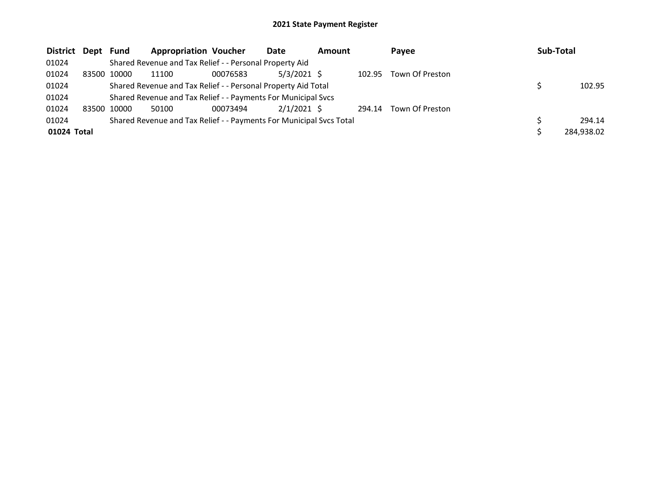| District Dept | Fund        | <b>Appropriation Voucher</b>                                        |          | Date          | <b>Amount</b> |        | Payee           | Sub-Total  |
|---------------|-------------|---------------------------------------------------------------------|----------|---------------|---------------|--------|-----------------|------------|
| 01024         |             | Shared Revenue and Tax Relief - - Personal Property Aid             |          |               |               |        |                 |            |
| 01024         | 83500 10000 | 11100                                                               | 00076583 | $5/3/2021$ \$ |               | 102.95 | Town Of Preston |            |
| 01024         |             | Shared Revenue and Tax Relief - - Personal Property Aid Total       |          |               |               |        |                 | 102.95     |
| 01024         |             | Shared Revenue and Tax Relief - - Payments For Municipal Svcs       |          |               |               |        |                 |            |
| 01024         | 83500 10000 | 50100                                                               | 00073494 | $2/1/2021$ \$ |               | 294.14 | Town Of Preston |            |
| 01024         |             | Shared Revenue and Tax Relief - - Payments For Municipal Svcs Total |          |               |               |        |                 | 294.14     |
| 01024 Total   |             |                                                                     |          |               |               |        |                 | 284,938.02 |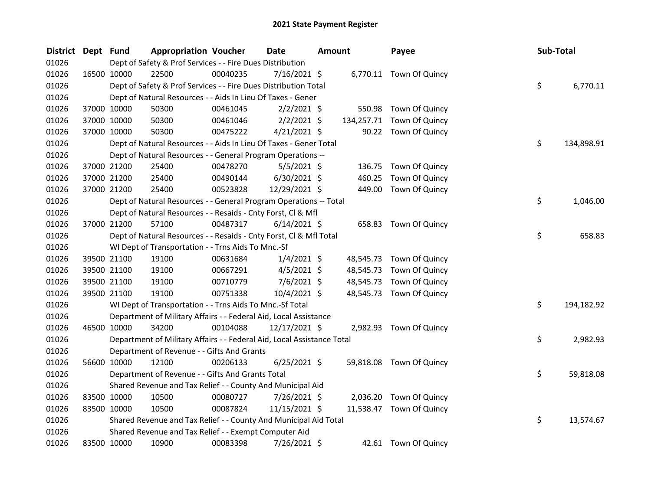| <b>District</b> | Dept Fund |             | <b>Appropriation Voucher</b>                                           |          | <b>Date</b>    | <b>Amount</b> |            | Payee                    | Sub-Total |            |
|-----------------|-----------|-------------|------------------------------------------------------------------------|----------|----------------|---------------|------------|--------------------------|-----------|------------|
| 01026           |           |             | Dept of Safety & Prof Services - - Fire Dues Distribution              |          |                |               |            |                          |           |            |
| 01026           |           | 16500 10000 | 22500                                                                  | 00040235 | 7/16/2021 \$   |               |            | 6,770.11 Town Of Quincy  |           |            |
| 01026           |           |             | Dept of Safety & Prof Services - - Fire Dues Distribution Total        |          |                |               |            |                          | \$        | 6,770.11   |
| 01026           |           |             | Dept of Natural Resources - - Aids In Lieu Of Taxes - Gener            |          |                |               |            |                          |           |            |
| 01026           |           | 37000 10000 | 50300                                                                  | 00461045 | $2/2/2021$ \$  |               |            | 550.98 Town Of Quincy    |           |            |
| 01026           |           | 37000 10000 | 50300                                                                  | 00461046 | $2/2/2021$ \$  |               | 134,257.71 | Town Of Quincy           |           |            |
| 01026           |           | 37000 10000 | 50300                                                                  | 00475222 | $4/21/2021$ \$ |               |            | 90.22 Town Of Quincy     |           |            |
| 01026           |           |             | Dept of Natural Resources - - Aids In Lieu Of Taxes - Gener Total      |          |                |               |            |                          | \$        | 134,898.91 |
| 01026           |           |             | Dept of Natural Resources - - General Program Operations --            |          |                |               |            |                          |           |            |
| 01026           |           | 37000 21200 | 25400                                                                  | 00478270 | $5/5/2021$ \$  |               | 136.75     | Town Of Quincy           |           |            |
| 01026           |           | 37000 21200 | 25400                                                                  | 00490144 | $6/30/2021$ \$ |               | 460.25     | Town Of Quincy           |           |            |
| 01026           |           | 37000 21200 | 25400                                                                  | 00523828 | 12/29/2021 \$  |               | 449.00     | Town Of Quincy           |           |            |
| 01026           |           |             | Dept of Natural Resources - - General Program Operations -- Total      |          |                |               |            |                          | \$        | 1,046.00   |
| 01026           |           |             | Dept of Natural Resources - - Resaids - Cnty Forst, Cl & Mfl           |          |                |               |            |                          |           |            |
| 01026           |           | 37000 21200 | 57100                                                                  | 00487317 | $6/14/2021$ \$ |               |            | 658.83 Town Of Quincy    |           |            |
| 01026           |           |             | Dept of Natural Resources - - Resaids - Cnty Forst, Cl & Mfl Total     |          |                |               |            |                          | \$        | 658.83     |
| 01026           |           |             | WI Dept of Transportation - - Trns Aids To Mnc.-Sf                     |          |                |               |            |                          |           |            |
| 01026           |           | 39500 21100 | 19100                                                                  | 00631684 | $1/4/2021$ \$  |               | 48,545.73  | Town Of Quincy           |           |            |
| 01026           |           | 39500 21100 | 19100                                                                  | 00667291 | $4/5/2021$ \$  |               | 48,545.73  | Town Of Quincy           |           |            |
| 01026           |           | 39500 21100 | 19100                                                                  | 00710779 | $7/6/2021$ \$  |               | 48,545.73  | Town Of Quincy           |           |            |
| 01026           |           | 39500 21100 | 19100                                                                  | 00751338 | 10/4/2021 \$   |               | 48,545.73  | Town Of Quincy           |           |            |
| 01026           |           |             | WI Dept of Transportation - - Trns Aids To Mnc.-Sf Total               |          |                |               |            |                          | \$        | 194,182.92 |
| 01026           |           |             | Department of Military Affairs - - Federal Aid, Local Assistance       |          |                |               |            |                          |           |            |
| 01026           |           | 46500 10000 | 34200                                                                  | 00104088 | 12/17/2021 \$  |               |            | 2,982.93 Town Of Quincy  |           |            |
| 01026           |           |             | Department of Military Affairs - - Federal Aid, Local Assistance Total |          |                |               |            |                          | \$.       | 2,982.93   |
| 01026           |           |             | Department of Revenue - - Gifts And Grants                             |          |                |               |            |                          |           |            |
| 01026           |           | 56600 10000 | 12100                                                                  | 00206133 | $6/25/2021$ \$ |               |            | 59,818.08 Town Of Quincy |           |            |
| 01026           |           |             | Department of Revenue - - Gifts And Grants Total                       |          |                |               |            |                          | \$        | 59,818.08  |
| 01026           |           |             | Shared Revenue and Tax Relief - - County And Municipal Aid             |          |                |               |            |                          |           |            |
| 01026           |           | 83500 10000 | 10500                                                                  | 00080727 | 7/26/2021 \$   |               | 2,036.20   | Town Of Quincy           |           |            |
| 01026           |           | 83500 10000 | 10500                                                                  | 00087824 | 11/15/2021 \$  |               | 11,538.47  | Town Of Quincy           |           |            |
| 01026           |           |             | Shared Revenue and Tax Relief - - County And Municipal Aid Total       |          |                |               |            |                          | \$        | 13,574.67  |
| 01026           |           |             | Shared Revenue and Tax Relief - - Exempt Computer Aid                  |          |                |               |            |                          |           |            |
| 01026           |           | 83500 10000 | 10900                                                                  | 00083398 | 7/26/2021 \$   |               |            | 42.61 Town Of Quincy     |           |            |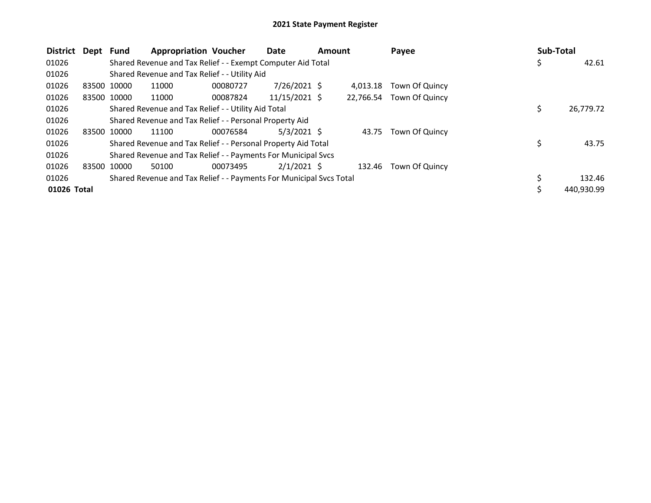| District Dept |             | Fund        | <b>Appropriation Voucher</b>                                        |          | Date            | <b>Amount</b> |          | Payee                    | Sub-Total |            |
|---------------|-------------|-------------|---------------------------------------------------------------------|----------|-----------------|---------------|----------|--------------------------|-----------|------------|
| 01026         |             |             | Shared Revenue and Tax Relief - - Exempt Computer Aid Total         |          |                 |               |          |                          | \$        | 42.61      |
| 01026         |             |             | Shared Revenue and Tax Relief - - Utility Aid                       |          |                 |               |          |                          |           |            |
| 01026         | 83500 10000 |             | 11000                                                               | 00080727 | $7/26/2021$ \$  |               | 4.013.18 | Town Of Quincy           |           |            |
| 01026         |             | 83500 10000 | 11000                                                               | 00087824 | $11/15/2021$ \$ |               |          | 22,766.54 Town Of Quincy |           |            |
| 01026         |             |             | Shared Revenue and Tax Relief - - Utility Aid Total                 |          |                 |               |          |                          | \$        | 26,779.72  |
| 01026         |             |             | Shared Revenue and Tax Relief - - Personal Property Aid             |          |                 |               |          |                          |           |            |
| 01026         | 83500 10000 |             | 11100                                                               | 00076584 | $5/3/2021$ \$   |               | 43.75    | Town Of Quincy           |           |            |
| 01026         |             |             | Shared Revenue and Tax Relief - - Personal Property Aid Total       |          |                 |               |          |                          |           | 43.75      |
| 01026         |             |             | Shared Revenue and Tax Relief - - Payments For Municipal Svcs       |          |                 |               |          |                          |           |            |
| 01026         | 83500 10000 |             | 50100                                                               | 00073495 | $2/1/2021$ \$   |               | 132.46   | Town Of Quincy           |           |            |
| 01026         |             |             | Shared Revenue and Tax Relief - - Payments For Municipal Svcs Total |          |                 |               |          |                          |           | 132.46     |
| 01026 Total   |             |             |                                                                     |          |                 |               |          |                          |           | 440,930.99 |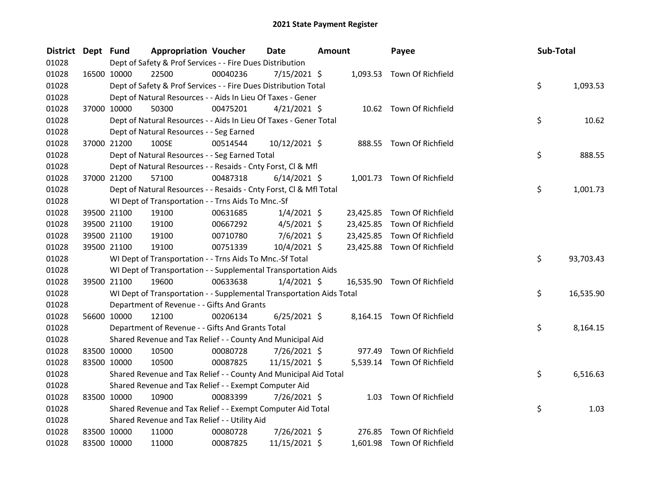| <b>District</b> | Dept Fund |             | <b>Appropriation Voucher</b>                                         |          | Date           | <b>Amount</b> |           | Payee                       | Sub-Total |           |
|-----------------|-----------|-------------|----------------------------------------------------------------------|----------|----------------|---------------|-----------|-----------------------------|-----------|-----------|
| 01028           |           |             | Dept of Safety & Prof Services - - Fire Dues Distribution            |          |                |               |           |                             |           |           |
| 01028           |           | 16500 10000 | 22500                                                                | 00040236 | 7/15/2021 \$   |               |           | 1,093.53 Town Of Richfield  |           |           |
| 01028           |           |             | Dept of Safety & Prof Services - - Fire Dues Distribution Total      |          |                |               |           |                             | \$        | 1,093.53  |
| 01028           |           |             | Dept of Natural Resources - - Aids In Lieu Of Taxes - Gener          |          |                |               |           |                             |           |           |
| 01028           |           | 37000 10000 | 50300                                                                | 00475201 | $4/21/2021$ \$ |               |           | 10.62 Town Of Richfield     |           |           |
| 01028           |           |             | Dept of Natural Resources - - Aids In Lieu Of Taxes - Gener Total    |          |                |               |           |                             | \$        | 10.62     |
| 01028           |           |             | Dept of Natural Resources - - Seg Earned                             |          |                |               |           |                             |           |           |
| 01028           |           | 37000 21200 | 100SE                                                                | 00514544 | 10/12/2021 \$  |               |           | 888.55 Town Of Richfield    |           |           |
| 01028           |           |             | Dept of Natural Resources - - Seg Earned Total                       |          |                |               |           |                             | \$        | 888.55    |
| 01028           |           |             | Dept of Natural Resources - - Resaids - Cnty Forst, Cl & Mfl         |          |                |               |           |                             |           |           |
| 01028           |           | 37000 21200 | 57100                                                                | 00487318 | $6/14/2021$ \$ |               |           | 1,001.73 Town Of Richfield  |           |           |
| 01028           |           |             | Dept of Natural Resources - - Resaids - Cnty Forst, Cl & Mfl Total   |          |                |               |           |                             | \$        | 1,001.73  |
| 01028           |           |             | WI Dept of Transportation - - Trns Aids To Mnc.-Sf                   |          |                |               |           |                             |           |           |
| 01028           |           | 39500 21100 | 19100                                                                | 00631685 | $1/4/2021$ \$  |               |           | 23,425.85 Town Of Richfield |           |           |
| 01028           |           | 39500 21100 | 19100                                                                | 00667292 | $4/5/2021$ \$  |               | 23,425.85 | Town Of Richfield           |           |           |
| 01028           |           | 39500 21100 | 19100                                                                | 00710780 | $7/6/2021$ \$  |               | 23,425.85 | Town Of Richfield           |           |           |
| 01028           |           | 39500 21100 | 19100                                                                | 00751339 | 10/4/2021 \$   |               |           | 23,425.88 Town Of Richfield |           |           |
| 01028           |           |             | WI Dept of Transportation - - Trns Aids To Mnc.-Sf Total             |          |                |               |           |                             | \$        | 93,703.43 |
| 01028           |           |             | WI Dept of Transportation - - Supplemental Transportation Aids       |          |                |               |           |                             |           |           |
| 01028           |           | 39500 21100 | 19600                                                                | 00633638 | $1/4/2021$ \$  |               |           | 16,535.90 Town Of Richfield |           |           |
| 01028           |           |             | WI Dept of Transportation - - Supplemental Transportation Aids Total |          |                |               |           |                             | \$        | 16,535.90 |
| 01028           |           |             | Department of Revenue - - Gifts And Grants                           |          |                |               |           |                             |           |           |
| 01028           |           | 56600 10000 | 12100                                                                | 00206134 | $6/25/2021$ \$ |               |           | 8,164.15 Town Of Richfield  |           |           |
| 01028           |           |             | Department of Revenue - - Gifts And Grants Total                     |          |                |               |           |                             | \$        | 8,164.15  |
| 01028           |           |             | Shared Revenue and Tax Relief - - County And Municipal Aid           |          |                |               |           |                             |           |           |
| 01028           |           | 83500 10000 | 10500                                                                | 00080728 | 7/26/2021 \$   |               | 977.49    | Town Of Richfield           |           |           |
| 01028           |           | 83500 10000 | 10500                                                                | 00087825 | 11/15/2021 \$  |               |           | 5,539.14 Town Of Richfield  |           |           |
| 01028           |           |             | Shared Revenue and Tax Relief - - County And Municipal Aid Total     |          |                |               |           |                             | \$        | 6,516.63  |
| 01028           |           |             | Shared Revenue and Tax Relief - - Exempt Computer Aid                |          |                |               |           |                             |           |           |
| 01028           |           | 83500 10000 | 10900                                                                | 00083399 | 7/26/2021 \$   |               |           | 1.03 Town Of Richfield      |           |           |
| 01028           |           |             | Shared Revenue and Tax Relief - - Exempt Computer Aid Total          |          |                |               |           |                             | \$        | 1.03      |
| 01028           |           |             | Shared Revenue and Tax Relief - - Utility Aid                        |          |                |               |           |                             |           |           |
| 01028           |           | 83500 10000 | 11000                                                                | 00080728 | 7/26/2021 \$   |               |           | 276.85 Town Of Richfield    |           |           |
| 01028           |           | 83500 10000 | 11000                                                                | 00087825 | 11/15/2021 \$  |               |           | 1,601.98 Town Of Richfield  |           |           |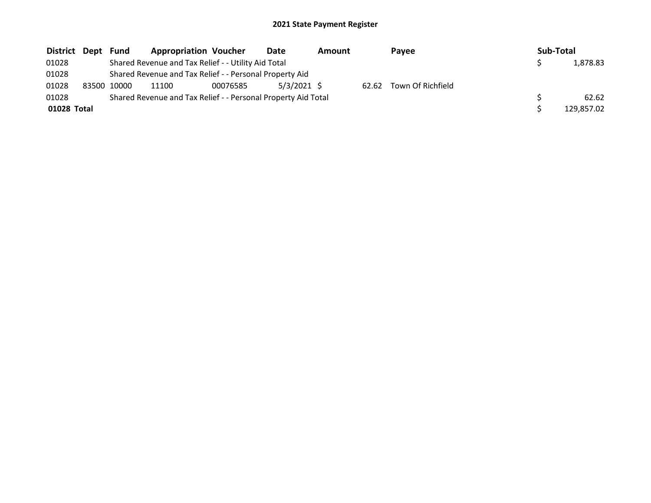| District Dept |       | Fund  | <b>Appropriation Voucher</b>                                  |          | Date        | Amount |       | Pavee             |  | Sub-Total |            |
|---------------|-------|-------|---------------------------------------------------------------|----------|-------------|--------|-------|-------------------|--|-----------|------------|
| 01028         |       |       | Shared Revenue and Tax Relief - - Utility Aid Total           |          |             |        |       |                   |  |           | 1,878.83   |
| 01028         |       |       | Shared Revenue and Tax Relief - - Personal Property Aid       |          |             |        |       |                   |  |           |            |
| 01028         | 83500 | 10000 | 11100                                                         | 00076585 | 5/3/2021 \$ |        | 62.62 | Town Of Richfield |  |           |            |
| 01028         |       |       | Shared Revenue and Tax Relief - - Personal Property Aid Total |          |             |        |       |                   |  |           | 62.62      |
| 01028 Total   |       |       |                                                               |          |             |        |       |                   |  |           | 129.857.02 |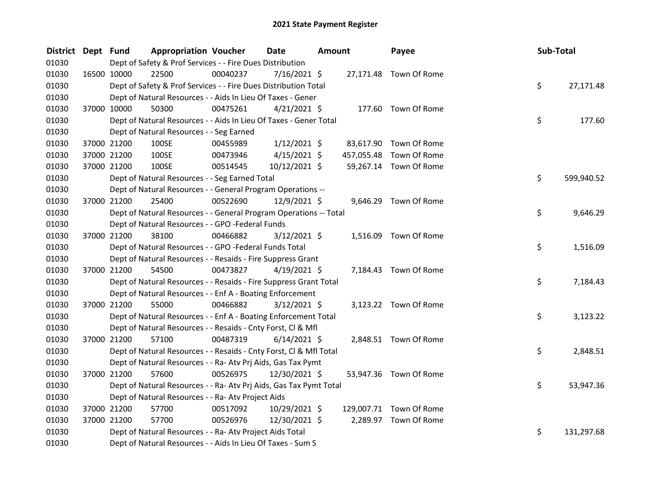| <b>District</b> | Dept Fund | <b>Appropriation Voucher</b>                                       |          | <b>Date</b>    | <b>Amount</b> |  | Payee                   |  | Sub-Total        |  |
|-----------------|-----------|--------------------------------------------------------------------|----------|----------------|---------------|--|-------------------------|--|------------------|--|
| 01030           |           | Dept of Safety & Prof Services - - Fire Dues Distribution          |          |                |               |  |                         |  |                  |  |
| 01030           |           | 22500<br>16500 10000                                               | 00040237 | $7/16/2021$ \$ |               |  | 27,171.48 Town Of Rome  |  |                  |  |
| 01030           |           | Dept of Safety & Prof Services - - Fire Dues Distribution Total    |          |                |               |  |                         |  | \$<br>27,171.48  |  |
| 01030           |           | Dept of Natural Resources - - Aids In Lieu Of Taxes - Gener        |          |                |               |  |                         |  |                  |  |
| 01030           |           | 37000 10000<br>50300                                               | 00475261 | $4/21/2021$ \$ |               |  | 177.60 Town Of Rome     |  |                  |  |
| 01030           |           | Dept of Natural Resources - - Aids In Lieu Of Taxes - Gener Total  |          |                |               |  |                         |  | \$<br>177.60     |  |
| 01030           |           | Dept of Natural Resources - - Seg Earned                           |          |                |               |  |                         |  |                  |  |
| 01030           |           | 37000 21200<br>100SE                                               | 00455989 | $1/12/2021$ \$ |               |  | 83,617.90 Town Of Rome  |  |                  |  |
| 01030           |           | 100SE<br>37000 21200                                               | 00473946 | $4/15/2021$ \$ |               |  | 457,055.48 Town Of Rome |  |                  |  |
| 01030           |           | 37000 21200<br>100SE                                               | 00514545 | 10/12/2021 \$  |               |  | 59,267.14 Town Of Rome  |  |                  |  |
| 01030           |           | Dept of Natural Resources - - Seg Earned Total                     |          |                |               |  |                         |  | \$<br>599,940.52 |  |
| 01030           |           | Dept of Natural Resources - - General Program Operations --        |          |                |               |  |                         |  |                  |  |
| 01030           |           | 37000 21200<br>25400                                               | 00522690 | 12/9/2021 \$   |               |  | 9,646.29 Town Of Rome   |  |                  |  |
| 01030           |           | Dept of Natural Resources - - General Program Operations -- Total  |          |                |               |  |                         |  | \$<br>9,646.29   |  |
| 01030           |           | Dept of Natural Resources - - GPO -Federal Funds                   |          |                |               |  |                         |  |                  |  |
| 01030           |           | 37000 21200<br>38100                                               | 00466882 | $3/12/2021$ \$ |               |  | 1,516.09 Town Of Rome   |  |                  |  |
| 01030           |           | Dept of Natural Resources - - GPO -Federal Funds Total             |          |                |               |  |                         |  | \$<br>1,516.09   |  |
| 01030           |           | Dept of Natural Resources - - Resaids - Fire Suppress Grant        |          |                |               |  |                         |  |                  |  |
| 01030           |           | 37000 21200<br>54500                                               | 00473827 | $4/19/2021$ \$ |               |  | 7,184.43 Town Of Rome   |  |                  |  |
| 01030           |           | Dept of Natural Resources - - Resaids - Fire Suppress Grant Total  |          |                |               |  |                         |  | \$<br>7,184.43   |  |
| 01030           |           | Dept of Natural Resources - - Enf A - Boating Enforcement          |          |                |               |  |                         |  |                  |  |
| 01030           |           | 37000 21200<br>55000                                               | 00466882 | $3/12/2021$ \$ |               |  | 3,123.22 Town Of Rome   |  |                  |  |
| 01030           |           | Dept of Natural Resources - - Enf A - Boating Enforcement Total    |          |                |               |  |                         |  | \$<br>3,123.22   |  |
| 01030           |           | Dept of Natural Resources - - Resaids - Cnty Forst, Cl & Mfl       |          |                |               |  |                         |  |                  |  |
| 01030           |           | 37000 21200<br>57100                                               | 00487319 | $6/14/2021$ \$ |               |  | 2,848.51 Town Of Rome   |  |                  |  |
| 01030           |           | Dept of Natural Resources - - Resaids - Cnty Forst, CI & Mfl Total |          |                |               |  |                         |  | \$<br>2,848.51   |  |
| 01030           |           | Dept of Natural Resources - - Ra- Atv Prj Aids, Gas Tax Pymt       |          |                |               |  |                         |  |                  |  |
| 01030           |           | 37000 21200<br>57600                                               | 00526975 | 12/30/2021 \$  |               |  | 53,947.36 Town Of Rome  |  |                  |  |
| 01030           |           | Dept of Natural Resources - - Ra- Atv Prj Aids, Gas Tax Pymt Total |          |                |               |  |                         |  | \$<br>53,947.36  |  |
| 01030           |           | Dept of Natural Resources - - Ra- Atv Project Aids                 |          |                |               |  |                         |  |                  |  |
| 01030           |           | 57700<br>37000 21200                                               | 00517092 | 10/29/2021 \$  |               |  | 129,007.71 Town Of Rome |  |                  |  |
| 01030           |           | 37000 21200<br>57700                                               | 00526976 | 12/30/2021 \$  |               |  | 2,289.97 Town Of Rome   |  |                  |  |
| 01030           |           | Dept of Natural Resources - - Ra- Atv Project Aids Total           |          |                |               |  |                         |  | \$<br>131,297.68 |  |
| 01030           |           | Dept of Natural Resources - - Aids In Lieu Of Taxes - Sum S        |          |                |               |  |                         |  |                  |  |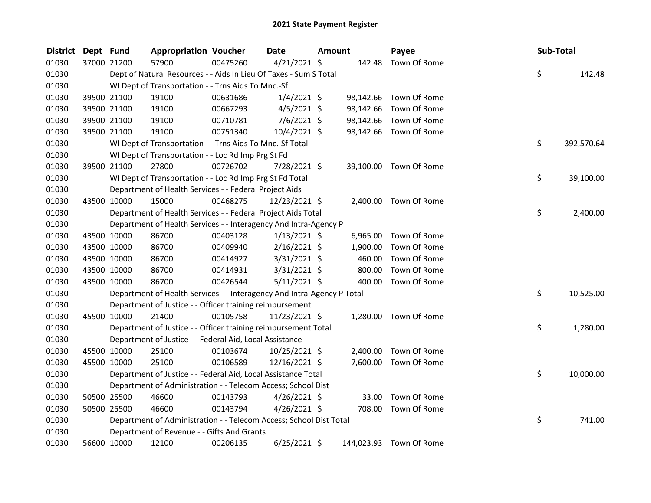| <b>District</b> | Dept Fund |             | <b>Appropriation Voucher</b>                                           |          | <b>Date</b>    | <b>Amount</b> |           | Payee                   | Sub-Total |            |
|-----------------|-----------|-------------|------------------------------------------------------------------------|----------|----------------|---------------|-----------|-------------------------|-----------|------------|
| 01030           |           | 37000 21200 | 57900                                                                  | 00475260 | $4/21/2021$ \$ |               | 142.48    | Town Of Rome            |           |            |
| 01030           |           |             | Dept of Natural Resources - - Aids In Lieu Of Taxes - Sum S Total      |          |                |               |           |                         | \$        | 142.48     |
| 01030           |           |             | WI Dept of Transportation - - Trns Aids To Mnc.-Sf                     |          |                |               |           |                         |           |            |
| 01030           |           | 39500 21100 | 19100                                                                  | 00631686 | $1/4/2021$ \$  |               | 98,142.66 | Town Of Rome            |           |            |
| 01030           |           | 39500 21100 | 19100                                                                  | 00667293 | $4/5/2021$ \$  |               | 98,142.66 | Town Of Rome            |           |            |
| 01030           |           | 39500 21100 | 19100                                                                  | 00710781 | $7/6/2021$ \$  |               | 98,142.66 | Town Of Rome            |           |            |
| 01030           |           | 39500 21100 | 19100                                                                  | 00751340 | $10/4/2021$ \$ |               |           | 98,142.66 Town Of Rome  |           |            |
| 01030           |           |             | WI Dept of Transportation - - Trns Aids To Mnc.-Sf Total               |          |                |               |           |                         | \$        | 392,570.64 |
| 01030           |           |             | WI Dept of Transportation - - Loc Rd Imp Prg St Fd                     |          |                |               |           |                         |           |            |
| 01030           |           | 39500 21100 | 27800                                                                  | 00726702 | 7/28/2021 \$   |               | 39,100.00 | Town Of Rome            |           |            |
| 01030           |           |             | WI Dept of Transportation - - Loc Rd Imp Prg St Fd Total               |          |                |               |           |                         | \$        | 39,100.00  |
| 01030           |           |             | Department of Health Services - - Federal Project Aids                 |          |                |               |           |                         |           |            |
| 01030           |           | 43500 10000 | 15000                                                                  | 00468275 | 12/23/2021 \$  |               |           | 2,400.00 Town Of Rome   |           |            |
| 01030           |           |             | Department of Health Services - - Federal Project Aids Total           |          |                |               |           |                         | \$        | 2,400.00   |
| 01030           |           |             | Department of Health Services - - Interagency And Intra-Agency P       |          |                |               |           |                         |           |            |
| 01030           |           | 43500 10000 | 86700                                                                  | 00403128 | $1/13/2021$ \$ |               | 6,965.00  | Town Of Rome            |           |            |
| 01030           |           | 43500 10000 | 86700                                                                  | 00409940 | 2/16/2021 \$   |               | 1,900.00  | Town Of Rome            |           |            |
| 01030           |           | 43500 10000 | 86700                                                                  | 00414927 | 3/31/2021 \$   |               | 460.00    | Town Of Rome            |           |            |
| 01030           |           | 43500 10000 | 86700                                                                  | 00414931 | 3/31/2021 \$   |               | 800.00    | Town Of Rome            |           |            |
| 01030           |           | 43500 10000 | 86700                                                                  | 00426544 | $5/11/2021$ \$ |               | 400.00    | Town Of Rome            |           |            |
| 01030           |           |             | Department of Health Services - - Interagency And Intra-Agency P Total |          |                |               |           |                         | \$        | 10,525.00  |
| 01030           |           |             | Department of Justice - - Officer training reimbursement               |          |                |               |           |                         |           |            |
| 01030           |           | 45500 10000 | 21400                                                                  | 00105758 | 11/23/2021 \$  |               | 1,280.00  | Town Of Rome            |           |            |
| 01030           |           |             | Department of Justice - - Officer training reimbursement Total         |          |                |               |           |                         | \$        | 1,280.00   |
| 01030           |           |             | Department of Justice - - Federal Aid, Local Assistance                |          |                |               |           |                         |           |            |
| 01030           |           | 45500 10000 | 25100                                                                  | 00103674 | 10/25/2021 \$  |               | 2,400.00  | Town Of Rome            |           |            |
| 01030           |           | 45500 10000 | 25100                                                                  | 00106589 | 12/16/2021 \$  |               |           | 7,600.00 Town Of Rome   |           |            |
| 01030           |           |             | Department of Justice - - Federal Aid, Local Assistance Total          |          |                |               |           |                         | \$        | 10,000.00  |
| 01030           |           |             | Department of Administration - - Telecom Access; School Dist           |          |                |               |           |                         |           |            |
| 01030           |           | 50500 25500 | 46600                                                                  | 00143793 | $4/26/2021$ \$ |               | 33.00     | Town Of Rome            |           |            |
| 01030           |           | 50500 25500 | 46600                                                                  | 00143794 | $4/26/2021$ \$ |               | 708.00    | Town Of Rome            |           |            |
| 01030           |           |             | Department of Administration - - Telecom Access; School Dist Total     |          |                |               |           |                         | \$        | 741.00     |
| 01030           |           |             | Department of Revenue - - Gifts And Grants                             |          |                |               |           |                         |           |            |
| 01030           |           | 56600 10000 | 12100                                                                  | 00206135 | $6/25/2021$ \$ |               |           | 144,023.93 Town Of Rome |           |            |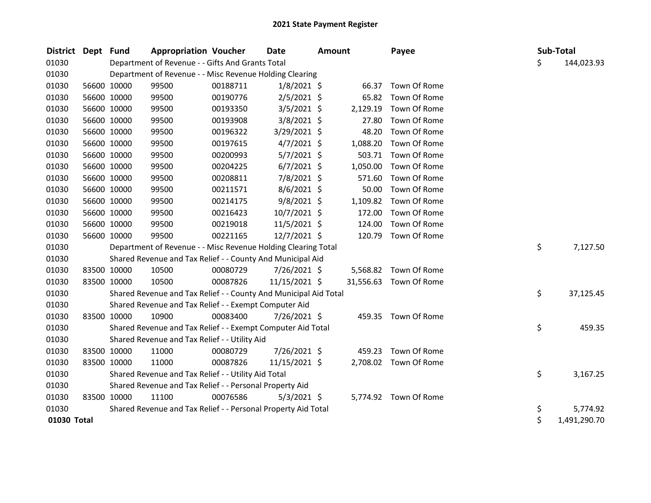| District Dept Fund |             |             | <b>Appropriation Voucher</b>                                     |          | Date           | <b>Amount</b> |          | Payee                  |    | Sub-Total    |
|--------------------|-------------|-------------|------------------------------------------------------------------|----------|----------------|---------------|----------|------------------------|----|--------------|
| 01030              |             |             | Department of Revenue - - Gifts And Grants Total                 |          |                |               |          |                        | \$ | 144,023.93   |
| 01030              |             |             | Department of Revenue - - Misc Revenue Holding Clearing          |          |                |               |          |                        |    |              |
| 01030              |             | 56600 10000 | 99500                                                            | 00188711 | $1/8/2021$ \$  |               |          | 66.37 Town Of Rome     |    |              |
| 01030              | 56600 10000 |             | 99500                                                            | 00190776 | $2/5/2021$ \$  |               | 65.82    | Town Of Rome           |    |              |
| 01030              | 56600 10000 |             | 99500                                                            | 00193350 | 3/5/2021 \$    |               | 2,129.19 | Town Of Rome           |    |              |
| 01030              |             | 56600 10000 | 99500                                                            | 00193908 | 3/8/2021 \$    |               | 27.80    | Town Of Rome           |    |              |
| 01030              |             | 56600 10000 | 99500                                                            | 00196322 | $3/29/2021$ \$ |               | 48.20    | Town Of Rome           |    |              |
| 01030              | 56600 10000 |             | 99500                                                            | 00197615 | $4/7/2021$ \$  |               | 1,088.20 | Town Of Rome           |    |              |
| 01030              | 56600 10000 |             | 99500                                                            | 00200993 | $5/7/2021$ \$  |               | 503.71   | Town Of Rome           |    |              |
| 01030              |             | 56600 10000 | 99500                                                            | 00204225 | $6/7/2021$ \$  |               | 1,050.00 | Town Of Rome           |    |              |
| 01030              | 56600 10000 |             | 99500                                                            | 00208811 | 7/8/2021 \$    |               | 571.60   | Town Of Rome           |    |              |
| 01030              |             | 56600 10000 | 99500                                                            | 00211571 | $8/6/2021$ \$  |               | 50.00    | Town Of Rome           |    |              |
| 01030              | 56600 10000 |             | 99500                                                            | 00214175 | $9/8/2021$ \$  |               | 1,109.82 | Town Of Rome           |    |              |
| 01030              | 56600 10000 |             | 99500                                                            | 00216423 | 10/7/2021 \$   |               | 172.00   | Town Of Rome           |    |              |
| 01030              |             | 56600 10000 | 99500                                                            | 00219018 | $11/5/2021$ \$ |               | 124.00   | Town Of Rome           |    |              |
| 01030              | 56600 10000 |             | 99500                                                            | 00221165 | 12/7/2021 \$   |               | 120.79   | Town Of Rome           |    |              |
| 01030              |             |             | Department of Revenue - - Misc Revenue Holding Clearing Total    |          |                |               |          |                        | \$ | 7,127.50     |
| 01030              |             |             | Shared Revenue and Tax Relief - - County And Municipal Aid       |          |                |               |          |                        |    |              |
| 01030              | 83500 10000 |             | 10500                                                            | 00080729 | 7/26/2021 \$   |               |          | 5,568.82 Town Of Rome  |    |              |
| 01030              | 83500 10000 |             | 10500                                                            | 00087826 | 11/15/2021 \$  |               |          | 31,556.63 Town Of Rome |    |              |
| 01030              |             |             | Shared Revenue and Tax Relief - - County And Municipal Aid Total |          |                |               |          |                        | \$ | 37,125.45    |
| 01030              |             |             | Shared Revenue and Tax Relief - - Exempt Computer Aid            |          |                |               |          |                        |    |              |
| 01030              | 83500 10000 |             | 10900                                                            | 00083400 | 7/26/2021 \$   |               |          | 459.35 Town Of Rome    |    |              |
| 01030              |             |             | Shared Revenue and Tax Relief - - Exempt Computer Aid Total      |          |                |               |          |                        | \$ | 459.35       |
| 01030              |             |             | Shared Revenue and Tax Relief - - Utility Aid                    |          |                |               |          |                        |    |              |
| 01030              | 83500 10000 |             | 11000                                                            | 00080729 | 7/26/2021 \$   |               | 459.23   | Town Of Rome           |    |              |
| 01030              | 83500 10000 |             | 11000                                                            | 00087826 | 11/15/2021 \$  |               |          | 2,708.02 Town Of Rome  |    |              |
| 01030              |             |             | Shared Revenue and Tax Relief - - Utility Aid Total              |          |                |               |          |                        | \$ | 3,167.25     |
| 01030              |             |             | Shared Revenue and Tax Relief - - Personal Property Aid          |          |                |               |          |                        |    |              |
| 01030              | 83500 10000 |             | 11100                                                            | 00076586 | $5/3/2021$ \$  |               |          | 5,774.92 Town Of Rome  |    |              |
| 01030              |             |             | Shared Revenue and Tax Relief - - Personal Property Aid Total    |          |                |               |          |                        | \$ | 5,774.92     |
| 01030 Total        |             |             |                                                                  |          |                |               |          |                        | \$ | 1,491,290.70 |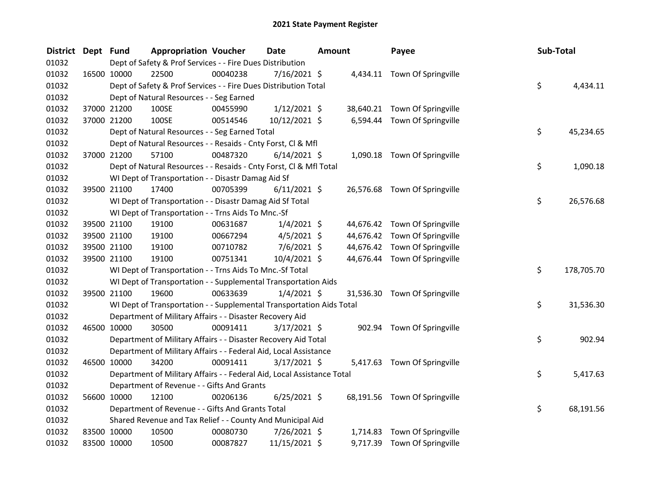| <b>District</b> | Dept Fund |             | <b>Appropriation Voucher</b>                                           |          | Date           | <b>Amount</b> |          | Payee                         | Sub-Total |            |
|-----------------|-----------|-------------|------------------------------------------------------------------------|----------|----------------|---------------|----------|-------------------------------|-----------|------------|
| 01032           |           |             | Dept of Safety & Prof Services - - Fire Dues Distribution              |          |                |               |          |                               |           |            |
| 01032           |           | 16500 10000 | 22500                                                                  | 00040238 | 7/16/2021 \$   |               |          | 4,434.11 Town Of Springville  |           |            |
| 01032           |           |             | Dept of Safety & Prof Services - - Fire Dues Distribution Total        |          |                |               |          |                               | \$        | 4,434.11   |
| 01032           |           |             | Dept of Natural Resources - - Seg Earned                               |          |                |               |          |                               |           |            |
| 01032           |           | 37000 21200 | 100SE                                                                  | 00455990 | $1/12/2021$ \$ |               |          | 38,640.21 Town Of Springville |           |            |
| 01032           |           | 37000 21200 | 100SE                                                                  | 00514546 | 10/12/2021 \$  |               |          | 6,594.44 Town Of Springville  |           |            |
| 01032           |           |             | Dept of Natural Resources - - Seg Earned Total                         |          |                |               |          |                               | \$        | 45,234.65  |
| 01032           |           |             | Dept of Natural Resources - - Resaids - Cnty Forst, Cl & Mfl           |          |                |               |          |                               |           |            |
| 01032           |           | 37000 21200 | 57100                                                                  | 00487320 | $6/14/2021$ \$ |               |          | 1,090.18 Town Of Springville  |           |            |
| 01032           |           |             | Dept of Natural Resources - - Resaids - Cnty Forst, Cl & Mfl Total     |          |                |               |          |                               | \$        | 1,090.18   |
| 01032           |           |             | WI Dept of Transportation - - Disastr Damag Aid Sf                     |          |                |               |          |                               |           |            |
| 01032           |           | 39500 21100 | 17400                                                                  | 00705399 | $6/11/2021$ \$ |               |          | 26,576.68 Town Of Springville |           |            |
| 01032           |           |             | WI Dept of Transportation - - Disastr Damag Aid Sf Total               |          |                |               |          |                               | \$        | 26,576.68  |
| 01032           |           |             | WI Dept of Transportation - - Trns Aids To Mnc.-Sf                     |          |                |               |          |                               |           |            |
| 01032           |           | 39500 21100 | 19100                                                                  | 00631687 | $1/4/2021$ \$  |               |          | 44,676.42 Town Of Springville |           |            |
| 01032           |           | 39500 21100 | 19100                                                                  | 00667294 | $4/5/2021$ \$  |               |          | 44,676.42 Town Of Springville |           |            |
| 01032           |           | 39500 21100 | 19100                                                                  | 00710782 | $7/6/2021$ \$  |               |          | 44,676.42 Town Of Springville |           |            |
| 01032           |           | 39500 21100 | 19100                                                                  | 00751341 | 10/4/2021 \$   |               |          | 44,676.44 Town Of Springville |           |            |
| 01032           |           |             | WI Dept of Transportation - - Trns Aids To Mnc.-Sf Total               |          |                |               |          |                               | \$        | 178,705.70 |
| 01032           |           |             | WI Dept of Transportation - - Supplemental Transportation Aids         |          |                |               |          |                               |           |            |
| 01032           |           | 39500 21100 | 19600                                                                  | 00633639 | $1/4/2021$ \$  |               |          | 31,536.30 Town Of Springville |           |            |
| 01032           |           |             | WI Dept of Transportation - - Supplemental Transportation Aids Total   |          |                |               |          |                               | \$        | 31,536.30  |
| 01032           |           |             | Department of Military Affairs - - Disaster Recovery Aid               |          |                |               |          |                               |           |            |
| 01032           |           | 46500 10000 | 30500                                                                  | 00091411 | $3/17/2021$ \$ |               |          | 902.94 Town Of Springville    |           |            |
| 01032           |           |             | Department of Military Affairs - - Disaster Recovery Aid Total         |          |                |               |          |                               | \$        | 902.94     |
| 01032           |           |             | Department of Military Affairs - - Federal Aid, Local Assistance       |          |                |               |          |                               |           |            |
| 01032           |           | 46500 10000 | 34200                                                                  | 00091411 | $3/17/2021$ \$ |               |          | 5,417.63 Town Of Springville  |           |            |
| 01032           |           |             | Department of Military Affairs - - Federal Aid, Local Assistance Total |          |                |               |          |                               | \$        | 5,417.63   |
| 01032           |           |             | Department of Revenue - - Gifts And Grants                             |          |                |               |          |                               |           |            |
| 01032           |           | 56600 10000 | 12100                                                                  | 00206136 | $6/25/2021$ \$ |               |          | 68,191.56 Town Of Springville |           |            |
| 01032           |           |             | Department of Revenue - - Gifts And Grants Total                       |          |                |               |          |                               | \$        | 68,191.56  |
| 01032           |           |             | Shared Revenue and Tax Relief - - County And Municipal Aid             |          |                |               |          |                               |           |            |
| 01032           |           | 83500 10000 | 10500                                                                  | 00080730 | 7/26/2021 \$   |               | 1,714.83 | Town Of Springville           |           |            |
| 01032           |           | 83500 10000 | 10500                                                                  | 00087827 | 11/15/2021 \$  |               | 9,717.39 | Town Of Springville           |           |            |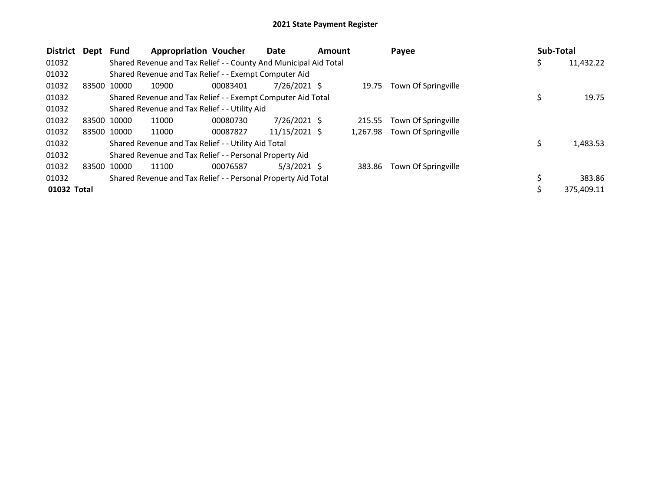| <b>District</b> | Dept        | <b>Fund</b> | <b>Appropriation Voucher</b>                                     |          | Date           | Amount |          | Payee               | <b>Sub-Total</b> |            |
|-----------------|-------------|-------------|------------------------------------------------------------------|----------|----------------|--------|----------|---------------------|------------------|------------|
| 01032           |             |             | Shared Revenue and Tax Relief - - County And Municipal Aid Total |          |                |        |          |                     | Ş                | 11,432.22  |
| 01032           |             |             | Shared Revenue and Tax Relief - - Exempt Computer Aid            |          |                |        |          |                     |                  |            |
| 01032           | 83500       | 10000       | 10900                                                            | 00083401 | $7/26/2021$ \$ |        | 19.75    | Town Of Springville |                  |            |
| 01032           |             |             | Shared Revenue and Tax Relief - - Exempt Computer Aid Total      |          |                |        |          |                     |                  | 19.75      |
| 01032           |             |             | Shared Revenue and Tax Relief - - Utility Aid                    |          |                |        |          |                     |                  |            |
| 01032           | 83500 10000 |             | 11000                                                            | 00080730 | $7/26/2021$ \$ |        | 215.55   | Town Of Springville |                  |            |
| 01032           |             | 83500 10000 | 11000                                                            | 00087827 | 11/15/2021 \$  |        | 1.267.98 | Town Of Springville |                  |            |
| 01032           |             |             | Shared Revenue and Tax Relief - - Utility Aid Total              |          |                |        |          |                     | \$               | 1,483.53   |
| 01032           |             |             | Shared Revenue and Tax Relief - - Personal Property Aid          |          |                |        |          |                     |                  |            |
| 01032           | 83500       | 10000       | 11100                                                            | 00076587 | $5/3/2021$ \$  |        | 383.86   | Town Of Springville |                  |            |
| 01032           |             |             | Shared Revenue and Tax Relief - - Personal Property Aid Total    |          |                |        |          |                     |                  | 383.86     |
| 01032 Total     |             |             |                                                                  |          |                |        |          |                     |                  | 375,409.11 |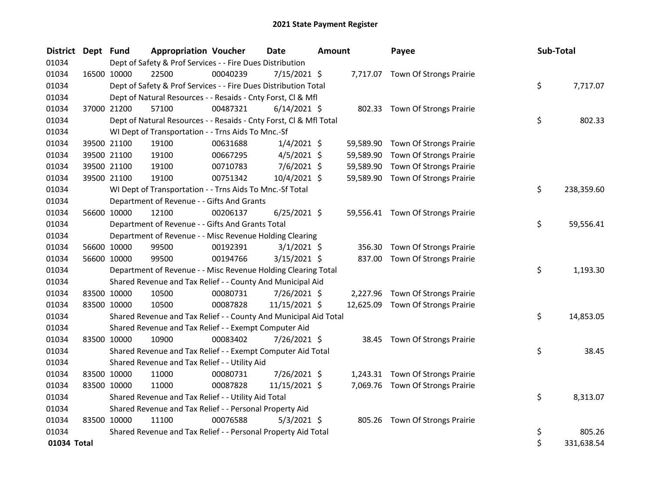| <b>District</b> | Dept Fund   |                                                                    | <b>Appropriation Voucher</b> | <b>Date</b>    | <b>Amount</b> |           | Payee                             |     | Sub-Total  |
|-----------------|-------------|--------------------------------------------------------------------|------------------------------|----------------|---------------|-----------|-----------------------------------|-----|------------|
| 01034           |             | Dept of Safety & Prof Services - - Fire Dues Distribution          |                              |                |               |           |                                   |     |            |
| 01034           | 16500 10000 | 22500                                                              | 00040239                     | 7/15/2021 \$   |               |           | 7,717.07 Town Of Strongs Prairie  |     |            |
| 01034           |             | Dept of Safety & Prof Services - - Fire Dues Distribution Total    |                              |                |               |           |                                   | \$  | 7,717.07   |
| 01034           |             | Dept of Natural Resources - - Resaids - Cnty Forst, Cl & Mfl       |                              |                |               |           |                                   |     |            |
| 01034           |             | 57100<br>37000 21200                                               | 00487321                     | $6/14/2021$ \$ |               |           | 802.33 Town Of Strongs Prairie    |     |            |
| 01034           |             | Dept of Natural Resources - - Resaids - Cnty Forst, Cl & Mfl Total |                              |                |               |           |                                   | \$  | 802.33     |
| 01034           |             | WI Dept of Transportation - - Trns Aids To Mnc.-Sf                 |                              |                |               |           |                                   |     |            |
| 01034           |             | 39500 21100<br>19100                                               | 00631688                     | $1/4/2021$ \$  |               | 59,589.90 | Town Of Strongs Prairie           |     |            |
| 01034           |             | 39500 21100<br>19100                                               | 00667295                     | $4/5/2021$ \$  |               | 59,589.90 | Town Of Strongs Prairie           |     |            |
| 01034           |             | 39500 21100<br>19100                                               | 00710783                     | 7/6/2021 \$    |               | 59,589.90 | Town Of Strongs Prairie           |     |            |
| 01034           |             | 19100<br>39500 21100                                               | 00751342                     | 10/4/2021 \$   |               |           | 59,589.90 Town Of Strongs Prairie |     |            |
| 01034           |             | WI Dept of Transportation - - Trns Aids To Mnc.-Sf Total           |                              |                |               |           |                                   | \$  | 238,359.60 |
| 01034           |             | Department of Revenue - - Gifts And Grants                         |                              |                |               |           |                                   |     |            |
| 01034           |             | 12100<br>56600 10000                                               | 00206137                     | $6/25/2021$ \$ |               |           | 59,556.41 Town Of Strongs Prairie |     |            |
| 01034           |             | Department of Revenue - - Gifts And Grants Total                   |                              |                |               |           |                                   | \$. | 59,556.41  |
| 01034           |             | Department of Revenue - - Misc Revenue Holding Clearing            |                              |                |               |           |                                   |     |            |
| 01034           |             | 56600 10000<br>99500                                               | 00192391                     | $3/1/2021$ \$  |               | 356.30    | Town Of Strongs Prairie           |     |            |
| 01034           |             | 56600 10000<br>99500                                               | 00194766                     | $3/15/2021$ \$ |               | 837.00    | Town Of Strongs Prairie           |     |            |
| 01034           |             | Department of Revenue - - Misc Revenue Holding Clearing Total      |                              |                |               |           |                                   | \$  | 1,193.30   |
| 01034           |             | Shared Revenue and Tax Relief - - County And Municipal Aid         |                              |                |               |           |                                   |     |            |
| 01034           | 83500 10000 | 10500                                                              | 00080731                     | 7/26/2021 \$   |               |           | 2,227.96 Town Of Strongs Prairie  |     |            |
| 01034           |             | 83500 10000<br>10500                                               | 00087828                     | 11/15/2021 \$  |               |           | 12,625.09 Town Of Strongs Prairie |     |            |
| 01034           |             | Shared Revenue and Tax Relief - - County And Municipal Aid Total   |                              |                |               |           |                                   | \$  | 14,853.05  |
| 01034           |             | Shared Revenue and Tax Relief - - Exempt Computer Aid              |                              |                |               |           |                                   |     |            |
| 01034           |             | 83500 10000<br>10900                                               | 00083402                     | 7/26/2021 \$   |               |           | 38.45 Town Of Strongs Prairie     |     |            |
| 01034           |             | Shared Revenue and Tax Relief - - Exempt Computer Aid Total        |                              |                |               |           |                                   | \$  | 38.45      |
| 01034           |             | Shared Revenue and Tax Relief - - Utility Aid                      |                              |                |               |           |                                   |     |            |
| 01034           | 83500 10000 | 11000                                                              | 00080731                     | 7/26/2021 \$   |               |           | 1,243.31 Town Of Strongs Prairie  |     |            |
| 01034           |             | 83500 10000<br>11000                                               | 00087828                     | 11/15/2021 \$  |               |           | 7,069.76 Town Of Strongs Prairie  |     |            |
| 01034           |             | Shared Revenue and Tax Relief - - Utility Aid Total                |                              |                |               |           |                                   | \$. | 8,313.07   |
| 01034           |             | Shared Revenue and Tax Relief - - Personal Property Aid            |                              |                |               |           |                                   |     |            |
| 01034           | 83500 10000 | 11100                                                              | 00076588                     | $5/3/2021$ \$  |               |           | 805.26 Town Of Strongs Prairie    |     |            |
| 01034           |             | Shared Revenue and Tax Relief - - Personal Property Aid Total      |                              |                |               |           |                                   | \$  | 805.26     |
| 01034 Total     |             |                                                                    |                              |                |               |           |                                   | \$  | 331,638.54 |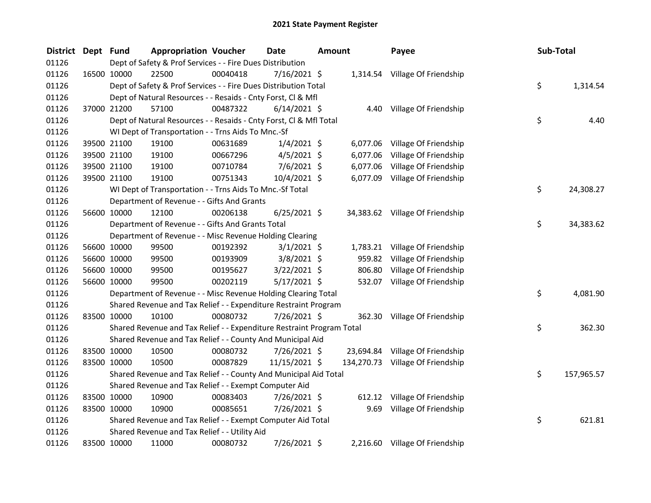| <b>District</b> | Dept Fund |             | <b>Appropriation Voucher</b>                                          |          | Date           | <b>Amount</b> |          | Payee                            | Sub-Total |            |
|-----------------|-----------|-------------|-----------------------------------------------------------------------|----------|----------------|---------------|----------|----------------------------------|-----------|------------|
| 01126           |           |             | Dept of Safety & Prof Services - - Fire Dues Distribution             |          |                |               |          |                                  |           |            |
| 01126           |           | 16500 10000 | 22500                                                                 | 00040418 | 7/16/2021 \$   |               |          | 1,314.54 Village Of Friendship   |           |            |
| 01126           |           |             | Dept of Safety & Prof Services - - Fire Dues Distribution Total       |          |                |               |          |                                  | \$        | 1,314.54   |
| 01126           |           |             | Dept of Natural Resources - - Resaids - Cnty Forst, Cl & Mfl          |          |                |               |          |                                  |           |            |
| 01126           |           | 37000 21200 | 57100                                                                 | 00487322 | $6/14/2021$ \$ |               |          | 4.40 Village Of Friendship       |           |            |
| 01126           |           |             | Dept of Natural Resources - - Resaids - Cnty Forst, CI & Mfl Total    |          |                |               |          |                                  | \$        | 4.40       |
| 01126           |           |             | WI Dept of Transportation - - Trns Aids To Mnc.-Sf                    |          |                |               |          |                                  |           |            |
| 01126           |           | 39500 21100 | 19100                                                                 | 00631689 | $1/4/2021$ \$  |               | 6,077.06 | Village Of Friendship            |           |            |
| 01126           |           | 39500 21100 | 19100                                                                 | 00667296 | $4/5/2021$ \$  |               | 6,077.06 | Village Of Friendship            |           |            |
| 01126           |           | 39500 21100 | 19100                                                                 | 00710784 | $7/6/2021$ \$  |               | 6,077.06 | Village Of Friendship            |           |            |
| 01126           |           | 39500 21100 | 19100                                                                 | 00751343 | 10/4/2021 \$   |               |          | 6,077.09 Village Of Friendship   |           |            |
| 01126           |           |             | WI Dept of Transportation - - Trns Aids To Mnc.-Sf Total              |          |                |               |          |                                  | \$        | 24,308.27  |
| 01126           |           |             | Department of Revenue - - Gifts And Grants                            |          |                |               |          |                                  |           |            |
| 01126           |           | 56600 10000 | 12100                                                                 | 00206138 | $6/25/2021$ \$ |               |          | 34,383.62 Village Of Friendship  |           |            |
| 01126           |           |             | Department of Revenue - - Gifts And Grants Total                      |          |                |               |          |                                  | \$        | 34,383.62  |
| 01126           |           |             | Department of Revenue - - Misc Revenue Holding Clearing               |          |                |               |          |                                  |           |            |
| 01126           |           | 56600 10000 | 99500                                                                 | 00192392 | $3/1/2021$ \$  |               |          | 1,783.21 Village Of Friendship   |           |            |
| 01126           |           | 56600 10000 | 99500                                                                 | 00193909 | $3/8/2021$ \$  |               | 959.82   | Village Of Friendship            |           |            |
| 01126           |           | 56600 10000 | 99500                                                                 | 00195627 | $3/22/2021$ \$ |               | 806.80   | Village Of Friendship            |           |            |
| 01126           |           | 56600 10000 | 99500                                                                 | 00202119 | $5/17/2021$ \$ |               | 532.07   | Village Of Friendship            |           |            |
| 01126           |           |             | Department of Revenue - - Misc Revenue Holding Clearing Total         |          |                |               |          |                                  | \$        | 4,081.90   |
| 01126           |           |             | Shared Revenue and Tax Relief - - Expenditure Restraint Program       |          |                |               |          |                                  |           |            |
| 01126           |           | 83500 10000 | 10100                                                                 | 00080732 | 7/26/2021 \$   |               | 362.30   | Village Of Friendship            |           |            |
| 01126           |           |             | Shared Revenue and Tax Relief - - Expenditure Restraint Program Total |          |                |               |          |                                  | \$        | 362.30     |
| 01126           |           |             | Shared Revenue and Tax Relief - - County And Municipal Aid            |          |                |               |          |                                  |           |            |
| 01126           |           | 83500 10000 | 10500                                                                 | 00080732 | 7/26/2021 \$   |               |          | 23,694.84 Village Of Friendship  |           |            |
| 01126           |           | 83500 10000 | 10500                                                                 | 00087829 | 11/15/2021 \$  |               |          | 134,270.73 Village Of Friendship |           |            |
| 01126           |           |             | Shared Revenue and Tax Relief - - County And Municipal Aid Total      |          |                |               |          |                                  | \$        | 157,965.57 |
| 01126           |           |             | Shared Revenue and Tax Relief - - Exempt Computer Aid                 |          |                |               |          |                                  |           |            |
| 01126           |           | 83500 10000 | 10900                                                                 | 00083403 | 7/26/2021 \$   |               | 612.12   | Village Of Friendship            |           |            |
| 01126           |           | 83500 10000 | 10900                                                                 | 00085651 | 7/26/2021 \$   |               | 9.69     | Village Of Friendship            |           |            |
| 01126           |           |             | Shared Revenue and Tax Relief - - Exempt Computer Aid Total           |          |                |               |          |                                  | \$        | 621.81     |
| 01126           |           |             | Shared Revenue and Tax Relief - - Utility Aid                         |          |                |               |          |                                  |           |            |
| 01126           |           | 83500 10000 | 11000                                                                 | 00080732 | 7/26/2021 \$   |               |          | 2,216.60 Village Of Friendship   |           |            |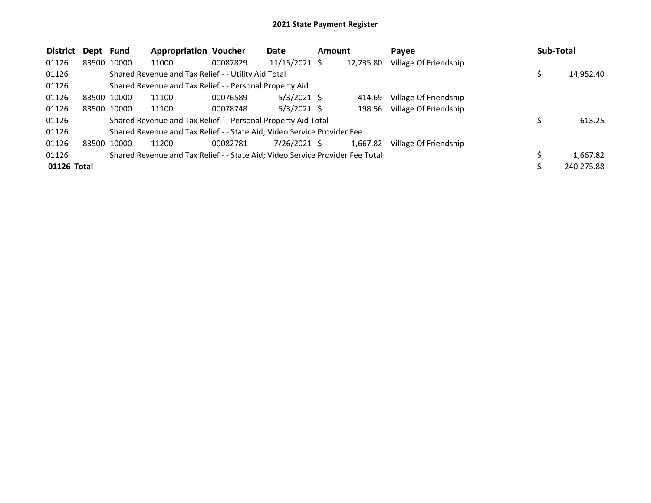| <b>District</b> | Dept Fund   |             | <b>Appropriation Voucher</b>                                                  |          | Date           | <b>Amount</b> |           | Payee                 | <b>Sub-Total</b> |            |
|-----------------|-------------|-------------|-------------------------------------------------------------------------------|----------|----------------|---------------|-----------|-----------------------|------------------|------------|
| 01126           |             | 83500 10000 | 11000                                                                         | 00087829 | 11/15/2021 \$  |               | 12,735.80 | Village Of Friendship |                  |            |
| 01126           |             |             | Shared Revenue and Tax Relief - - Utility Aid Total                           |          |                |               |           |                       |                  | 14,952.40  |
| 01126           |             |             | Shared Revenue and Tax Relief - - Personal Property Aid                       |          |                |               |           |                       |                  |            |
| 01126           |             | 83500 10000 | 11100                                                                         | 00076589 | $5/3/2021$ \$  |               | 414.69    | Village Of Friendship |                  |            |
| 01126           |             | 83500 10000 | 11100                                                                         | 00078748 | $5/3/2021$ \$  |               | 198.56    | Village Of Friendship |                  |            |
| 01126           |             |             | Shared Revenue and Tax Relief - - Personal Property Aid Total                 |          |                |               |           |                       |                  | 613.25     |
| 01126           |             |             | Shared Revenue and Tax Relief - - State Aid; Video Service Provider Fee       |          |                |               |           |                       |                  |            |
| 01126           | 83500 10000 |             | 11200                                                                         | 00082781 | $7/26/2021$ \$ |               | 1,667.82  | Village Of Friendship |                  |            |
| 01126           |             |             | Shared Revenue and Tax Relief - - State Aid; Video Service Provider Fee Total |          |                |               |           |                       |                  | 1,667.82   |
| 01126 Total     |             |             |                                                                               |          |                |               |           |                       |                  | 240,275.88 |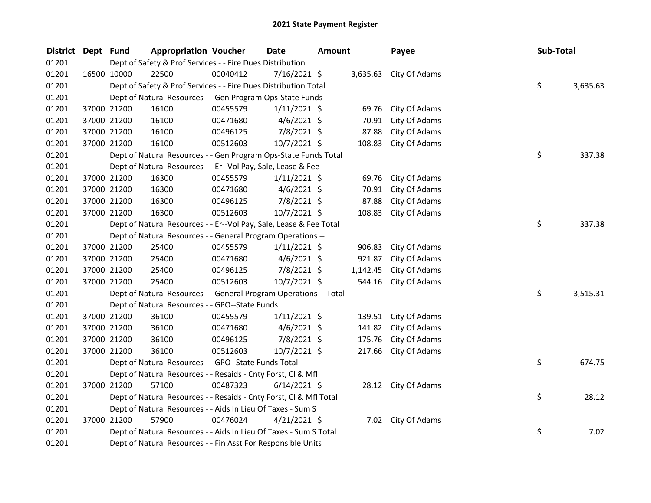| District Dept Fund |             | <b>Appropriation Voucher</b>                                       |                                                                                     | <b>Date</b>    | <b>Amount</b> |          | Payee               | Sub-Total |          |
|--------------------|-------------|--------------------------------------------------------------------|-------------------------------------------------------------------------------------|----------------|---------------|----------|---------------------|-----------|----------|
| 01201              |             |                                                                    | Dept of Safety & Prof Services - - Fire Dues Distribution<br>3,635.63 City Of Adams |                |               |          |                     |           |          |
| 01201              | 16500 10000 | 22500                                                              | 00040412                                                                            | 7/16/2021 \$   |               |          |                     |           |          |
| 01201              |             | Dept of Safety & Prof Services - - Fire Dues Distribution Total    |                                                                                     |                |               |          |                     | \$        | 3,635.63 |
| 01201              |             | Dept of Natural Resources - - Gen Program Ops-State Funds          |                                                                                     |                |               |          |                     |           |          |
| 01201              | 37000 21200 | 16100                                                              | 00455579                                                                            | $1/11/2021$ \$ |               | 69.76    | City Of Adams       |           |          |
| 01201              | 37000 21200 | 16100                                                              | 00471680                                                                            | $4/6/2021$ \$  |               | 70.91    | City Of Adams       |           |          |
| 01201              | 37000 21200 | 16100                                                              | 00496125                                                                            | 7/8/2021 \$    |               | 87.88    | City Of Adams       |           |          |
| 01201              | 37000 21200 | 16100                                                              | 00512603                                                                            | $10/7/2021$ \$ |               | 108.83   | City Of Adams       |           |          |
| 01201              |             | Dept of Natural Resources - - Gen Program Ops-State Funds Total    |                                                                                     |                |               |          |                     | \$        | 337.38   |
| 01201              |             | Dept of Natural Resources - - Er--Vol Pay, Sale, Lease & Fee       |                                                                                     |                |               |          |                     |           |          |
| 01201              | 37000 21200 | 16300                                                              | 00455579                                                                            | $1/11/2021$ \$ |               | 69.76    | City Of Adams       |           |          |
| 01201              | 37000 21200 | 16300                                                              | 00471680                                                                            | $4/6/2021$ \$  |               | 70.91    | City Of Adams       |           |          |
| 01201              | 37000 21200 | 16300                                                              | 00496125                                                                            | 7/8/2021 \$    |               | 87.88    | City Of Adams       |           |          |
| 01201              | 37000 21200 | 16300                                                              | 00512603                                                                            | 10/7/2021 \$   |               | 108.83   | City Of Adams       |           |          |
| 01201              |             | Dept of Natural Resources - - Er--Vol Pay, Sale, Lease & Fee Total |                                                                                     |                |               |          |                     | \$        | 337.38   |
| 01201              |             | Dept of Natural Resources - - General Program Operations --        |                                                                                     |                |               |          |                     |           |          |
| 01201              | 37000 21200 | 25400                                                              | 00455579                                                                            | $1/11/2021$ \$ |               | 906.83   | City Of Adams       |           |          |
| 01201              | 37000 21200 | 25400                                                              | 00471680                                                                            | $4/6/2021$ \$  |               | 921.87   | City Of Adams       |           |          |
| 01201              | 37000 21200 | 25400                                                              | 00496125                                                                            | 7/8/2021 \$    |               | 1,142.45 | City Of Adams       |           |          |
| 01201              | 37000 21200 | 25400                                                              | 00512603                                                                            | 10/7/2021 \$   |               | 544.16   | City Of Adams       |           |          |
| 01201              |             | Dept of Natural Resources - - General Program Operations -- Total  |                                                                                     |                |               |          |                     | \$        | 3,515.31 |
| 01201              |             | Dept of Natural Resources - - GPO--State Funds                     |                                                                                     |                |               |          |                     |           |          |
| 01201              | 37000 21200 | 36100                                                              | 00455579                                                                            | $1/11/2021$ \$ |               | 139.51   | City Of Adams       |           |          |
| 01201              | 37000 21200 | 36100                                                              | 00471680                                                                            | $4/6/2021$ \$  |               | 141.82   | City Of Adams       |           |          |
| 01201              | 37000 21200 | 36100                                                              | 00496125                                                                            | 7/8/2021 \$    |               | 175.76   | City Of Adams       |           |          |
| 01201              | 37000 21200 | 36100                                                              | 00512603                                                                            | 10/7/2021 \$   |               | 217.66   | City Of Adams       |           |          |
| 01201              |             | Dept of Natural Resources - - GPO--State Funds Total               |                                                                                     |                |               |          |                     | \$        | 674.75   |
| 01201              |             | Dept of Natural Resources - - Resaids - Cnty Forst, Cl & Mfl       |                                                                                     |                |               |          |                     |           |          |
| 01201              | 37000 21200 | 57100                                                              | 00487323                                                                            | $6/14/2021$ \$ |               |          | 28.12 City Of Adams |           |          |
| 01201              |             | Dept of Natural Resources - - Resaids - Cnty Forst, Cl & Mfl Total |                                                                                     |                |               |          |                     | \$        | 28.12    |
| 01201              |             | Dept of Natural Resources - - Aids In Lieu Of Taxes - Sum S        |                                                                                     |                |               |          |                     |           |          |
| 01201              | 37000 21200 | 57900                                                              | 00476024                                                                            | $4/21/2021$ \$ |               |          | 7.02 City Of Adams  |           |          |
| 01201              |             | Dept of Natural Resources - - Aids In Lieu Of Taxes - Sum S Total  |                                                                                     |                |               |          |                     | \$        | 7.02     |
| 01201              |             | Dept of Natural Resources - - Fin Asst For Responsible Units       |                                                                                     |                |               |          |                     |           |          |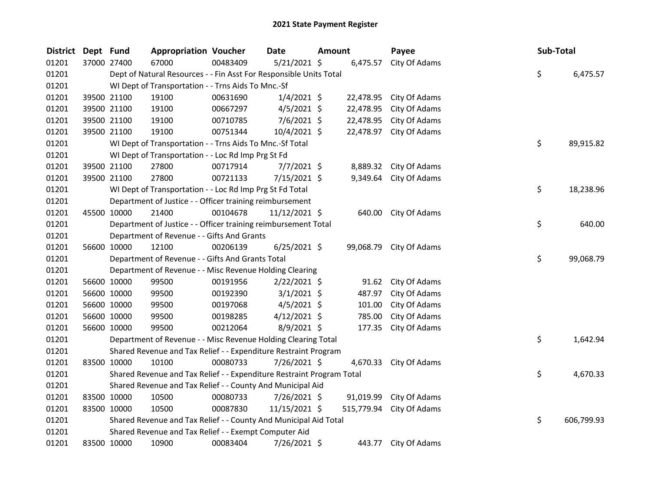| <b>District</b> | Dept Fund |             | <b>Appropriation Voucher</b>                                          |          | Date           | Amount |            | Payee                   | Sub-Total |            |
|-----------------|-----------|-------------|-----------------------------------------------------------------------|----------|----------------|--------|------------|-------------------------|-----------|------------|
| 01201           |           | 37000 27400 | 67000                                                                 | 00483409 | 5/21/2021 \$   |        | 6,475.57   | City Of Adams           |           |            |
| 01201           |           |             | Dept of Natural Resources - - Fin Asst For Responsible Units Total    |          |                |        |            |                         | \$        | 6,475.57   |
| 01201           |           |             | WI Dept of Transportation - - Trns Aids To Mnc.-Sf                    |          |                |        |            |                         |           |            |
| 01201           |           | 39500 21100 | 19100                                                                 | 00631690 | $1/4/2021$ \$  |        | 22,478.95  | City Of Adams           |           |            |
| 01201           |           | 39500 21100 | 19100                                                                 | 00667297 | $4/5/2021$ \$  |        | 22,478.95  | City Of Adams           |           |            |
| 01201           |           | 39500 21100 | 19100                                                                 | 00710785 | $7/6/2021$ \$  |        | 22,478.95  | City Of Adams           |           |            |
| 01201           |           | 39500 21100 | 19100                                                                 | 00751344 | 10/4/2021 \$   |        | 22,478.97  | City Of Adams           |           |            |
| 01201           |           |             | WI Dept of Transportation - - Trns Aids To Mnc.-Sf Total              |          |                |        |            |                         | \$        | 89,915.82  |
| 01201           |           |             | WI Dept of Transportation - - Loc Rd Imp Prg St Fd                    |          |                |        |            |                         |           |            |
| 01201           |           | 39500 21100 | 27800                                                                 | 00717914 | $7/7/2021$ \$  |        | 8,889.32   | City Of Adams           |           |            |
| 01201           |           | 39500 21100 | 27800                                                                 | 00721133 | 7/15/2021 \$   |        | 9,349.64   | City Of Adams           |           |            |
| 01201           |           |             | WI Dept of Transportation - - Loc Rd Imp Prg St Fd Total              |          |                |        |            |                         | \$.       | 18,238.96  |
| 01201           |           |             | Department of Justice - - Officer training reimbursement              |          |                |        |            |                         |           |            |
| 01201           |           | 45500 10000 | 21400                                                                 | 00104678 | 11/12/2021 \$  |        | 640.00     | City Of Adams           |           |            |
| 01201           |           |             | Department of Justice - - Officer training reimbursement Total        |          |                |        |            |                         | \$        | 640.00     |
| 01201           |           |             | Department of Revenue - - Gifts And Grants                            |          |                |        |            |                         |           |            |
| 01201           |           | 56600 10000 | 12100                                                                 | 00206139 | $6/25/2021$ \$ |        |            | 99,068.79 City Of Adams |           |            |
| 01201           |           |             | Department of Revenue - - Gifts And Grants Total                      |          |                |        |            |                         | \$        | 99,068.79  |
| 01201           |           |             | Department of Revenue - - Misc Revenue Holding Clearing               |          |                |        |            |                         |           |            |
| 01201           |           | 56600 10000 | 99500                                                                 | 00191956 | $2/22/2021$ \$ |        | 91.62      | City Of Adams           |           |            |
| 01201           |           | 56600 10000 | 99500                                                                 | 00192390 | $3/1/2021$ \$  |        | 487.97     | City Of Adams           |           |            |
| 01201           |           | 56600 10000 | 99500                                                                 | 00197068 | $4/5/2021$ \$  |        | 101.00     | City Of Adams           |           |            |
| 01201           |           | 56600 10000 | 99500                                                                 | 00198285 | $4/12/2021$ \$ |        | 785.00     | City Of Adams           |           |            |
| 01201           |           | 56600 10000 | 99500                                                                 | 00212064 | 8/9/2021 \$    |        | 177.35     | City Of Adams           |           |            |
| 01201           |           |             | Department of Revenue - - Misc Revenue Holding Clearing Total         |          |                |        |            |                         | \$        | 1,642.94   |
| 01201           |           |             | Shared Revenue and Tax Relief - - Expenditure Restraint Program       |          |                |        |            |                         |           |            |
| 01201           |           | 83500 10000 | 10100                                                                 | 00080733 | 7/26/2021 \$   |        | 4,670.33   | City Of Adams           |           |            |
| 01201           |           |             | Shared Revenue and Tax Relief - - Expenditure Restraint Program Total |          |                |        |            |                         | \$        | 4,670.33   |
| 01201           |           |             | Shared Revenue and Tax Relief - - County And Municipal Aid            |          |                |        |            |                         |           |            |
| 01201           |           | 83500 10000 | 10500                                                                 | 00080733 | 7/26/2021 \$   |        | 91,019.99  | City Of Adams           |           |            |
| 01201           |           | 83500 10000 | 10500                                                                 | 00087830 | 11/15/2021 \$  |        | 515,779.94 | City Of Adams           |           |            |
| 01201           |           |             | Shared Revenue and Tax Relief - - County And Municipal Aid Total      |          |                |        |            |                         | \$        | 606,799.93 |
| 01201           |           |             | Shared Revenue and Tax Relief - - Exempt Computer Aid                 |          |                |        |            |                         |           |            |
| 01201           |           | 83500 10000 | 10900                                                                 | 00083404 | 7/26/2021 \$   |        | 443.77     | City Of Adams           |           |            |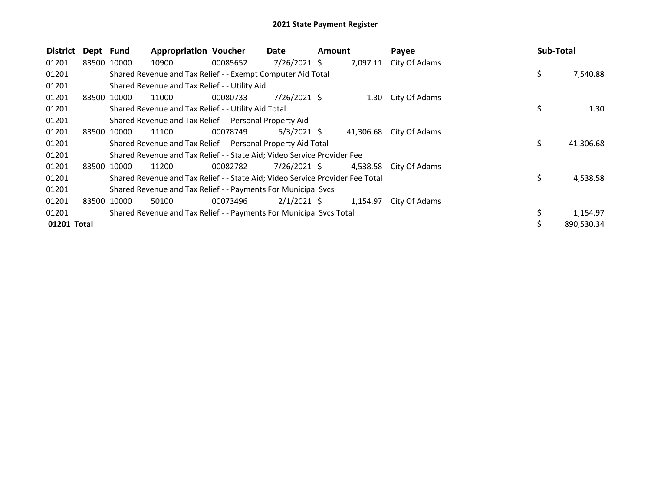| <b>District</b> | Dept Fund |             | <b>Appropriation Voucher</b>                                                  |          | Date           | Amount |           | Payee                  | Sub-Total |            |
|-----------------|-----------|-------------|-------------------------------------------------------------------------------|----------|----------------|--------|-----------|------------------------|-----------|------------|
| 01201           |           | 83500 10000 | 10900                                                                         | 00085652 | 7/26/2021 \$   |        | 7,097.11  | City Of Adams          |           |            |
| 01201           |           |             | Shared Revenue and Tax Relief - - Exempt Computer Aid Total                   |          |                |        |           |                        | \$        | 7,540.88   |
| 01201           |           |             | Shared Revenue and Tax Relief - - Utility Aid                                 |          |                |        |           |                        |           |            |
| 01201           |           | 83500 10000 | 11000                                                                         | 00080733 | $7/26/2021$ \$ |        |           | 1.30 City Of Adams     |           |            |
| 01201           |           |             | Shared Revenue and Tax Relief - - Utility Aid Total                           |          |                |        |           |                        | \$        | 1.30       |
| 01201           |           |             | Shared Revenue and Tax Relief - - Personal Property Aid                       |          |                |        |           |                        |           |            |
| 01201           |           | 83500 10000 | 11100                                                                         | 00078749 | $5/3/2021$ \$  |        | 41,306.68 | City Of Adams          |           |            |
| 01201           |           |             | Shared Revenue and Tax Relief - - Personal Property Aid Total                 |          |                |        |           |                        | \$        | 41,306.68  |
| 01201           |           |             | Shared Revenue and Tax Relief - - State Aid; Video Service Provider Fee       |          |                |        |           |                        |           |            |
| 01201           |           | 83500 10000 | 11200                                                                         | 00082782 | $7/26/2021$ \$ |        |           | 4,538.58 City Of Adams |           |            |
| 01201           |           |             | Shared Revenue and Tax Relief - - State Aid; Video Service Provider Fee Total |          |                |        |           |                        | \$        | 4,538.58   |
| 01201           |           |             | Shared Revenue and Tax Relief - - Payments For Municipal Svcs                 |          |                |        |           |                        |           |            |
| 01201           |           | 83500 10000 | 50100                                                                         | 00073496 | $2/1/2021$ \$  |        | 1,154.97  | City Of Adams          |           |            |
| 01201           |           |             | Shared Revenue and Tax Relief - - Payments For Municipal Svcs Total           |          |                |        |           |                        |           | 1,154.97   |
| 01201 Total     |           |             |                                                                               |          |                |        |           |                        | Ś         | 890.530.34 |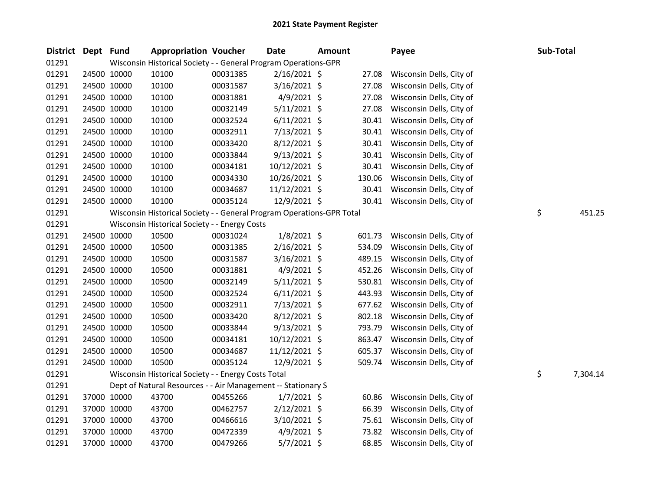| District Dept Fund |             | <b>Appropriation Voucher</b>                                          |          | Date            | <b>Amount</b> |        | Payee                    | Sub-Total |          |
|--------------------|-------------|-----------------------------------------------------------------------|----------|-----------------|---------------|--------|--------------------------|-----------|----------|
| 01291              |             | Wisconsin Historical Society - - General Program Operations-GPR       |          |                 |               |        |                          |           |          |
| 01291              | 24500 10000 | 10100                                                                 | 00031385 | 2/16/2021 \$    |               | 27.08  | Wisconsin Dells, City of |           |          |
| 01291              | 24500 10000 | 10100                                                                 | 00031587 | 3/16/2021 \$    |               | 27.08  | Wisconsin Dells, City of |           |          |
| 01291              | 24500 10000 | 10100                                                                 | 00031881 | $4/9/2021$ \$   |               | 27.08  | Wisconsin Dells, City of |           |          |
| 01291              | 24500 10000 | 10100                                                                 | 00032149 | $5/11/2021$ \$  |               | 27.08  | Wisconsin Dells, City of |           |          |
| 01291              | 24500 10000 | 10100                                                                 | 00032524 | $6/11/2021$ \$  |               | 30.41  | Wisconsin Dells, City of |           |          |
| 01291              | 24500 10000 | 10100                                                                 | 00032911 | $7/13/2021$ \$  |               | 30.41  | Wisconsin Dells, City of |           |          |
| 01291              | 24500 10000 | 10100                                                                 | 00033420 | $8/12/2021$ \$  |               | 30.41  | Wisconsin Dells, City of |           |          |
| 01291              | 24500 10000 | 10100                                                                 | 00033844 | $9/13/2021$ \$  |               | 30.41  | Wisconsin Dells, City of |           |          |
| 01291              | 24500 10000 | 10100                                                                 | 00034181 | 10/12/2021 \$   |               | 30.41  | Wisconsin Dells, City of |           |          |
| 01291              | 24500 10000 | 10100                                                                 | 00034330 | 10/26/2021 \$   |               | 130.06 | Wisconsin Dells, City of |           |          |
| 01291              | 24500 10000 | 10100                                                                 | 00034687 | $11/12/2021$ \$ |               | 30.41  | Wisconsin Dells, City of |           |          |
| 01291              | 24500 10000 | 10100                                                                 | 00035124 | 12/9/2021 \$    |               | 30.41  | Wisconsin Dells, City of |           |          |
| 01291              |             | Wisconsin Historical Society - - General Program Operations-GPR Total |          |                 |               |        |                          | \$        | 451.25   |
| 01291              |             | Wisconsin Historical Society - - Energy Costs                         |          |                 |               |        |                          |           |          |
| 01291              | 24500 10000 | 10500                                                                 | 00031024 | $1/8/2021$ \$   |               | 601.73 | Wisconsin Dells, City of |           |          |
| 01291              | 24500 10000 | 10500                                                                 | 00031385 | 2/16/2021 \$    |               | 534.09 | Wisconsin Dells, City of |           |          |
| 01291              | 24500 10000 | 10500                                                                 | 00031587 | 3/16/2021 \$    |               | 489.15 | Wisconsin Dells, City of |           |          |
| 01291              | 24500 10000 | 10500                                                                 | 00031881 | $4/9/2021$ \$   |               | 452.26 | Wisconsin Dells, City of |           |          |
| 01291              | 24500 10000 | 10500                                                                 | 00032149 | $5/11/2021$ \$  |               | 530.81 | Wisconsin Dells, City of |           |          |
| 01291              | 24500 10000 | 10500                                                                 | 00032524 | $6/11/2021$ \$  |               | 443.93 | Wisconsin Dells, City of |           |          |
| 01291              | 24500 10000 | 10500                                                                 | 00032911 | $7/13/2021$ \$  |               | 677.62 | Wisconsin Dells, City of |           |          |
| 01291              | 24500 10000 | 10500                                                                 | 00033420 | 8/12/2021 \$    |               | 802.18 | Wisconsin Dells, City of |           |          |
| 01291              | 24500 10000 | 10500                                                                 | 00033844 | $9/13/2021$ \$  |               | 793.79 | Wisconsin Dells, City of |           |          |
| 01291              | 24500 10000 | 10500                                                                 | 00034181 | 10/12/2021 \$   |               | 863.47 | Wisconsin Dells, City of |           |          |
| 01291              | 24500 10000 | 10500                                                                 | 00034687 | 11/12/2021 \$   |               | 605.37 | Wisconsin Dells, City of |           |          |
| 01291              | 24500 10000 | 10500                                                                 | 00035124 | 12/9/2021 \$    |               | 509.74 | Wisconsin Dells, City of |           |          |
| 01291              |             | Wisconsin Historical Society - - Energy Costs Total                   |          |                 |               |        |                          | \$        | 7,304.14 |
| 01291              |             | Dept of Natural Resources - - Air Management -- Stationary S          |          |                 |               |        |                          |           |          |
| 01291              | 37000 10000 | 43700                                                                 | 00455266 | $1/7/2021$ \$   |               | 60.86  | Wisconsin Dells, City of |           |          |
| 01291              | 37000 10000 | 43700                                                                 | 00462757 | $2/12/2021$ \$  |               | 66.39  | Wisconsin Dells, City of |           |          |
| 01291              | 37000 10000 | 43700                                                                 | 00466616 | 3/10/2021 \$    |               | 75.61  | Wisconsin Dells, City of |           |          |
| 01291              | 37000 10000 | 43700                                                                 | 00472339 | 4/9/2021 \$     |               | 73.82  | Wisconsin Dells, City of |           |          |
| 01291              | 37000 10000 | 43700                                                                 | 00479266 | $5/7/2021$ \$   |               | 68.85  | Wisconsin Dells, City of |           |          |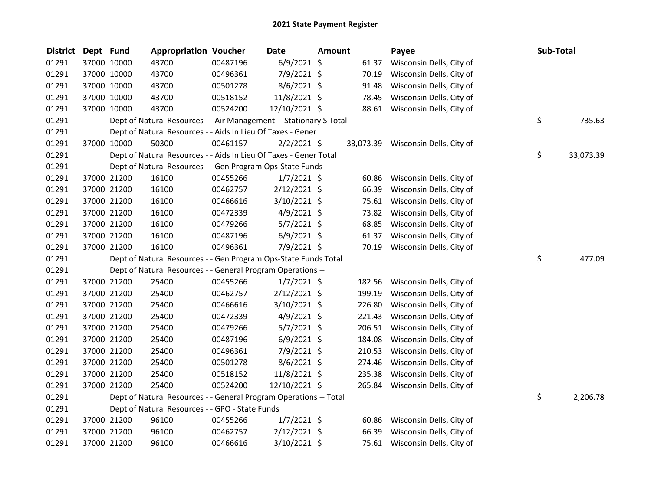| <b>District</b> | Dept Fund |             | <b>Appropriation Voucher</b>                                       |          | <b>Date</b>    | <b>Amount</b> |        | Payee                              | Sub-Total       |
|-----------------|-----------|-------------|--------------------------------------------------------------------|----------|----------------|---------------|--------|------------------------------------|-----------------|
| 01291           |           | 37000 10000 | 43700                                                              | 00487196 | $6/9/2021$ \$  |               | 61.37  | Wisconsin Dells, City of           |                 |
| 01291           |           | 37000 10000 | 43700                                                              | 00496361 | 7/9/2021 \$    |               | 70.19  | Wisconsin Dells, City of           |                 |
| 01291           |           | 37000 10000 | 43700                                                              | 00501278 | $8/6/2021$ \$  |               | 91.48  | Wisconsin Dells, City of           |                 |
| 01291           |           | 37000 10000 | 43700                                                              | 00518152 | 11/8/2021 \$   |               | 78.45  | Wisconsin Dells, City of           |                 |
| 01291           |           | 37000 10000 | 43700                                                              | 00524200 | 12/10/2021 \$  |               |        | 88.61 Wisconsin Dells, City of     |                 |
| 01291           |           |             | Dept of Natural Resources - - Air Management -- Stationary S Total |          |                |               |        |                                    | \$<br>735.63    |
| 01291           |           |             | Dept of Natural Resources - - Aids In Lieu Of Taxes - Gener        |          |                |               |        |                                    |                 |
| 01291           |           | 37000 10000 | 50300                                                              | 00461157 | $2/2/2021$ \$  |               |        | 33,073.39 Wisconsin Dells, City of |                 |
| 01291           |           |             | Dept of Natural Resources - - Aids In Lieu Of Taxes - Gener Total  |          |                |               |        |                                    | \$<br>33,073.39 |
| 01291           |           |             | Dept of Natural Resources - - Gen Program Ops-State Funds          |          |                |               |        |                                    |                 |
| 01291           |           | 37000 21200 | 16100                                                              | 00455266 | $1/7/2021$ \$  |               | 60.86  | Wisconsin Dells, City of           |                 |
| 01291           |           | 37000 21200 | 16100                                                              | 00462757 | $2/12/2021$ \$ |               | 66.39  | Wisconsin Dells, City of           |                 |
| 01291           |           | 37000 21200 | 16100                                                              | 00466616 | $3/10/2021$ \$ |               | 75.61  | Wisconsin Dells, City of           |                 |
| 01291           |           | 37000 21200 | 16100                                                              | 00472339 | $4/9/2021$ \$  |               | 73.82  | Wisconsin Dells, City of           |                 |
| 01291           |           | 37000 21200 | 16100                                                              | 00479266 | $5/7/2021$ \$  |               | 68.85  | Wisconsin Dells, City of           |                 |
| 01291           |           | 37000 21200 | 16100                                                              | 00487196 | $6/9/2021$ \$  |               | 61.37  | Wisconsin Dells, City of           |                 |
| 01291           |           | 37000 21200 | 16100                                                              | 00496361 | 7/9/2021 \$    |               | 70.19  | Wisconsin Dells, City of           |                 |
| 01291           |           |             | Dept of Natural Resources - - Gen Program Ops-State Funds Total    |          |                |               |        |                                    | \$<br>477.09    |
| 01291           |           |             | Dept of Natural Resources - - General Program Operations --        |          |                |               |        |                                    |                 |
| 01291           |           | 37000 21200 | 25400                                                              | 00455266 | $1/7/2021$ \$  |               | 182.56 | Wisconsin Dells, City of           |                 |
| 01291           |           | 37000 21200 | 25400                                                              | 00462757 | $2/12/2021$ \$ |               | 199.19 | Wisconsin Dells, City of           |                 |
| 01291           |           | 37000 21200 | 25400                                                              | 00466616 | $3/10/2021$ \$ |               | 226.80 | Wisconsin Dells, City of           |                 |
| 01291           |           | 37000 21200 | 25400                                                              | 00472339 | $4/9/2021$ \$  |               | 221.43 | Wisconsin Dells, City of           |                 |
| 01291           |           | 37000 21200 | 25400                                                              | 00479266 | $5/7/2021$ \$  |               | 206.51 | Wisconsin Dells, City of           |                 |
| 01291           |           | 37000 21200 | 25400                                                              | 00487196 | $6/9/2021$ \$  |               | 184.08 | Wisconsin Dells, City of           |                 |
| 01291           |           | 37000 21200 | 25400                                                              | 00496361 | 7/9/2021 \$    |               | 210.53 | Wisconsin Dells, City of           |                 |
| 01291           |           | 37000 21200 | 25400                                                              | 00501278 | $8/6/2021$ \$  |               | 274.46 | Wisconsin Dells, City of           |                 |
| 01291           |           | 37000 21200 | 25400                                                              | 00518152 | 11/8/2021 \$   |               | 235.38 | Wisconsin Dells, City of           |                 |
| 01291           |           | 37000 21200 | 25400                                                              | 00524200 | 12/10/2021 \$  |               | 265.84 | Wisconsin Dells, City of           |                 |
| 01291           |           |             | Dept of Natural Resources - - General Program Operations -- Total  |          |                |               |        |                                    | \$<br>2,206.78  |
| 01291           |           |             | Dept of Natural Resources - - GPO - State Funds                    |          |                |               |        |                                    |                 |
| 01291           |           | 37000 21200 | 96100                                                              | 00455266 | $1/7/2021$ \$  |               | 60.86  | Wisconsin Dells, City of           |                 |
| 01291           |           | 37000 21200 | 96100                                                              | 00462757 | 2/12/2021 \$   |               | 66.39  | Wisconsin Dells, City of           |                 |
| 01291           |           | 37000 21200 | 96100                                                              | 00466616 | 3/10/2021 \$   |               |        | 75.61 Wisconsin Dells, City of     |                 |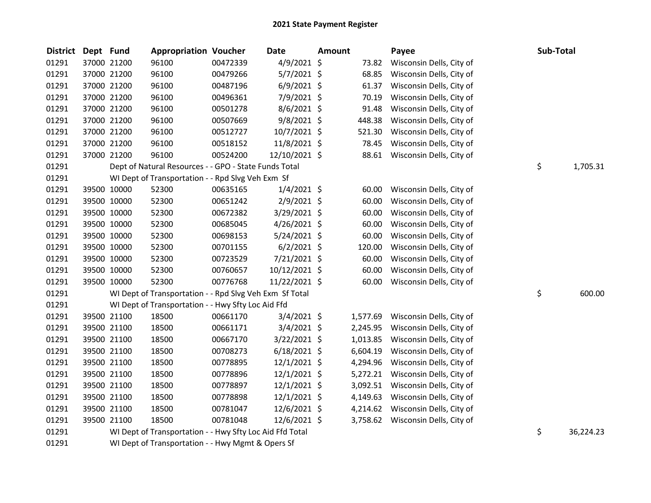| <b>District</b> | Dept Fund |             | <b>Appropriation Voucher</b>                             |          | <b>Date</b>    | <b>Amount</b> |          | Payee                             | Sub-Total       |
|-----------------|-----------|-------------|----------------------------------------------------------|----------|----------------|---------------|----------|-----------------------------------|-----------------|
| 01291           |           | 37000 21200 | 96100                                                    | 00472339 | $4/9/2021$ \$  |               | 73.82    | Wisconsin Dells, City of          |                 |
| 01291           |           | 37000 21200 | 96100                                                    | 00479266 | $5/7/2021$ \$  |               | 68.85    | Wisconsin Dells, City of          |                 |
| 01291           |           | 37000 21200 | 96100                                                    | 00487196 | $6/9/2021$ \$  |               | 61.37    | Wisconsin Dells, City of          |                 |
| 01291           |           | 37000 21200 | 96100                                                    | 00496361 | 7/9/2021 \$    |               | 70.19    | Wisconsin Dells, City of          |                 |
| 01291           |           | 37000 21200 | 96100                                                    | 00501278 | $8/6/2021$ \$  |               | 91.48    | Wisconsin Dells, City of          |                 |
| 01291           |           | 37000 21200 | 96100                                                    | 00507669 | $9/8/2021$ \$  |               | 448.38   | Wisconsin Dells, City of          |                 |
| 01291           |           | 37000 21200 | 96100                                                    | 00512727 | 10/7/2021 \$   |               | 521.30   | Wisconsin Dells, City of          |                 |
| 01291           |           | 37000 21200 | 96100                                                    | 00518152 | 11/8/2021 \$   |               | 78.45    | Wisconsin Dells, City of          |                 |
| 01291           |           | 37000 21200 | 96100                                                    | 00524200 | 12/10/2021 \$  |               | 88.61    | Wisconsin Dells, City of          |                 |
| 01291           |           |             | Dept of Natural Resources - - GPO - State Funds Total    |          |                |               |          |                                   | \$<br>1,705.31  |
| 01291           |           |             | WI Dept of Transportation - - Rpd Slvg Veh Exm Sf        |          |                |               |          |                                   |                 |
| 01291           |           | 39500 10000 | 52300                                                    | 00635165 | $1/4/2021$ \$  |               | 60.00    | Wisconsin Dells, City of          |                 |
| 01291           |           | 39500 10000 | 52300                                                    | 00651242 | $2/9/2021$ \$  |               | 60.00    | Wisconsin Dells, City of          |                 |
| 01291           |           | 39500 10000 | 52300                                                    | 00672382 | 3/29/2021 \$   |               | 60.00    | Wisconsin Dells, City of          |                 |
| 01291           |           | 39500 10000 | 52300                                                    | 00685045 | $4/26/2021$ \$ |               | 60.00    | Wisconsin Dells, City of          |                 |
| 01291           |           | 39500 10000 | 52300                                                    | 00698153 | $5/24/2021$ \$ |               | 60.00    | Wisconsin Dells, City of          |                 |
| 01291           |           | 39500 10000 | 52300                                                    | 00701155 | $6/2/2021$ \$  |               | 120.00   | Wisconsin Dells, City of          |                 |
| 01291           |           | 39500 10000 | 52300                                                    | 00723529 | 7/21/2021 \$   |               | 60.00    | Wisconsin Dells, City of          |                 |
| 01291           |           | 39500 10000 | 52300                                                    | 00760657 | 10/12/2021 \$  |               | 60.00    | Wisconsin Dells, City of          |                 |
| 01291           |           | 39500 10000 | 52300                                                    | 00776768 | 11/22/2021 \$  |               | 60.00    | Wisconsin Dells, City of          |                 |
| 01291           |           |             | WI Dept of Transportation - - Rpd Slvg Veh Exm Sf Total  |          |                |               |          |                                   | \$<br>600.00    |
| 01291           |           |             | WI Dept of Transportation - - Hwy Sfty Loc Aid Ffd       |          |                |               |          |                                   |                 |
| 01291           |           | 39500 21100 | 18500                                                    | 00661170 | $3/4/2021$ \$  |               | 1,577.69 | Wisconsin Dells, City of          |                 |
| 01291           |           | 39500 21100 | 18500                                                    | 00661171 | $3/4/2021$ \$  |               | 2,245.95 | Wisconsin Dells, City of          |                 |
| 01291           |           | 39500 21100 | 18500                                                    | 00667170 | $3/22/2021$ \$ |               | 1,013.85 | Wisconsin Dells, City of          |                 |
| 01291           |           | 39500 21100 | 18500                                                    | 00708273 | $6/18/2021$ \$ |               | 6,604.19 | Wisconsin Dells, City of          |                 |
| 01291           |           | 39500 21100 | 18500                                                    | 00778895 | $12/1/2021$ \$ |               | 4,294.96 | Wisconsin Dells, City of          |                 |
| 01291           |           | 39500 21100 | 18500                                                    | 00778896 | $12/1/2021$ \$ |               | 5,272.21 | Wisconsin Dells, City of          |                 |
| 01291           |           | 39500 21100 | 18500                                                    | 00778897 | $12/1/2021$ \$ |               | 3,092.51 | Wisconsin Dells, City of          |                 |
| 01291           |           | 39500 21100 | 18500                                                    | 00778898 | $12/1/2021$ \$ |               | 4,149.63 | Wisconsin Dells, City of          |                 |
| 01291           |           | 39500 21100 | 18500                                                    | 00781047 | 12/6/2021 \$   |               | 4,214.62 | Wisconsin Dells, City of          |                 |
| 01291           |           | 39500 21100 | 18500                                                    | 00781048 | 12/6/2021 \$   |               |          | 3,758.62 Wisconsin Dells, City of |                 |
| 01291           |           |             | WI Dept of Transportation - - Hwy Sfty Loc Aid Ffd Total |          |                |               |          |                                   | \$<br>36,224.23 |
| 01291           |           |             | WI Dept of Transportation - - Hwy Mgmt & Opers Sf        |          |                |               |          |                                   |                 |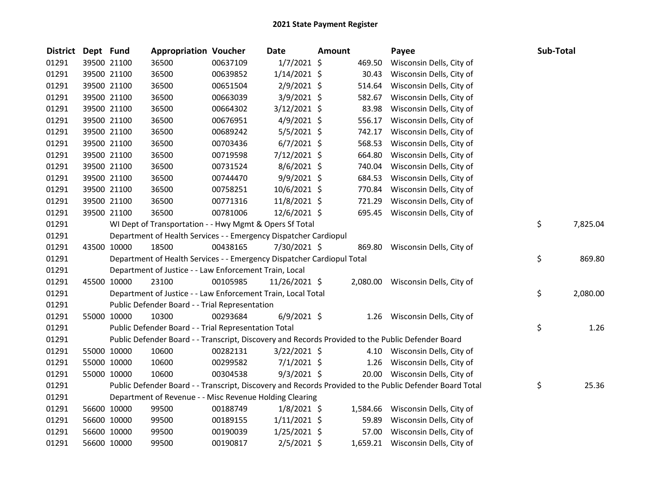| <b>District</b> | Dept Fund |             | <b>Appropriation Voucher</b>                                           |          | <b>Date</b>    | <b>Amount</b> |          | Payee                                                                                                   | Sub-Total |          |
|-----------------|-----------|-------------|------------------------------------------------------------------------|----------|----------------|---------------|----------|---------------------------------------------------------------------------------------------------------|-----------|----------|
| 01291           |           | 39500 21100 | 36500                                                                  | 00637109 | $1/7/2021$ \$  |               | 469.50   | Wisconsin Dells, City of                                                                                |           |          |
| 01291           |           | 39500 21100 | 36500                                                                  | 00639852 | $1/14/2021$ \$ |               | 30.43    | Wisconsin Dells, City of                                                                                |           |          |
| 01291           |           | 39500 21100 | 36500                                                                  | 00651504 | $2/9/2021$ \$  |               | 514.64   | Wisconsin Dells, City of                                                                                |           |          |
| 01291           |           | 39500 21100 | 36500                                                                  | 00663039 | $3/9/2021$ \$  |               | 582.67   | Wisconsin Dells, City of                                                                                |           |          |
| 01291           |           | 39500 21100 | 36500                                                                  | 00664302 | $3/12/2021$ \$ |               | 83.98    | Wisconsin Dells, City of                                                                                |           |          |
| 01291           |           | 39500 21100 | 36500                                                                  | 00676951 | $4/9/2021$ \$  |               | 556.17   | Wisconsin Dells, City of                                                                                |           |          |
| 01291           |           | 39500 21100 | 36500                                                                  | 00689242 | $5/5/2021$ \$  |               | 742.17   | Wisconsin Dells, City of                                                                                |           |          |
| 01291           |           | 39500 21100 | 36500                                                                  | 00703436 | $6/7/2021$ \$  |               | 568.53   | Wisconsin Dells, City of                                                                                |           |          |
| 01291           |           | 39500 21100 | 36500                                                                  | 00719598 | $7/12/2021$ \$ |               | 664.80   | Wisconsin Dells, City of                                                                                |           |          |
| 01291           |           | 39500 21100 | 36500                                                                  | 00731524 | 8/6/2021 \$    |               | 740.04   | Wisconsin Dells, City of                                                                                |           |          |
| 01291           |           | 39500 21100 | 36500                                                                  | 00744470 | $9/9/2021$ \$  |               | 684.53   | Wisconsin Dells, City of                                                                                |           |          |
| 01291           |           | 39500 21100 | 36500                                                                  | 00758251 | 10/6/2021 \$   |               | 770.84   | Wisconsin Dells, City of                                                                                |           |          |
| 01291           |           | 39500 21100 | 36500                                                                  | 00771316 | 11/8/2021 \$   |               | 721.29   | Wisconsin Dells, City of                                                                                |           |          |
| 01291           |           | 39500 21100 | 36500                                                                  | 00781006 | 12/6/2021 \$   |               | 695.45   | Wisconsin Dells, City of                                                                                |           |          |
| 01291           |           |             | WI Dept of Transportation - - Hwy Mgmt & Opers Sf Total                |          |                |               |          |                                                                                                         | \$        | 7,825.04 |
| 01291           |           |             | Department of Health Services - - Emergency Dispatcher Cardiopul       |          |                |               |          |                                                                                                         |           |          |
| 01291           |           | 43500 10000 | 18500                                                                  | 00438165 | 7/30/2021 \$   |               | 869.80   | Wisconsin Dells, City of                                                                                |           |          |
| 01291           |           |             | Department of Health Services - - Emergency Dispatcher Cardiopul Total |          |                |               |          |                                                                                                         | \$        | 869.80   |
| 01291           |           |             | Department of Justice - - Law Enforcement Train, Local                 |          |                |               |          |                                                                                                         |           |          |
| 01291           |           | 45500 10000 | 23100                                                                  | 00105985 | 11/26/2021 \$  |               |          | 2,080.00 Wisconsin Dells, City of                                                                       |           |          |
| 01291           |           |             | Department of Justice - - Law Enforcement Train, Local Total           |          |                |               |          |                                                                                                         | \$        | 2,080.00 |
| 01291           |           |             | Public Defender Board - - Trial Representation                         |          |                |               |          |                                                                                                         |           |          |
| 01291           |           | 55000 10000 | 10300                                                                  | 00293684 | $6/9/2021$ \$  |               |          | 1.26 Wisconsin Dells, City of                                                                           |           |          |
| 01291           |           |             | Public Defender Board - - Trial Representation Total                   |          |                |               |          |                                                                                                         | \$        | 1.26     |
| 01291           |           |             |                                                                        |          |                |               |          | Public Defender Board - - Transcript, Discovery and Records Provided to the Public Defender Board       |           |          |
| 01291           |           | 55000 10000 | 10600                                                                  | 00282131 | $3/22/2021$ \$ |               |          | 4.10 Wisconsin Dells, City of                                                                           |           |          |
| 01291           |           | 55000 10000 | 10600                                                                  | 00299582 | $7/1/2021$ \$  |               |          | 1.26 Wisconsin Dells, City of                                                                           |           |          |
| 01291           |           | 55000 10000 | 10600                                                                  | 00304538 | $9/3/2021$ \$  |               |          | 20.00 Wisconsin Dells, City of                                                                          |           |          |
| 01291           |           |             |                                                                        |          |                |               |          | Public Defender Board - - Transcript, Discovery and Records Provided to the Public Defender Board Total | \$        | 25.36    |
| 01291           |           |             | Department of Revenue - - Misc Revenue Holding Clearing                |          |                |               |          |                                                                                                         |           |          |
| 01291           |           | 56600 10000 | 99500                                                                  | 00188749 | $1/8/2021$ \$  |               | 1,584.66 | Wisconsin Dells, City of                                                                                |           |          |
| 01291           |           | 56600 10000 | 99500                                                                  | 00189155 | $1/11/2021$ \$ |               | 59.89    | Wisconsin Dells, City of                                                                                |           |          |
| 01291           |           | 56600 10000 | 99500                                                                  | 00190039 | $1/25/2021$ \$ |               | 57.00    | Wisconsin Dells, City of                                                                                |           |          |
| 01291           |           | 56600 10000 | 99500                                                                  | 00190817 | 2/5/2021 \$    |               |          | 1,659.21 Wisconsin Dells, City of                                                                       |           |          |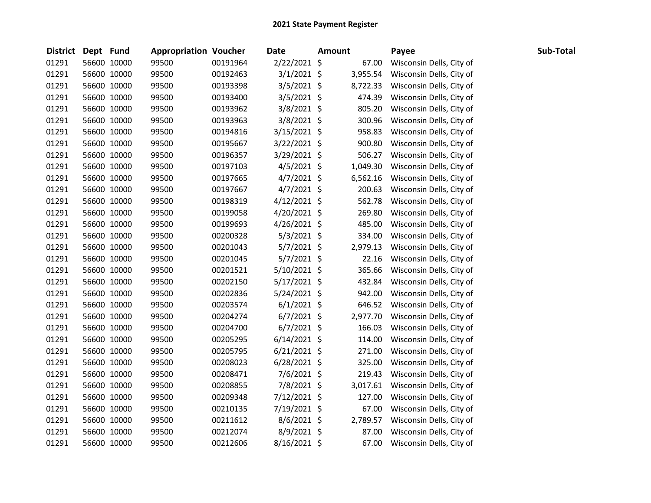| District Dept Fund |             | <b>Appropriation Voucher</b> |          | <b>Date</b>    | <b>Amount</b> |          | Payee                    | Sub-Total |
|--------------------|-------------|------------------------------|----------|----------------|---------------|----------|--------------------------|-----------|
| 01291              | 56600 10000 | 99500                        | 00191964 | 2/22/2021 \$   |               | 67.00    | Wisconsin Dells, City of |           |
| 01291              | 56600 10000 | 99500                        | 00192463 | $3/1/2021$ \$  |               | 3,955.54 | Wisconsin Dells, City of |           |
| 01291              | 56600 10000 | 99500                        | 00193398 | $3/5/2021$ \$  |               | 8,722.33 | Wisconsin Dells, City of |           |
| 01291              | 56600 10000 | 99500                        | 00193400 | $3/5/2021$ \$  |               | 474.39   | Wisconsin Dells, City of |           |
| 01291              | 56600 10000 | 99500                        | 00193962 | $3/8/2021$ \$  |               | 805.20   | Wisconsin Dells, City of |           |
| 01291              | 56600 10000 | 99500                        | 00193963 | $3/8/2021$ \$  |               | 300.96   | Wisconsin Dells, City of |           |
| 01291              | 56600 10000 | 99500                        | 00194816 | $3/15/2021$ \$ |               | 958.83   | Wisconsin Dells, City of |           |
| 01291              | 56600 10000 | 99500                        | 00195667 | $3/22/2021$ \$ |               | 900.80   | Wisconsin Dells, City of |           |
| 01291              | 56600 10000 | 99500                        | 00196357 | 3/29/2021 \$   |               | 506.27   | Wisconsin Dells, City of |           |
| 01291              | 56600 10000 | 99500                        | 00197103 | $4/5/2021$ \$  |               | 1,049.30 | Wisconsin Dells, City of |           |
| 01291              | 56600 10000 | 99500                        | 00197665 | $4/7/2021$ \$  |               | 6,562.16 | Wisconsin Dells, City of |           |
| 01291              | 56600 10000 | 99500                        | 00197667 | $4/7/2021$ \$  |               | 200.63   | Wisconsin Dells, City of |           |
| 01291              | 56600 10000 | 99500                        | 00198319 | $4/12/2021$ \$ |               | 562.78   | Wisconsin Dells, City of |           |
| 01291              | 56600 10000 | 99500                        | 00199058 | $4/20/2021$ \$ |               | 269.80   | Wisconsin Dells, City of |           |
| 01291              | 56600 10000 | 99500                        | 00199693 | $4/26/2021$ \$ |               | 485.00   | Wisconsin Dells, City of |           |
| 01291              | 56600 10000 | 99500                        | 00200328 | $5/3/2021$ \$  |               | 334.00   | Wisconsin Dells, City of |           |
| 01291              | 56600 10000 | 99500                        | 00201043 | $5/7/2021$ \$  |               | 2,979.13 | Wisconsin Dells, City of |           |
| 01291              | 56600 10000 | 99500                        | 00201045 | $5/7/2021$ \$  |               | 22.16    | Wisconsin Dells, City of |           |
| 01291              | 56600 10000 | 99500                        | 00201521 | $5/10/2021$ \$ |               | 365.66   | Wisconsin Dells, City of |           |
| 01291              | 56600 10000 | 99500                        | 00202150 | $5/17/2021$ \$ |               | 432.84   | Wisconsin Dells, City of |           |
| 01291              | 56600 10000 | 99500                        | 00202836 | $5/24/2021$ \$ |               | 942.00   | Wisconsin Dells, City of |           |
| 01291              | 56600 10000 | 99500                        | 00203574 | $6/1/2021$ \$  |               | 646.52   | Wisconsin Dells, City of |           |
| 01291              | 56600 10000 | 99500                        | 00204274 | $6/7/2021$ \$  |               | 2,977.70 | Wisconsin Dells, City of |           |
| 01291              | 56600 10000 | 99500                        | 00204700 | $6/7/2021$ \$  |               | 166.03   | Wisconsin Dells, City of |           |
| 01291              | 56600 10000 | 99500                        | 00205295 | $6/14/2021$ \$ |               | 114.00   | Wisconsin Dells, City of |           |
| 01291              | 56600 10000 | 99500                        | 00205795 | $6/21/2021$ \$ |               | 271.00   | Wisconsin Dells, City of |           |
| 01291              | 56600 10000 | 99500                        | 00208023 | $6/28/2021$ \$ |               | 325.00   | Wisconsin Dells, City of |           |
| 01291              | 56600 10000 | 99500                        | 00208471 | $7/6/2021$ \$  |               | 219.43   | Wisconsin Dells, City of |           |
| 01291              | 56600 10000 | 99500                        | 00208855 | 7/8/2021 \$    |               | 3,017.61 | Wisconsin Dells, City of |           |
| 01291              | 56600 10000 | 99500                        | 00209348 | $7/12/2021$ \$ |               | 127.00   | Wisconsin Dells, City of |           |
| 01291              | 56600 10000 | 99500                        | 00210135 | 7/19/2021 \$   |               | 67.00    | Wisconsin Dells, City of |           |
| 01291              | 56600 10000 | 99500                        | 00211612 | $8/6/2021$ \$  |               | 2,789.57 | Wisconsin Dells, City of |           |
| 01291              | 56600 10000 | 99500                        | 00212074 | 8/9/2021 \$    |               | 87.00    | Wisconsin Dells, City of |           |
| 01291              | 56600 10000 | 99500                        | 00212606 | 8/16/2021 \$   |               | 67.00    | Wisconsin Dells, City of |           |